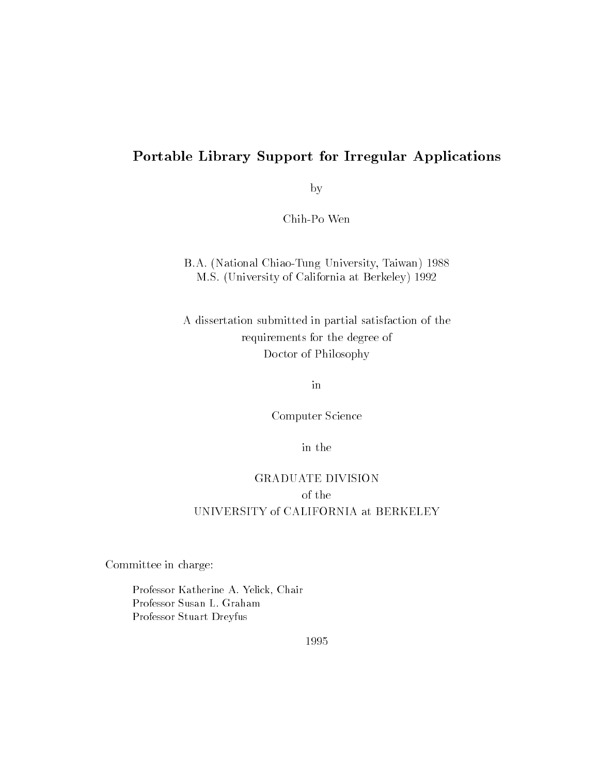### Portable Library Support for Irregular Applications

by

Chih-Po Wen

#### B.A. (National Chiao-Tung University, Taiwan) 1988 M.S. (University of California at Berkeley) 1992

A dissertation submitted in partial satisfaction of the requirements for the degree of Doctor of Philosophy

Computer Science

in the

### GRADUATE DIVISION of the UNIVERSITY of CALIFORNIA at BERKELEY

Committee in charge:

Professor Katherine A. Yelick, Chair Professor Susan L. Graham Professor Stuart Dreyfus

1995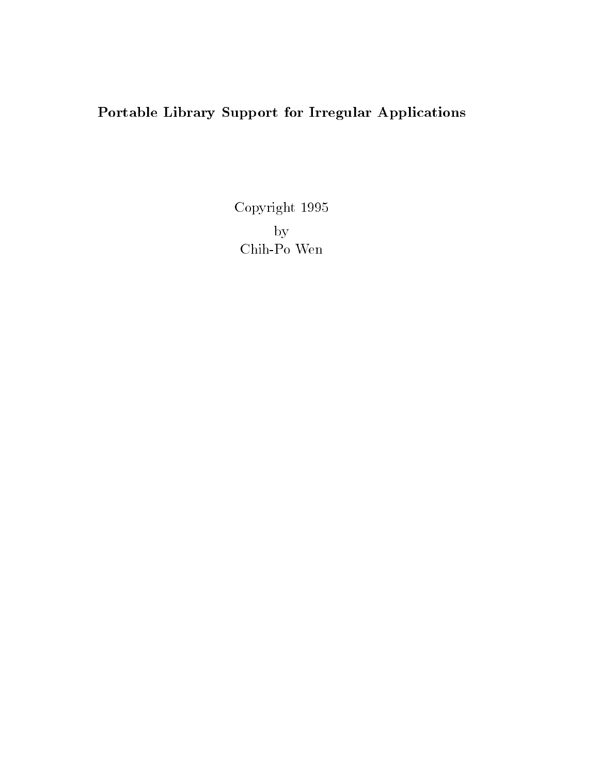## Portable Library Support for Irregular Applications

Copyright 1995byChih-Po Wen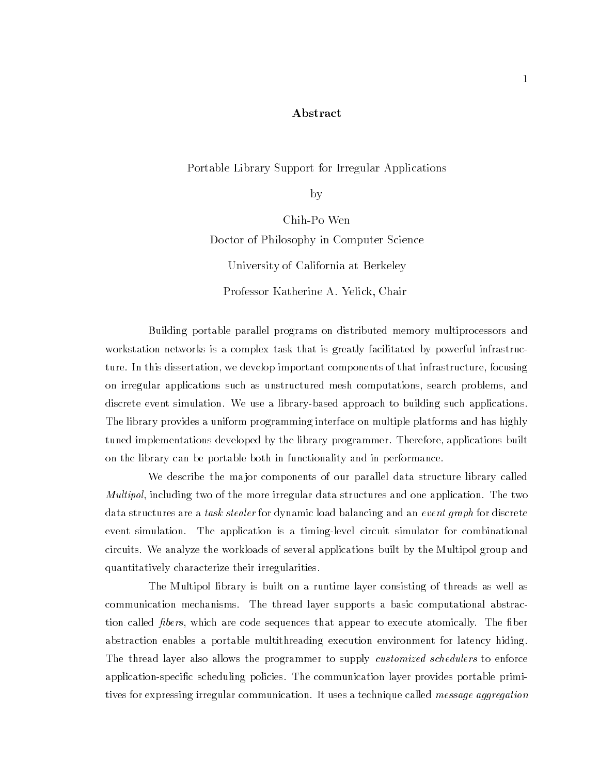#### Abstract

Portable Library Support for Irregular Applications

by

Chih-Po Wen Doctor of Philosophy in Computer Science University of California at Berkeley Professor Katherine A. Yelick, Chair

Building portable parallel programs on distributed memory multiprocessors and workstation networks is a complex task that is greatly facilitated by powerful infrastructure. In this dissertation, we develop important components of that infrastructure, focusing on irregular applications such as unstructured mesh computations, search problems, and discrete event simulation. We use a library-based approach to building such applications. The library provides a uniform programming interface on multiple platforms and has highly tuned implementations developed by the library programmer. Therefore, applications built on the library can be portable both in functionality and in performance.

We describe the major components of our parallel data structure library called Multipol, including two of the more irregular data structures and one application. The two data structures are a task stealer for dynamic load balancing and an event graph for discrete event simulation. The application is a timing-level circuit simulator for combinational circuits. We analyze the workloads of several applications built by the Multipol group and quantitatively characterize their irregularities.

The Multipol library is built on a runtime layer consisting of threads as well as communication mechanisms. The thread layer supports a basic computational abstraction called *fibers*, which are code sequences that appear to execute atomically. The fiber abstraction enables a portable multithreading execution environment for latency hiding. The thread layer also allows the programmer to supply *customized schedulers* to enforce application-specific scheduling policies. The communication layer provides portable primitives for expressing irregular communication. It uses a technique called *message aggregation*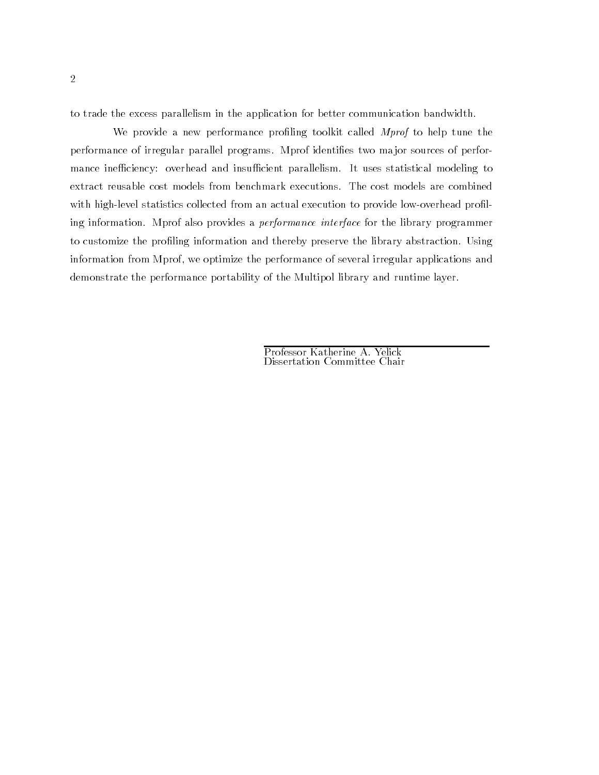to trade the excess parallelism in the application for better communication bandwidth.

We provide a new performance profiling toolkit called *Mprof* to help tune the performance of irregular parallel programs. Mprof identifies two major sources of performance inefficiency: overhead and insufficient parallelism. It uses statistical modeling to extract reusable cost models from benchmark executions. The cost models are combined with high-level statistics collected from an actual execution to provide low-overhead profiling information. Mprof also provides a performance interface for the library programmer to customize the profiling information and thereby preserve the library abstraction. Using information from Mprof, we optimize the performance of several irregular applications and demonstrate the performance portability of the Multipol library and runtime layer.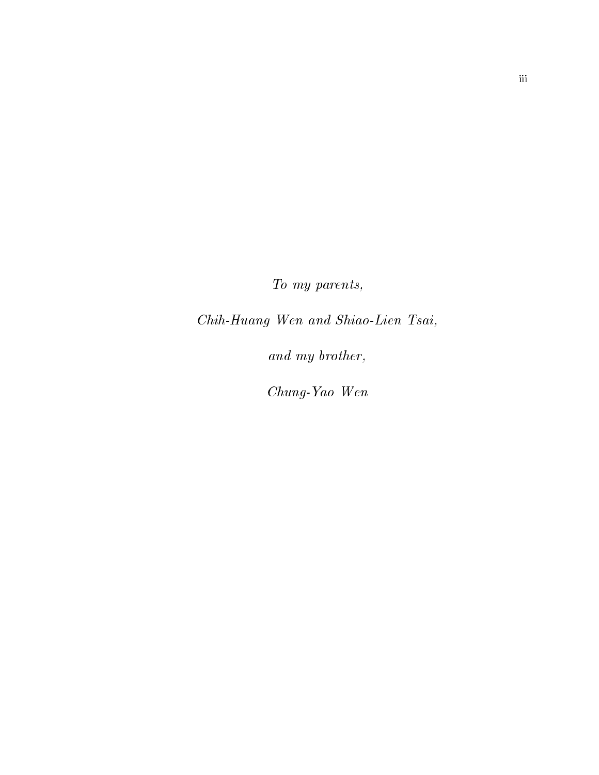To my parents,

Chih-Huang Wen and Shiao-Lien Tsai,

and my brother,

Chung-Yao Wen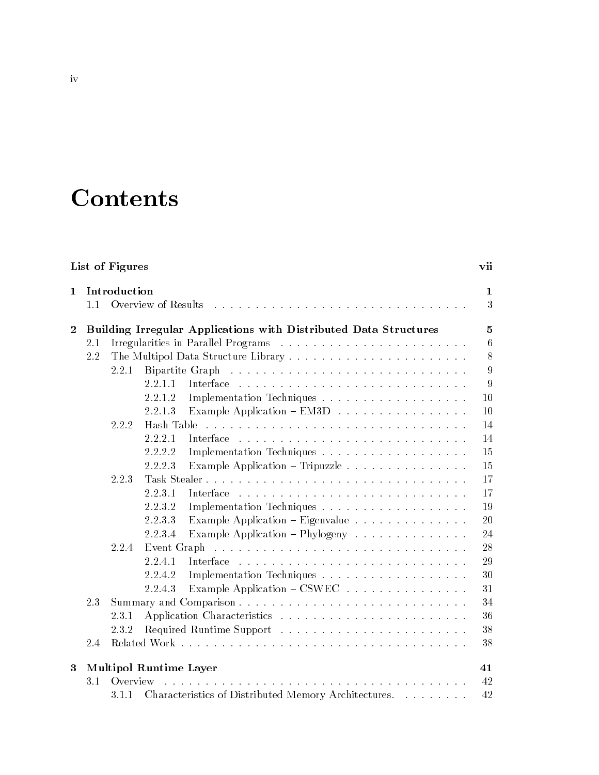# **Contents**

|                | List of Figures<br>vii |                                                                  |                |  |  |
|----------------|------------------------|------------------------------------------------------------------|----------------|--|--|
| $\mathbf{1}$   |                        | Introduction                                                     | 1              |  |  |
|                | 1.1                    | Overview of Results                                              | 3              |  |  |
|                |                        |                                                                  |                |  |  |
| $\overline{2}$ |                        | Building Irregular Applications with Distributed Data Structures | $\overline{5}$ |  |  |
|                | 2.1                    |                                                                  | $\,6$          |  |  |
|                | 2.2                    |                                                                  | 8              |  |  |
|                |                        | Bipartite Graph<br>2.2.1                                         | 9              |  |  |
|                |                        | 2.2.1.1<br>Interface                                             | 9              |  |  |
|                |                        | 2.2.1.2                                                          | 10             |  |  |
|                |                        | Example Application $-$ EM3D $\ldots$<br>2.2.1.3                 | 10             |  |  |
|                |                        | Hash Table<br>2.2.2                                              | 14             |  |  |
|                |                        | 2.2.2.1<br>Interface                                             | 14             |  |  |
|                |                        | 2.2.2.2                                                          | 15             |  |  |
|                |                        | Example Application - Tripuzzle<br>2.2.2.3                       | 15             |  |  |
|                |                        | Task Stealer<br>2.2.3                                            | 17             |  |  |
|                |                        | 2.2.3.1<br>Interface                                             | 17             |  |  |
|                |                        | 2.2.3.2                                                          | 19             |  |  |
|                |                        | Example Application - Eigenvalue<br>2.2.3.3                      | 20             |  |  |
|                |                        | Example Application $-Phylogeny$<br>2.2.3.4                      | 24             |  |  |
|                |                        | 2.2.4<br>Event Graph                                             | 28             |  |  |
|                |                        | 2.2.4.1                                                          | 29             |  |  |
|                |                        | 2.2.4.2                                                          | 30             |  |  |
|                |                        | Example Application – CSWEC<br>2.2.4.3                           | 31             |  |  |
|                | 2.3                    |                                                                  | 34             |  |  |
|                |                        | 2.3.1                                                            | 36             |  |  |
|                |                        | 2.3.2                                                            | 38             |  |  |
|                | 2.4                    |                                                                  | 38             |  |  |
|                |                        |                                                                  |                |  |  |
| 3              |                        | <b>Multipol Runtime Layer</b>                                    | 41             |  |  |
|                | 3.1                    | Overview                                                         | 42             |  |  |
|                |                        | Characteristics of Distributed Memory Architectures.<br>3.1.1    | 42             |  |  |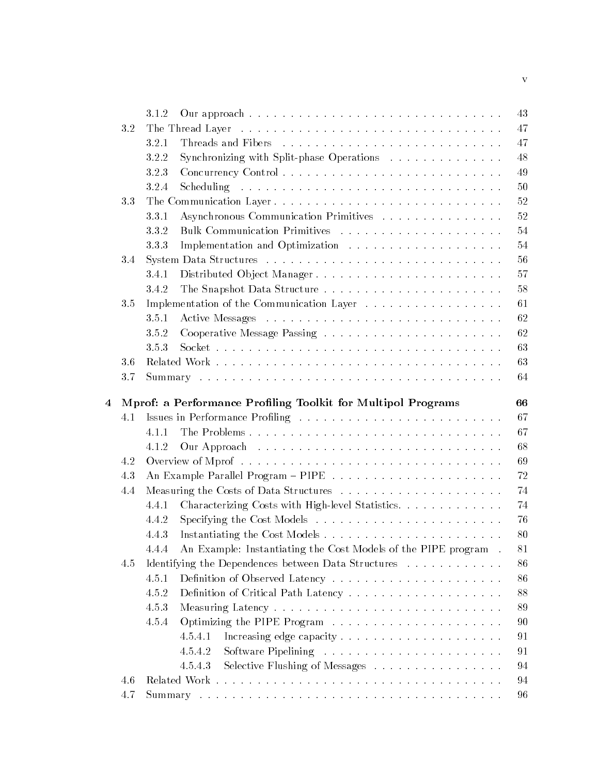|                         |     | 3.1.2                                                                   | 43 |
|-------------------------|-----|-------------------------------------------------------------------------|----|
|                         | 3.2 |                                                                         | 47 |
|                         |     | 3.2.1                                                                   | 47 |
|                         |     | 3.2.2<br>Synchronizing with Split-phase Operations                      | 48 |
|                         |     | 3.2.3                                                                   | 49 |
|                         |     | 3.2.4                                                                   | 50 |
|                         | 3.3 | The Communication Layer                                                 | 52 |
|                         |     | Asynchronous Communication Primitives<br>3.3.1                          | 52 |
|                         |     | 3.3.2                                                                   | 54 |
|                         |     | 333                                                                     | 54 |
|                         | 3.4 |                                                                         | 56 |
|                         |     | 3.4.1                                                                   | 57 |
|                         |     | 3.4.2                                                                   | 58 |
|                         | 3.5 | Implementation of the Communication Layer                               | 61 |
|                         |     | 3.5.1                                                                   | 62 |
|                         |     | 3.5.2                                                                   | 62 |
|                         |     | 3.5.3                                                                   | 63 |
|                         | 3.6 |                                                                         | 63 |
|                         | 3.7 |                                                                         | 64 |
|                         |     |                                                                         |    |
| $\overline{\mathbf{4}}$ |     | Mprof: a Performance Profiling Toolkit for Multipol Programs            | 66 |
|                         | 4.1 |                                                                         | 67 |
|                         |     | 4.1.1                                                                   | 67 |
|                         |     | 4.1.2                                                                   | 68 |
|                         | 4.2 |                                                                         | 69 |
|                         | 4.3 |                                                                         | 72 |
|                         | 4.4 |                                                                         | 74 |
|                         |     | Characterizing Costs with High-level Statistics.<br>4.4.1               | 74 |
|                         |     | 4.4.2                                                                   | 76 |
|                         |     | 4.4.3                                                                   | 80 |
|                         |     | An Example: Instantiating the Cost Models of the PIPE program.<br>4.4.4 | 81 |
|                         | 4.5 | Identifying the Dependences between Data Structures                     | 86 |
|                         |     | 4.5.1                                                                   | 86 |
|                         |     | 4.5.2                                                                   | 88 |
|                         |     | 4.5.3                                                                   | 89 |
|                         |     | 4.5.4                                                                   | 90 |
|                         |     | 4.5.4.1                                                                 | 91 |
|                         |     | 4.5.4.2                                                                 | 91 |
|                         |     | Selective Flushing of Messages<br>4.5.4.3                               | 94 |
|                         | 4.6 |                                                                         | 94 |
|                         | 4.7 |                                                                         | 96 |

v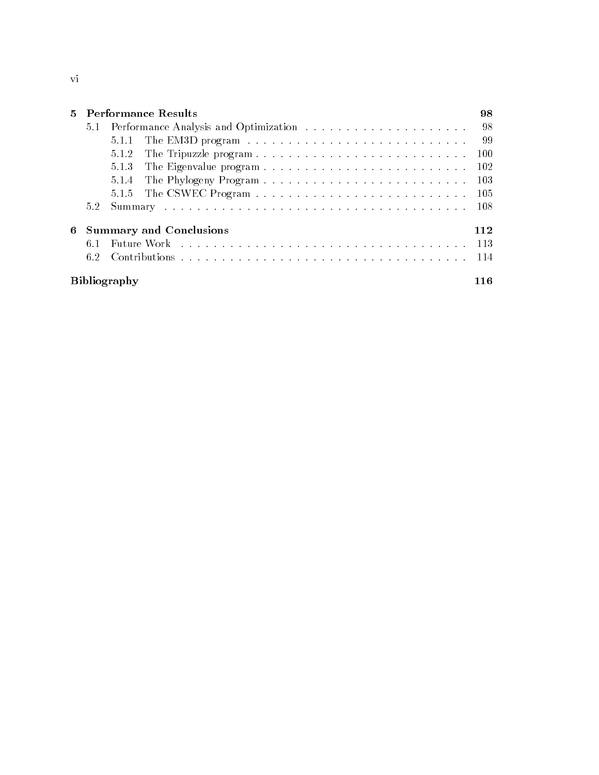|   |     |                     | 5 Performance Results                                                                                                                                                                                                         | 98    |
|---|-----|---------------------|-------------------------------------------------------------------------------------------------------------------------------------------------------------------------------------------------------------------------------|-------|
|   |     |                     |                                                                                                                                                                                                                               | - 98  |
|   |     | 5.1.1               |                                                                                                                                                                                                                               | - 99  |
|   |     | 5.1.2               |                                                                                                                                                                                                                               | -100  |
|   |     | 5.1.3               |                                                                                                                                                                                                                               | - 102 |
|   |     | 5.1.4               |                                                                                                                                                                                                                               | -103  |
|   |     |                     |                                                                                                                                                                                                                               | -105  |
|   | 5.2 |                     |                                                                                                                                                                                                                               | -108  |
| 6 |     |                     | <b>Summary and Conclusions</b>                                                                                                                                                                                                | 112   |
|   | 6.1 |                     | Future Work response to the contract of the contract of the contract of the Future of the Contract of the Contract of Turking and Turking and Turking and Turking and Turking and Turking and Turking and Turking and Turking | - 113 |
|   |     |                     |                                                                                                                                                                                                                               |       |
|   |     | <b>Bibliography</b> |                                                                                                                                                                                                                               | 116   |

Bibliography 116

vi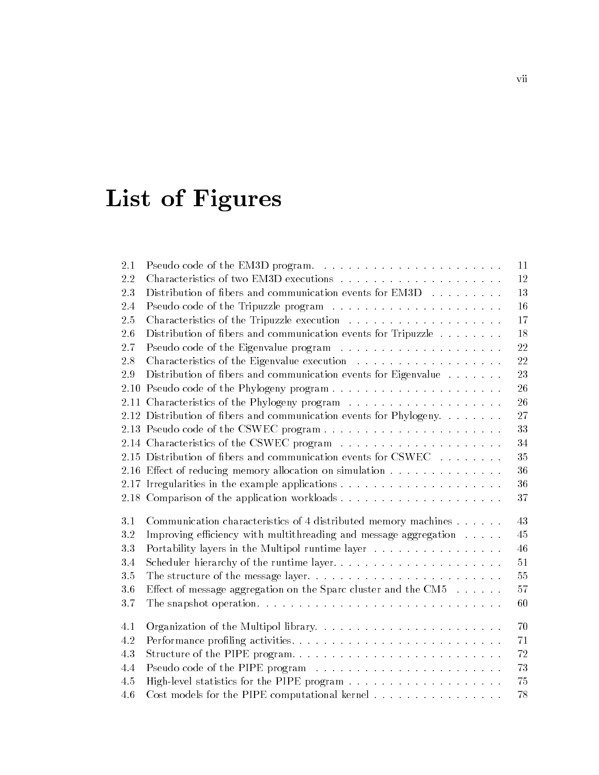# List of Figures

| 2.1 |                                                                          | 11 |
|-----|--------------------------------------------------------------------------|----|
| 2.2 |                                                                          | 12 |
| 2.3 | Distribution of fibers and communication events for EM3D                 | 13 |
| 2.4 |                                                                          | 16 |
| 2.5 |                                                                          | 17 |
| 2.6 | Distribution of fibers and communication events for Tripuzzle            | 18 |
| 2.7 |                                                                          | 22 |
| 2.8 |                                                                          | 22 |
| 2.9 | Distribution of fibers and communication events for Eigenvalue           | 23 |
|     |                                                                          | 26 |
|     |                                                                          | 26 |
|     | 2.12 Distribution of fibers and communication events for Phylogeny.      | 27 |
|     |                                                                          | 33 |
|     |                                                                          | 34 |
|     | 2.15 Distribution of fibers and communication events for CSWEC           | 35 |
|     | 2.16 Effect of reducing memory allocation on simulation                  | 36 |
|     |                                                                          | 36 |
|     |                                                                          | 37 |
| 3.1 | Communication characteristics of 4 distributed memory machines           | 43 |
| 3.2 | Improving efficiency with multithreading and message aggregation         | 45 |
| 3.3 | Portability layers in the Multipol runtime layer                         | 46 |
| 3.4 | Scheduler hierarchy of the runtime layer                                 | 51 |
| 3.5 |                                                                          | 55 |
| 3.6 | Effect of message aggregation on the Sparc cluster and the CM5 $\dots$ . | 57 |
| 3.7 |                                                                          | 60 |
| 4.1 |                                                                          | 70 |
| 4.2 |                                                                          | 71 |
| 4.3 | Structure of the PIPE program                                            | 72 |
| 4.4 |                                                                          | 73 |
| 4.5 |                                                                          | 75 |
| 4.6 | Cost models for the PIPE computational kernel                            | 78 |
|     |                                                                          |    |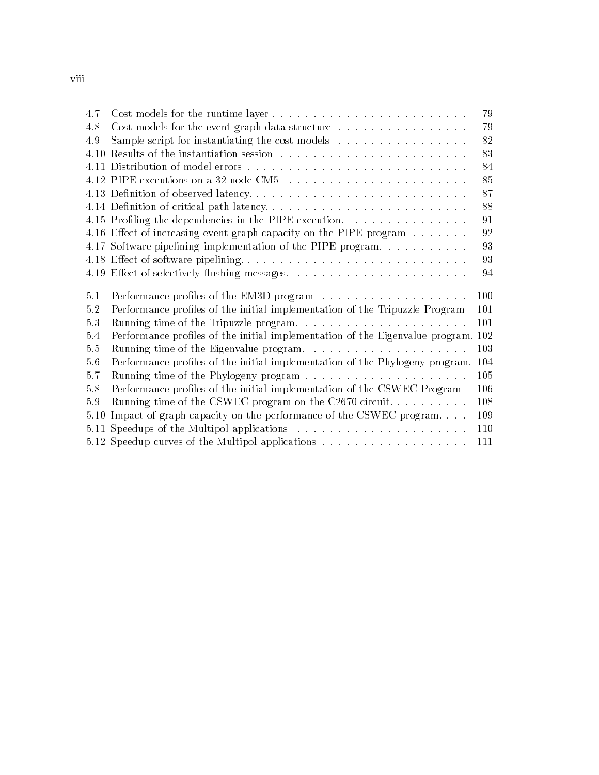| 4.7  |                                                                                                                      | 79  |
|------|----------------------------------------------------------------------------------------------------------------------|-----|
| 4.8  | Cost models for the event graph data structure                                                                       | 79  |
| 4.9  | Sample script for instantiating the cost models                                                                      | 82  |
| 4.10 |                                                                                                                      | 83  |
|      |                                                                                                                      | 84  |
|      |                                                                                                                      | 85  |
|      |                                                                                                                      | 87  |
|      | 4.14 Definition of critical path latency                                                                             | 88  |
|      | 4.15 Profiling the dependencies in the PIPE execution.                                                               | 91  |
|      | 4.16 Effect of increasing event graph capacity on the PIPE program                                                   | 92  |
|      | 4.17 Software pipelining implementation of the PIPE program.                                                         | 93  |
|      | 4.18 Effect of software pipelining                                                                                   | 93  |
|      |                                                                                                                      | 94  |
|      |                                                                                                                      |     |
| 5.1  |                                                                                                                      | 100 |
| 5.2  |                                                                                                                      | 101 |
| 5.3  | Performance profiles of the initial implementation of the Tripuzzle Program<br>Running time of the Tripuzzle program | 101 |
| 5.4  | Performance profiles of the initial implementation of the Eigenvalue program. 102                                    |     |
| 5.5  |                                                                                                                      | 103 |
| 5.6  | Performance profiles of the initial implementation of the Phylogeny program. 104                                     |     |
| 5.7  |                                                                                                                      | 105 |
| 5.8  | Performance profiles of the initial implementation of the CSWEC Program                                              | 106 |
| 5.9  | Running time of the CSWEC program on the C2670 circuit                                                               | 108 |
| 5.10 | Impact of graph capacity on the performance of the CSWEC program                                                     | 109 |
| 5.11 |                                                                                                                      | 110 |
|      |                                                                                                                      | 111 |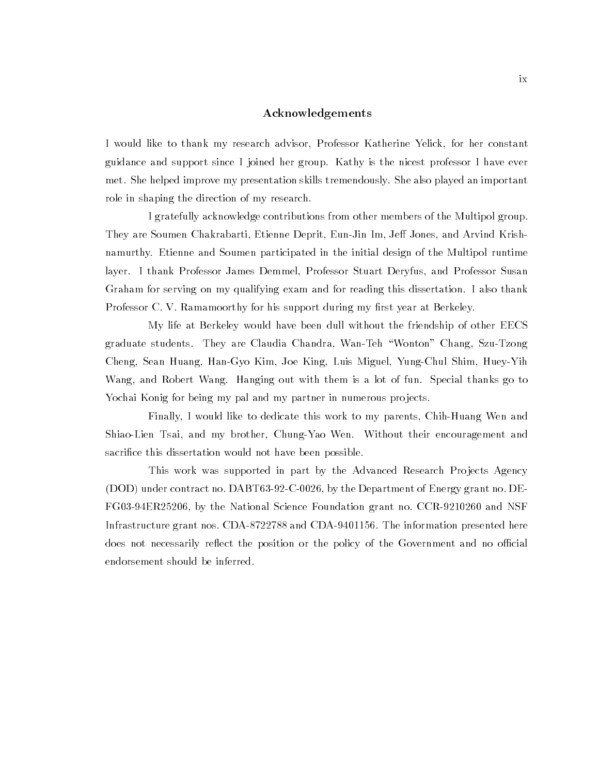#### Acknowledgements

I would like to thank my research advisor, Professor Katherine Yelick, for her constant guidance and support since I joined her group. Kathy is the nicest professor I have ever met. She helped improve my presentation skills tremendously. She also played an important role in shaping the direction of my research.

I gratefully acknowledge contributions from other members of the Multipol group. They are Soumen Chakrabarti, Etienne Deprit, Eun-Jin Im, Jeff Jones, and Arvind Krishnamurthy. Etienne and Soumen participated in the initial design of the Multipol runtime layer. I thank Professor James Demmel, Professor Stuart Deryfus, and Professor Susan Graham for serving on my qualifying exam and for reading this dissertation. I also thank Professor C. V. Ramamoorthy for his support during my first year at Berkeley.

My life at Berkeley would have been dull without the friendship of other EECS graduate students. They are Claudia Chandra, Wan-Teh \Wonton" Chang, Szu-Tzong Cheng, Sean Huang, Han-Gyo Kim, Joe King, Luis Miguel, Yung-Chul Shim, Huey-Yih Wang, and Robert Wang. Hanging out with them is a lot of fun. Special thanks go to Yochai Konig for being my pal and my partner in numerous projects.

Finally,Iwould like to dedicate this work to my parents, Chih-Huang Wen and Shiao-Lien Tsai, and my brother, Chung-Yao Wen. Without their encouragement and sacrifice this dissertation would not have been possible.

This work was supported in part by the Advanced Research Projects Agency (DOD) under contract no. DABT63-92-C-0026, by the Department of Energy grant no. DE-FG03-94ER25206, by the National Science Foundation grant no. CCR-9210260 and NSF Infrastructure grant nos. CDA-8722788 and CDA-9401156. The information presented here does not necessarily reflect the position or the policy of the Government and no official endorsement should be inferred.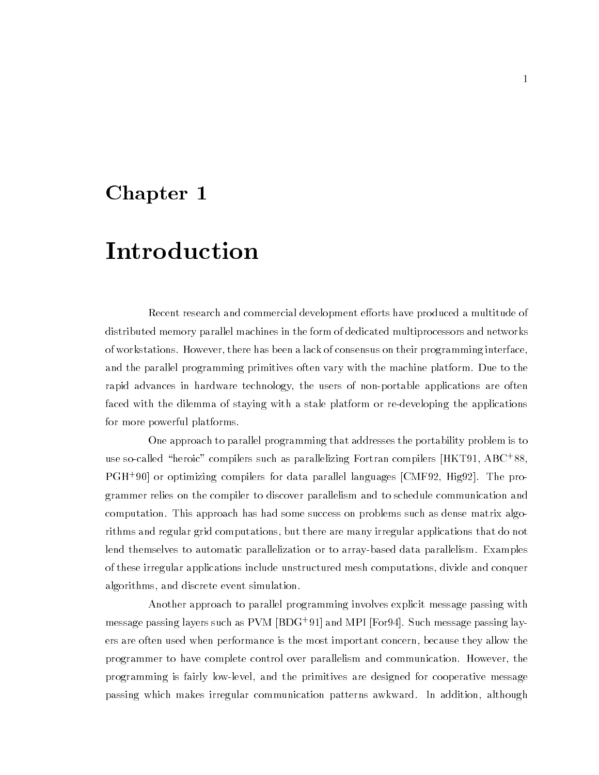## Chapter <sup>1</sup>

# Introduction

Recent research and commercial development efforts have produced a multitude of distributed memory parallel machines in the form of dedicated multiprocessors and networks of workstations. However, there has been a lack of consensus on their programming interface, and the parallel programming primitives often vary with the machine platform. Due to the rapid advances in hardware technology, the users of non-portable applications are often faced with the dilemma of staying with a stale platform or re-developing the applications for more powerful platforms.

One approach to parallel programming that addresses the portability problem is to use so-called "neroic" compilers such as parallelizing Fortran compilers [HKT91, ABC+88, ] PGH+ 90] or optimizing compilers for data parallel languages [CMF92, Hig92]. The programmer relies on the compiler to discover parallelism and to schedule communication and computation. This approach has had some success on problems such as dense matrix algorithms and regular grid computations, but there are many irregular applications that do not lend themselves to automatic parallelization or to array-based data parallelism. Examples of these irregular applications include unstructured mesh computations, divide and conquer algorithms, and discrete event simulation.

Another approach to parallel programming involves explicit message passing with message passing layers such as PVM [BDG+ 91] and MPI [For94]. Such message passing layers are often used when performance is the most important concern, because they allow the programmer to have complete control over parallelism and communication. However, the programming is fairly low-level, and the primitives are designed for cooperative message passing which makes irregular communication patterns awkward. In addition, although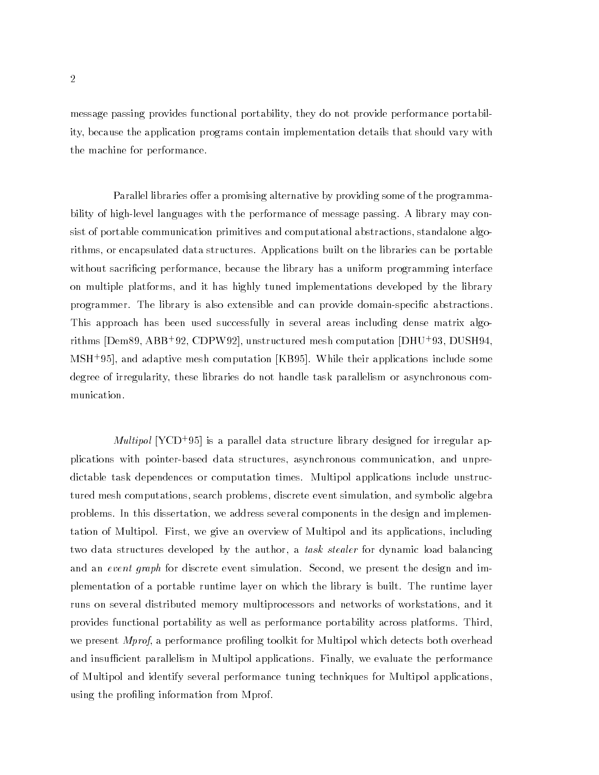message passing provides functional portability, they do not provide performance portability, because the application programs contain implementation details that should vary with the machine for performance.

Parallel libraries offer a promising alternative by providing some of the programmability of high-level languages with the performance of message passing. A library may consist of portable communication primitives and computational abstractions, standalone algorithms, or encapsulated data structures. Applications built on the libraries can be portable without sacricing performance, because the library has a uniform programming interface on multiple platforms, and it has highly tuned implementations developed by the library programmer. The library is also extensible and can provide domain-specic abstractions. This approach has been used successfully in several areas including dense matrix algorithms [Dem89, ABB+ 92, CDPW92], unstructured mesh computation [DHU+ 93, DUSH94, MSH+ 95], and adaptive mesh computation [KB95]. While their applications include some degree of irregularity, these libraries do not handle task parallelism or asynchronous communication.

*multipol* [YCD+95] is a parallel data structure library designed for irregular applications with pointer-based data structures, asynchronous communication, and unpredictable task dependences or computation times. Multipol applications include unstructured mesh computations, search problems, discrete event simulation, and symbolic algebra problems. In this dissertation, we address several components in the design and implementation of Multipol. First, we give an overview of Multipol and its applications, including two data structures developed by the author, a *task stealer* for dynamic load balancing and an event graph for discrete event simulation. Second, we present the design and implementation of a portable runtime layer on which the library is built. The runtime layer runs on several distributed memory multiprocessors and networks of workstations, and it provides functional portability as well as performance portability across platforms. Third, we present *Mprof*, a performance profiling toolkit for Multipol which detects both overhead and insufficient parallelism in Multipol applications. Finally, we evaluate the performance of Multipol and identify several performance tuning techniques for Multipol applications, using the profiling information from Mprof.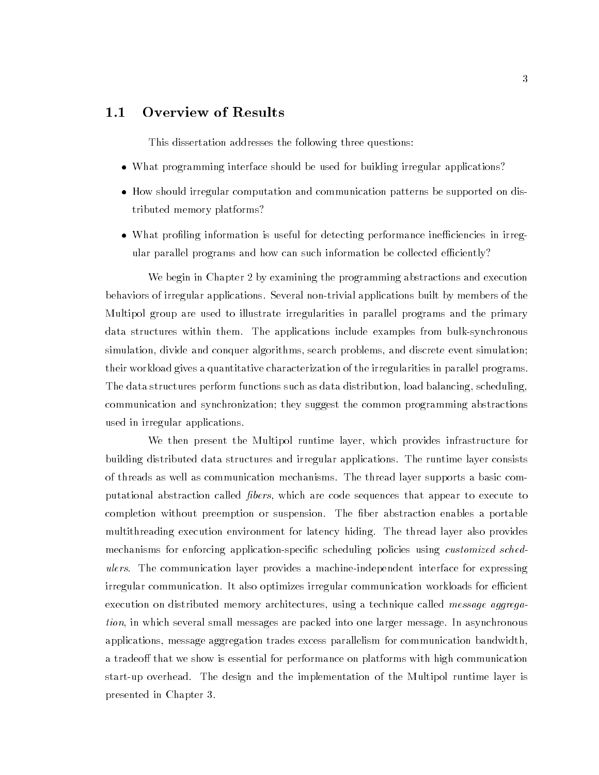### 1.1 Overview of Results

This dissertation addresses the following three questions:

- What programming interface should be used for building irregular applications?
- How should irregular computation and communication patterns be supported on distributed memory platforms?
- What profiling information is useful for detecting performance inefficiencies in irregular parallel programs and how can such information be collected efficiently?

We begin in Chapter 2 by examining the programming abstractions and execution behaviors of irregular applications. Several non-trivial applications built by members of the Multipol group are used to illustrate irregularities in parallel programs and the primary data structures within them. The applications include examples from bulk-synchronous simulation, divide and conquer algorithms, search problems, and discrete event simulation; their workload gives a quantitative characterization of the irregularities in parallel programs. The data structures perform functions such as data distribution, load balancing, scheduling, communication and synchronization; they suggest the common programming abstractions used in irregular applications.

We then present the Multipol runtime layer, which provides infrastructure for building distributed data structures and irregular applications. The runtime layer consists of threads as well as communication mechanisms. The thread layer supports a basic computational abstraction called *fibers*, which are code sequences that appear to execute to completion without preemption or suspension. The ber abstraction enables a portable multithreading execution environment for latency hiding. The thread layer also provides mechanisms for enforcing application-specific scheduling policies using *customized sched*ulers. The communication layer provides a machine-independent interface for expressing irregular communication. It also optimizes irregular communication workloads for efficient execution on distributed memory architectures, using a technique called *message aggrega*tion, in which several small messages are packed into one larger message. In asynchronous applications, message aggregation trades excess parallelism for communication bandwidth, a tradeoff that we show is essential for performance on platforms with high communication start-up overhead. The design and the implementation of the Multipol runtime layer is presented in Chapter 3.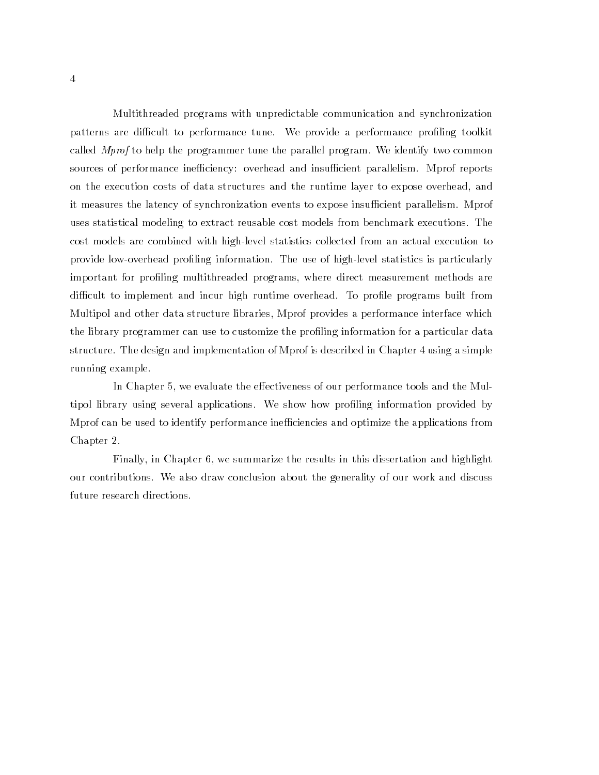Multithreaded programs with unpredictable communication and synchronization patterns are difficult to performance tune. We provide a performance profiling toolkit called Mprof to help the programmer tune the parallel program. We identify two common sources of performance inefficiency: overhead and insufficient parallelism. Mprof reports on the execution costs of data structures and the runtime layer to expose overhead, and it measures the latency of synchronization events to expose insufficient parallelism. Mprof uses statistical modeling to extract reusable cost models from benchmark executions. The cost models are combined with high-level statistics collected from an actual execution to provide low-overhead proling information. The use of high-level statistics is particularly important for profiling multithreaded programs, where direct measurement methods are difficult to implement and incur high runtime overhead. To profile programs built from Multipol and other data structure libraries, Mprof provides a performance interface which the library programmer can use to customize the profiling information for a particular data structure. The design and implementation of Mprof is described in Chapter 4 using a simple running example.

In Chapter 5, we evaluate the effectiveness of our performance tools and the Multipol library using several applications. We show how profiling information provided by Mprof can be used to identify performance ineciencies and optimize the applications from Chapter 2.

Finally, in Chapter 6, we summarize the results in this dissertation and highlight our contributions. We also draw conclusion about the generality of our work and discuss future research directions.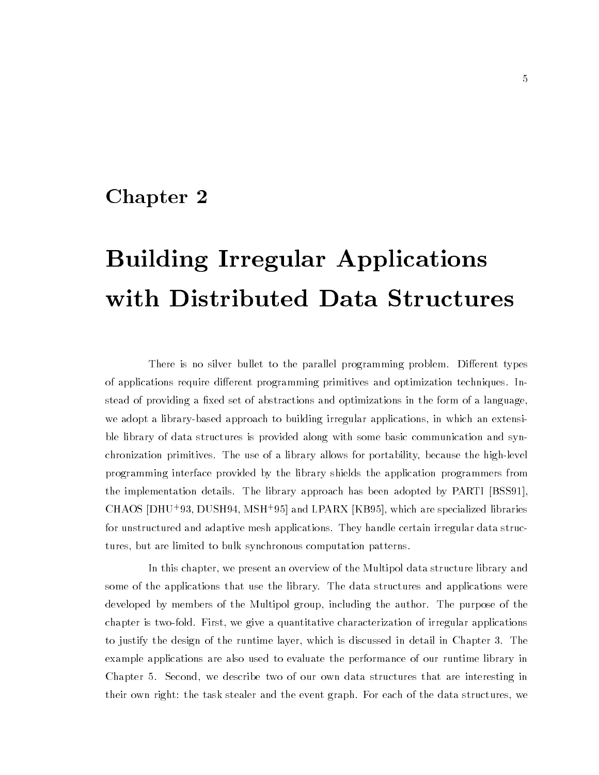## Chapter <sup>2</sup>

# Building Irregular Applications with Distributed Data Structures

There is no silver bullet to the parallel programming problem. Different types of applications require different programming primitives and optimization techniques. Instead of providing a fixed set of abstractions and optimizations in the form of a language, we adopt a library-based approach to building irregular applications, in which an extensible library of data structures is provided along with some basic communication and synchronization primitives. The use of a library allows for portability, because the high-level programming interface provided by the library shields the application programmers from the implementation details. The library approach has been adopted by PARTI [BSS91], CHAOS [DHU+ 93, DUSH94, MSH+ 95] and LPARX [KB95], which are specialized libraries for unstructured and adaptive mesh applications. They handle certain irregular data structures, but are limited to bulk synchronous computation patterns.

In this chapter, we present an overview of the Multipol data structure library and some of the applications that use the library. The data structures and applications were developed by members of the Multipol group, including the author. The purpose of the chapter is two-fold. First, we give a quantitative characterization of irregular applications to justify the design of the runtime layer, which is discussed in detail in Chapter 3. The example applications are also used to evaluate the performance of our runtime library in Chapter 5. Second, we describe two of our own data structures that are interesting in their own right: the task stealer and the event graph. For each of the data structures, we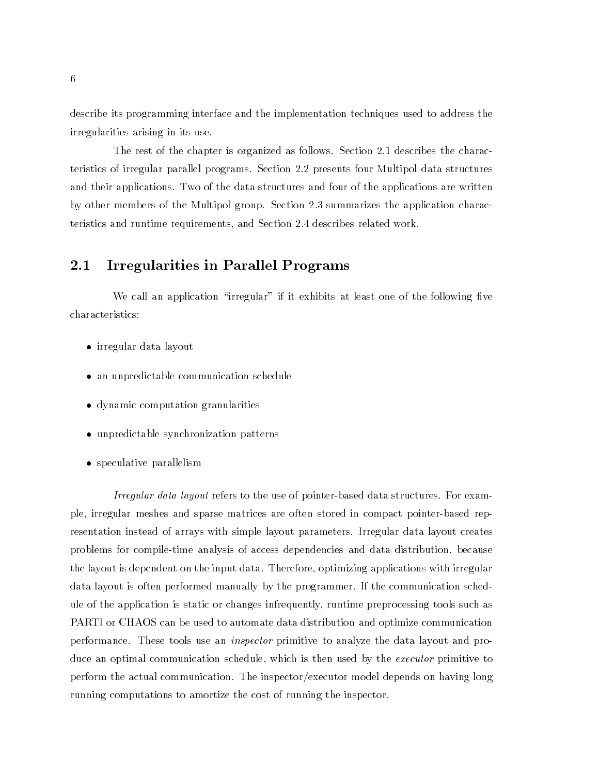describe its programming interface and the implementation techniques used to address the irregularities arising in its use.

The rest of the chapter is organized as follows. Section 2.1 describes the characteristics of irregular parallel programs. Section 2.2 presents four Multipol data structures and their applications. Two of the data structures and four of the applications are written by other members of the Multipol group. Section 2.3 summarizes the application characteristics and runtime requirements, and Section 2.4 describes related work.

### 2.1 Irregularities in Parallel Programs

We call an application "irregular" if it exhibits at least one of the following five characteristics:

- irregular data layout
- an unpredictable communication schedule
- dynamic computation granularities
- unpredictable synchronization patterns
- speculative parallelism

Irregular data layout refers to the use of pointer-based data structures. For example, irregular meshes and sparse matrices are often stored in compact pointer-based representation instead of arrays with simple layout parameters. Irregular data layout creates problems for compile-time analysis of access dependencies and data distribution, because the layout is dependent on the input data. Therefore, optimizing applications with irregular data layout is often performed manually by the programmer. If the communication schedule of the application is static or changes infrequently, runtime preprocessing tools such as PARTI or CHAOS can be used to automate data distribution and optimize communication performance. These tools use an inspector primitive to analyze the data layout and produce an optimal communication schedule, which is then used by the *executor* primitive to perform the actual communication. The inspector/executor model depends on having long running computations to amortize the cost of running the inspector.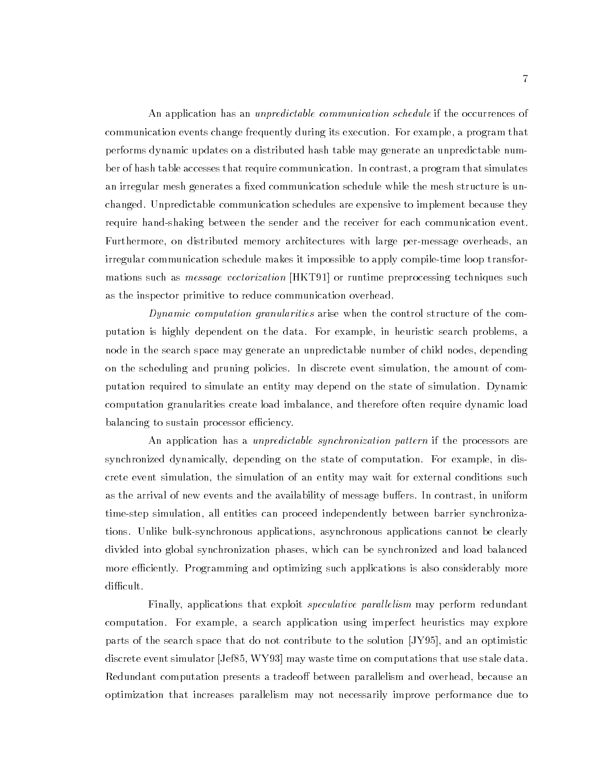An application has an *unpredictable communication schedule* if the occurrences of communication events change frequently during its execution. For example, a program that performs dynamic updates on a distributed hash table may generate an unpredictable number of hash table accesses that require communication. In contrast, a program that simulates an irregular mesh generates a fixed communication schedule while the mesh structure is unchanged. Unpredictable communication schedules are expensive to implement because they require hand-shaking between the sender and the receiver for each communication event. Furthermore, on distributed memory architectures with large per-message overheads, an irregular communication schedule makes it impossible to apply compile-time loop transformations such as *message vectorization* [HKT91] or runtime preprocessing techniques such as the inspector primitive to reduce communication overhead.

Dynamic computation granularities arise when the control structure of the computation is highly dependent on the data. For example, in heuristic search problems, a node in the search space may generate an unpredictable number of child nodes, depending on the scheduling and pruning policies. In discrete event simulation, the amount of computation required to simulate an entity may depend on the state of simulation. Dynamic computation granularities create load imbalance, and therefore often require dynamic load balancing to sustain processor efficiency.

An application has a *unpredictable synchronization pattern* if the processors are synchronized dynamically, depending on the state of computation. For example, in discrete event simulation, the simulation of an entity may wait for external conditions such as the arrival of new events and the availability of message buffers. In contrast, in uniform time-step simulation, all entities can proceed independently between barrier synchronizations. Unlike bulk-synchronous applications, asynchronous applications cannot be clearly divided into global synchronization phases, which can be synchronized and load balanced more efficiently. Programming and optimizing such applications is also considerably more difficult.

Finally, applications that exploit *speculative parallelism* may perform redundant computation. For example, a search application using imperfect heuristics may explore parts of the search space that do not contribute to the solution [JY95], and an optimistic discrete event simulator [Jef85, WY93] may waste time on computations that use stale data. Redundant computation presents a tradeoff between parallelism and overhead, because an optimization that increases parallelism may not necessarily improve performance due to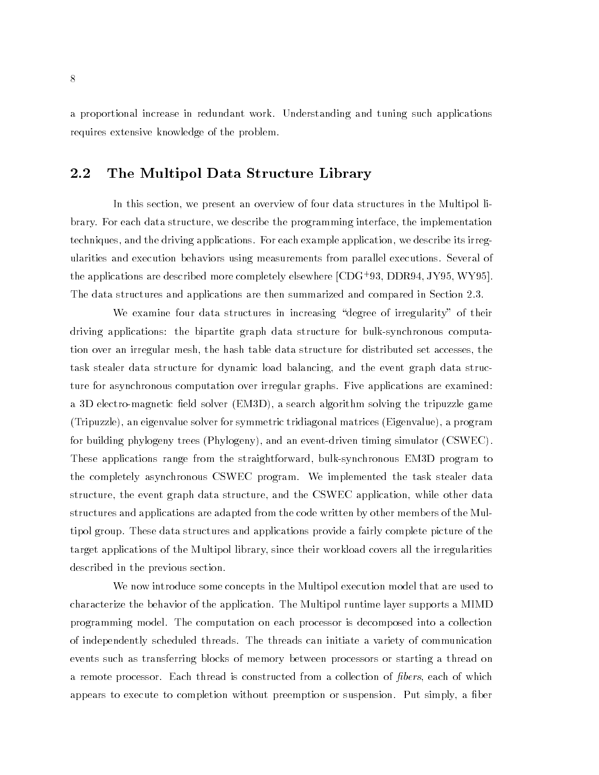a proportional increase in redundant work. Understanding and tuning such applications requires extensive knowledge of the problem.

#### 2.2 The Multipol Data Structure Library

In this section, we present an overview of four data structures in the Multipol library. For each data structure, we describe the programming interface, the implementation techniques, and the driving applications. For each example application, we describe its irregularities and execution behaviors using measurements from parallel executions. Several of the applications are described more completely elsewhere [CDG+ 93, DDR94, JY95, WY95]. The data structures and applications are then summarized and compared in Section 2.3.

We examine four data structures in increasing "degree of irregularity" of their driving applications: the bipartite graph data structure for bulk-synchronous computation over an irregular mesh, the hash table data structure for distributed set accesses, the task stealer data structure for dynamic load balancing, and the event graph data structure for asynchronous computation over irregular graphs. Five applications are examined: a 3D electro-magnetic field solver (EM3D), a search algorithm solving the tripuzzle game (Tripuzzle), an eigenvalue solver for symmetric tridiagonal matrices (Eigenvalue), a program for building phylogeny trees (Phylogeny), and an event-driven timing simulator (CSWEC). These applications range from the straightforward, bulk-synchronous EM3D program to the completely asynchronous CSWEC program. We implemented the task stealer data structure, the event graph data structure, and the CSWEC application, while other data structures and applications are adapted from the code written by other members of the Multipol group. These data structures and applications provide a fairly complete picture of the target applications of the Multipol library, since their workload covers all the irregularities described in the previous section.

We now introduce some concepts in the Multipol execution model that are used to characterize the behavior of the application. The Multipol runtime layer supports a MIMD programming model. The computation on each processor is decomposed into a collection of independently scheduled threads. The threads can initiate a variety of communication events such as transferring blocks of memory between processors or starting a thread on a remote processor. Each thread is constructed from a collection of *fibers*, each of which appears to execute to completion without preemption or suspension. Put simply, a ber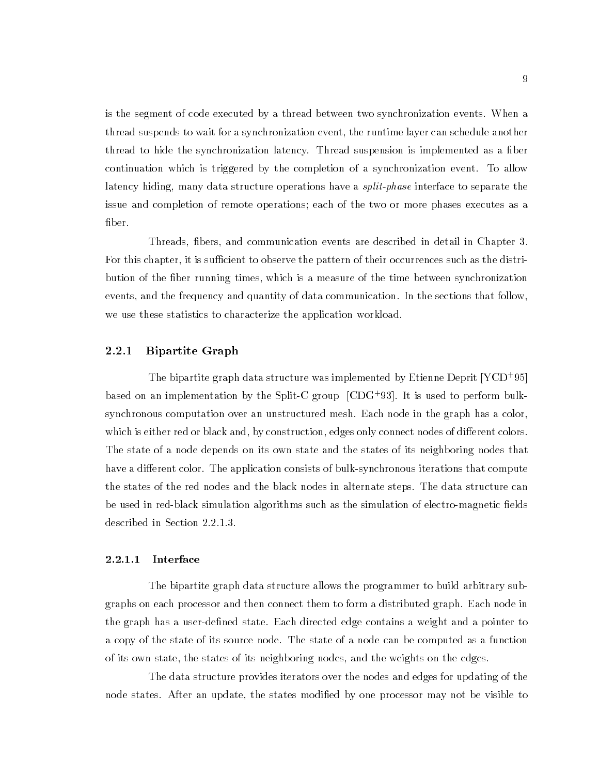is the segment of code executed by a thread between two synchronization events. When a thread suspends to wait for a synchronization event, the runtime layer can schedule another thread to hide the synchronization latency. Thread suspension is implemented as a fiber continuation which is triggered by the completion of a synchronization event. To allow latency hiding, many data structure operations have a split-phase interface to separate the issue and completion of remote operations; each of the two or more phases executes as a fiber.

Threads, bers, and communication events are described in detail in Chapter 3. For this chapter, it is sufficient to observe the pattern of their occurrences such as the distribution of the fiber running times, which is a measure of the time between synchronization events, and the frequency and quantity of data communication. In the sections that follow, we use these statistics to characterize the application workload.

#### 2.2.1 Bipartite Graph

The bipartite graph data structure was implemented by Etienne Deprit [YCD+ 95] based on an implementation by the Split-C group [CDG+ 93]. It is used to perform bulksynchronous computation over an unstructured mesh. Each node in the graph has a color, which is either red or black and, by construction, edges only connect nodes of different colors. The state of a node depends on its own state and the states of its neighboring nodes that have a different color. The application consists of bulk-synchronous iterations that compute the states of the red nodes and the black nodes in alternate steps. The data structure can be used in red-black simulation algorithms such as the simulation of electro-magnetic fields described in Section 2.2.1.3.

#### 2.2.1.1 Interface

The bipartite graph data structure allows the programmer to build arbitrary subgraphs on each processor and then connect them to form a distributed graph. Each node in the graph has a user-defined state. Each directed edge contains a weight and a pointer to a copy of the state of its source node. The state of a node can be computed as a function of its own state, the states of its neighboring nodes, and the weights on the edges.

The data structure provides iterators over the nodes and edges for updating of the node states. After an update, the states modified by one processor may not be visible to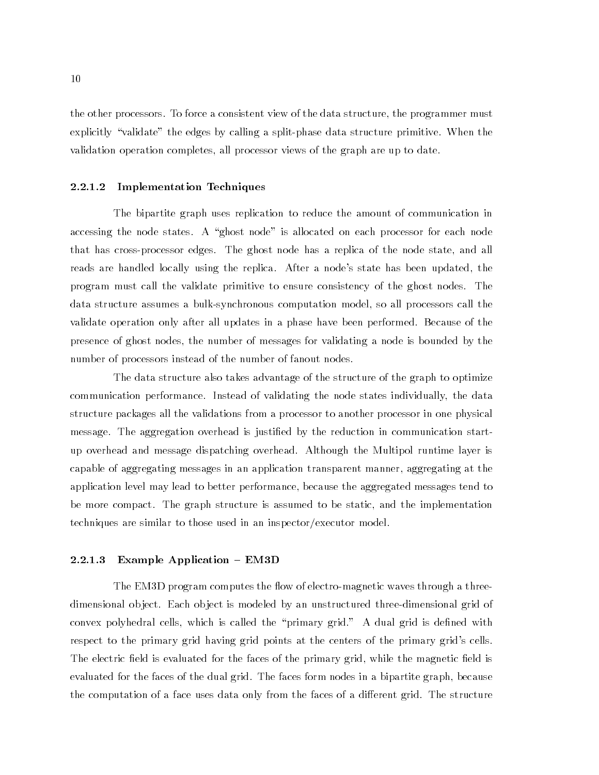the other processors. To force a consistent view of the data structure, the programmer must explicitly "validate" the edges by calling a split-phase data structure primitive. When the validation operation completes, all processor views of the graph are up to date.

#### 2.2.1.2 Implementation Techniques

The bipartite graph uses replication to reduce the amount of communication in accessing the node states. A "ghost node" is allocated on each processor for each node that has cross-processor edges. The ghost node has a replica of the node state, and all reads are handled locally using the replica. After a node's state has been updated, the program must call the validate primitive to ensure consistency of the ghost nodes. The data structure assumes a bulk-synchronous computation model, so all processors call the validate operation only after all updates in a phase have been performed. Because of the presence of ghost nodes, the number of messages for validating a node is bounded by the number of processors instead of the number of fanout nodes.

The data structure also takes advantage of the structure of the graph to optimize communication performance. Instead of validating the node states individually, the data structure packages all the validations from a processor to another processor in one physical message. The aggregation overhead is justied by the reduction in communication startup overhead and message dispatching overhead. Although the Multipol runtime layer is capable of aggregating messages in an application transparent manner, aggregating at the application level may lead to better performance, because the aggregated messages tend to be more compact. The graph structure is assumed to be static, and the implementation techniques are similar to those used in an inspector/executor model.

#### 2.2.1.3 Example Application  $-$  EM3D

The EM3D program computes the flow of electro-magnetic waves through a threedimensional ob ject. Each ob ject is modeled by an unstructured three-dimensional grid of convex polyhedral cells, which is called the "primary grid." A dual grid is defined with respect to the primary grid having grid points at the centers of the primary grid's cells. The electric field is evaluated for the faces of the primary grid, while the magnetic field is evaluated for the faces of the dual grid. The faces form nodes in a bipartite graph, because the computation of a face uses data only from the faces of a different grid. The structure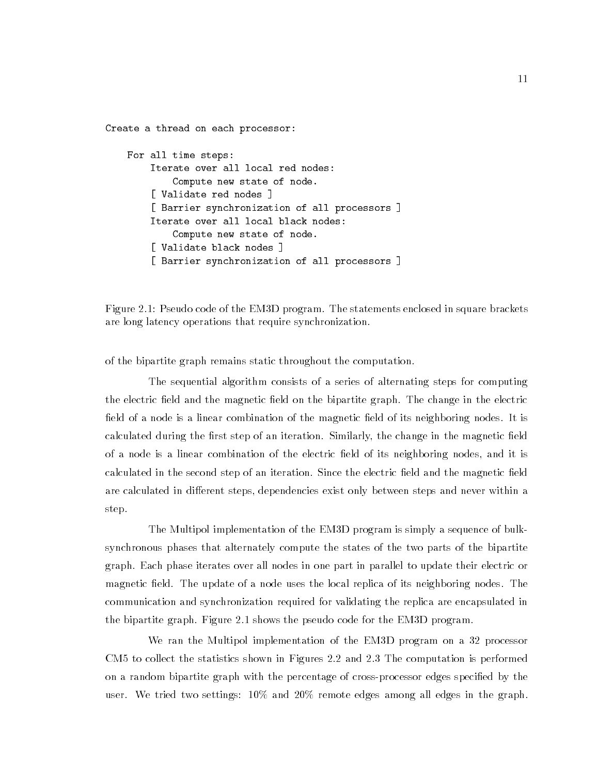Create a thread on each processor: For all time steps: Iterate over all local red nodes: Compute new state of node. [ Validate red nodes ] [ Barrier synchronization of all processors ] Iterate over all local black nodes: Compute new state of node. [ Validate black nodes ] [ Barrier synchronization of all processors ]

Figure 2.1: Pseudo code of the EM3D program. The statements enclosed in square brackets are long latency operations that require synchronization.

of the bipartite graph remains static throughout the computation.

The sequential algorithm consists of a series of alternating steps for computing the electric field and the magnetic field on the bipartite graph. The change in the electric field of a node is a linear combination of the magnetic field of its neighboring nodes. It is calculated during the first step of an iteration. Similarly, the change in the magnetic field of a node is a linear combination of the electric field of its neighboring nodes, and it is calculated in the second step of an iteration. Since the electric field and the magnetic field are calculated in different steps, dependencies exist only between steps and never within a step.

The Multipol implementation of the EM3D program is simply a sequence of bulksynchronous phases that alternately compute the states of the two parts of the bipartite graph. Each phase iterates over all nodes in one part in parallel to update their electric or magnetic field. The update of a node uses the local replica of its neighboring nodes. The communication and synchronization required for validating the replica are encapsulated in the bipartite graph. Figure 2.1 shows the pseudo code for the EM3D program.

We ran the Multipol implementation of the EM3D program on a 32 processor CM5 to collect the statistics shown in Figures 2.2 and 2.3 The computation is performed on a random bipartite graph with the percentage of cross-processor edges specied by the user. We tried two settings: 10% and 20% remote edges among all edges in the graph.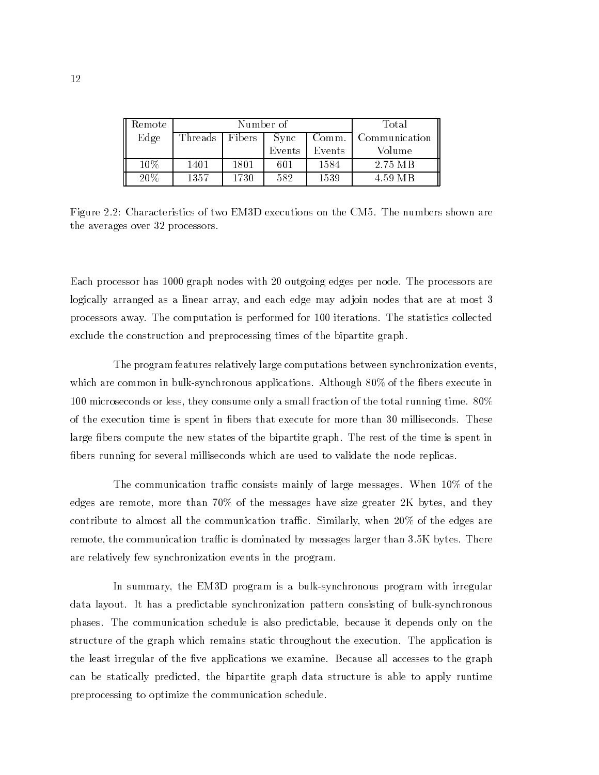| Remote |         | Number of | Total         |        |         |  |
|--------|---------|-----------|---------------|--------|---------|--|
| Edge   | Threads | Bibers 1  | Communication |        |         |  |
|        |         |           | Events        | Events | Volume  |  |
| 10%    | 1401    | 1801      | 601           | 1584   | 2.75 MB |  |
| 20%    | 1357    | 1730      | 582           | 1539   | 4.59 MB |  |

Figure 2.2: Characteristics of two EM3D executions on the CM5. The numbers shown are the averages over 32 processors.

Each processor has 1000 graph nodes with 20 outgoing edges per node. The processors are logically arranged as a linear array, and each edge may adjoin nodes that are at most 3 processors away. The computation is performed for 100 iterations. The statistics collected exclude the construction and preprocessing times of the bipartite graph.

The program features relatively large computations between synchronization events, which are common in bulk-synchronous applications. Although  $80\%$  of the fibers execute in 100 microseconds or less, they consume only a small fraction of the total running time. 80% of the execution time is spent in bers that execute for more than 30 milliseconds. These large fibers compute the new states of the bipartite graph. The rest of the time is spent in bers running for several milliseconds which are used to validate the node replicas.

The communication traffic consists mainly of large messages. When  $10\%$  of the edges are remote, more than 70% of the messages have size greater 2K bytes, and they contribute to almost all the communication traffic. Similarly, when  $20\%$  of the edges are remote, the communication traffic is dominated by messages larger than 3.5K bytes. There are relatively few synchronization events in the program.

In summary, the EM3D program is a bulk-synchronous program with irregular data layout. It has a predictable synchronization pattern consisting of bulk-synchronous phases. The communication schedule is also predictable, because it depends only on the structure of the graph which remains static throughout the execution. The application is the least irregular of the five applications we examine. Because all accesses to the graph can be statically predicted, the bipartite graph data structure is able to apply runtime preprocessing to optimize the communication schedule.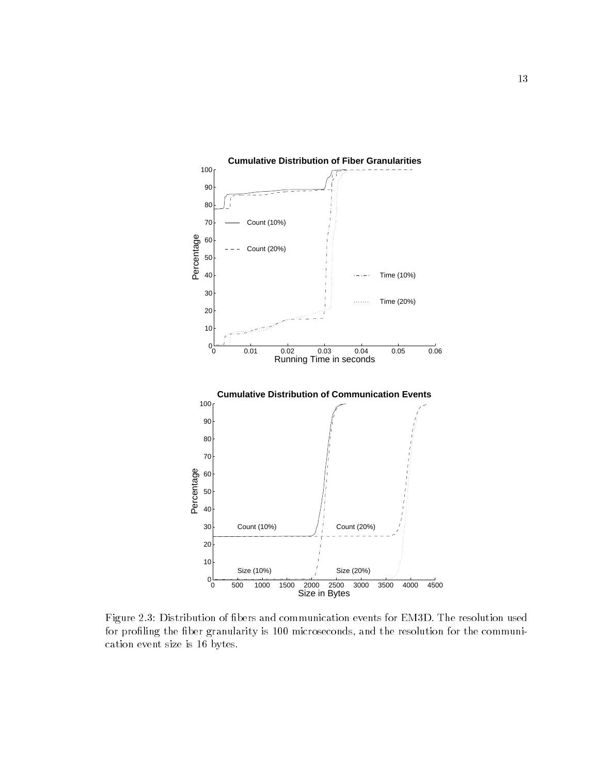

Figure 2.3: Distribution of bers and communication events for EM3D. The resolution used for profiling the fiber granularity is 100 microseconds, and the resolution for the communication event size is 16 bytes.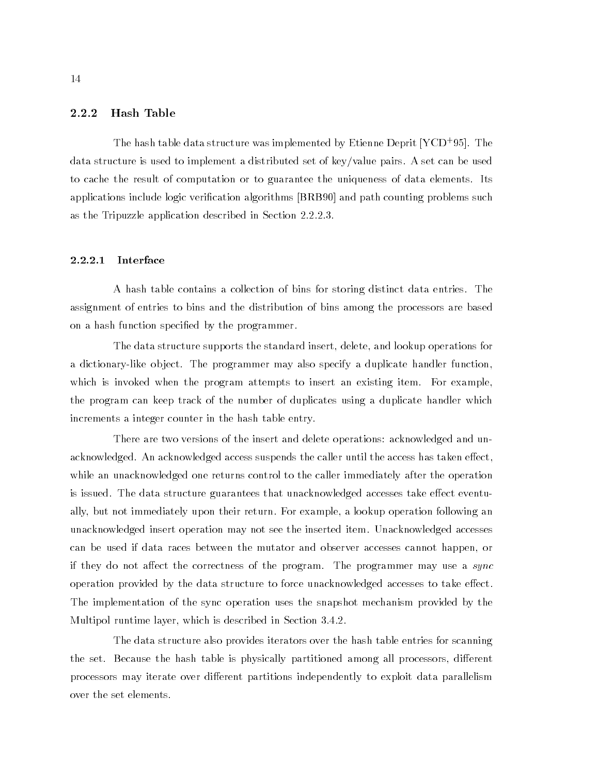#### 2.2.2 Hash Table

The hash table data structure was implemented by Etienne Deprit [YCD+ 95]. The data structure is used to implement a distributed set of key/value pairs. A set can be used to cache the result of computation or to guarantee the uniqueness of data elements. Its applications include logic verication algorithms [BRB90] and path counting problems such as the Tripuzzle application described in Section 2.2.2.3.

#### $2.2.2.1$ Interface

A hash table contains a collection of bins for storing distinct data entries. The assignment of entries to bins and the distribution of bins among the processors are based on a hash function specied by the programmer.

The data structure supports the standard insert, delete, and lookup operations for a dictionary-like ob ject. The programmer may also specify a duplicate handler function, which is invoked when the program attempts to insert an existing item. For example, the program can keep track of the number of duplicates using a duplicate handler which increments a integer counter in the hash table entry.

There are two versions of the insert and delete operations: acknowledged and unacknowledged. An acknowledged access suspends the caller until the access has taken effect, while an unacknowledged one returns control to the caller immediately after the operation is issued. The data structure guarantees that unacknowledged accesses take effect eventually, but not immediately upon their return. For example, a lookup operation following an unacknowledged insert operation may not see the inserted item. Unacknowledged accesses can be used if data races between the mutator and observer accesses cannot happen, or if they do not affect the correctness of the program. The programmer may use a sync operation provided by the data structure to force unacknowledged accesses to take effect. The implementation of the sync operation uses the snapshot mechanism provided by the Multipol runtime layer, which is described in Section 3.4.2.

The data structure also provides iterators over the hash table entries for scanning the set. Because the hash table is physically partitioned among all processors, different processors may iterate over different partitions independently to exploit data parallelism over the set elements.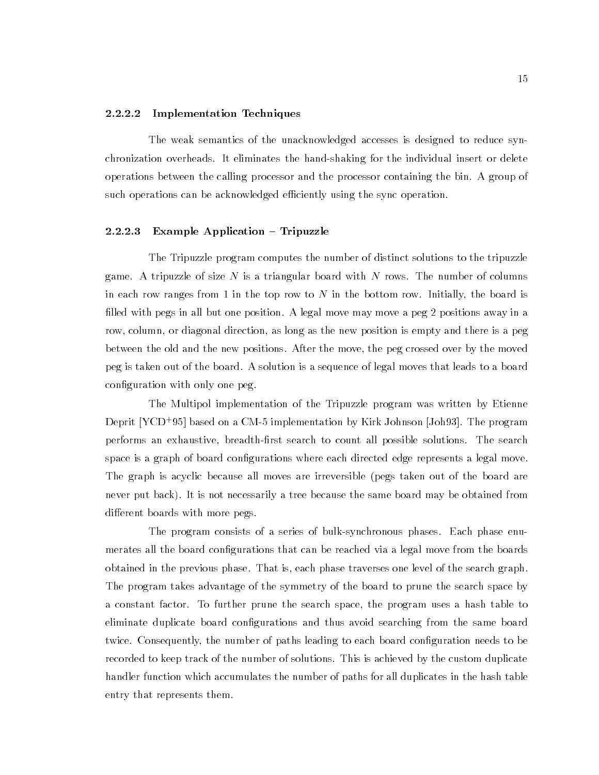#### 2.2.2.2 Implementation Techniques

The weak semantics of the unacknowledged accesses is designed to reduce synchronization overheads. It eliminates the hand-shaking for the individual insert or delete operations between the calling processor and the processor containing the bin. A group of such operations can be acknowledged efficiently using the sync operation.

#### $2.2.2.3$  Example Application  $-$  Tripuzzle

The Tripuzzle program computes the number of distinct solutions to the tripuzzle game. A tripuzzle of size N is a triangular board with N rows. The number of columns in each row ranges from 1 in the top row to N in the bottom row. Initially, the board is filled with pegs in all but one position. A legal move may move a peg 2 positions away in a row, column, or diagonal direction, as long as the new position is empty and there is a peg between the old and the new positions. After the move, the peg crossed over by the moved peg is taken out of the board. A solution is a sequence of legal moves that leads to a board configuration with only one peg.

The Multipol implementation of the Tripuzzle program was written by Etienne Deprit [YCD+ 95] based on a CM-5 implementation by Kirk Johnson [Joh93]. The program performs an exhaustive, breadth-first search to count all possible solutions. The search space is a graph of board configurations where each directed edge represents a legal move. The graph is acyclic because all moves are irreversible (pegs taken out of the board are never put back). It is not necessarily a tree because the same board may be obtained from different boards with more pegs.

The program consists of a series of bulk-synchronous phases. Each phase enumerates all the board configurations that can be reached via a legal move from the boards obtained in the previous phase. That is, each phase traverses one level of the search graph. The program takes advantage of the symmetry of the board to prune the search space by a constant factor. To further prune the search space, the program uses a hash table to eliminate duplicate board congurations and thus avoid searching from the same board twice. Consequently, the number of paths leading to each board configuration needs to be recorded to keep track of the number of solutions. This is achieved by the custom duplicate handler function which accumulates the number of paths for all duplicates in the hash table entry that represents them.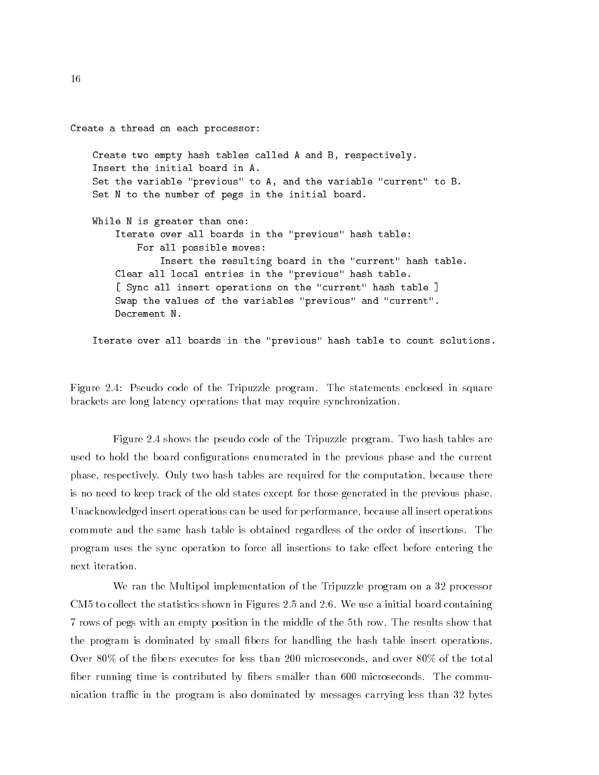Create a thread on each processor: Create two empty hash tables called A and B, respectively. Insert the initial board in A. Set the variable "previous" to A, and the variable "current" to B. Set N to the number of pegs in the initial board. While N is greater than one: Iterate over all boards in the "previous" hash table: For all possible moves: Insert the resulting board in the "current" hash table. Clear all local entries in the "previous" hash table. [ Sync all insert operations on the "current" hash table ] Swap the values of the variables "previous" and "current". Decrement N.

Iterate over all boards in the "previous" hash table to count solutions.

Figure 2.4: Pseudo code of the Tripuzzle program. The statements enclosed in square brackets are long latency operations that may require synchronization.

Figure 2.4 shows the pseudo code of the Tripuzzle program. Two hash tables are used to hold the board configurations enumerated in the previous phase and the current phase, respectively. Only two hash tables are required for the computation, because there is no need to keep track of the old states except for those generated in the previous phase. Unacknowledged insert operations can be used for performance, because all insert operations commute and the same hash table is obtained regardless of the order of insertions. The program uses the sync operation to force all insertions to take effect before entering the next iteration.

We ran the Multipol implementation of the Tripuzzle program on a 32 processor CM5 to collect the statistics shown in Figures 2.5 and 2.6. We use a initial board containing 7 rows of pegs with an empty position in the middle of the 5th row. The results show that the program is dominated by small bers for handling the hash table insert operations. Over  $80\%$  of the fibers executes for less than 200 microseconds, and over  $80\%$  of the total fiber running time is contributed by fibers smaller than 600 microseconds. The communication traffic in the program is also dominated by messages carrying less than 32 bytes

16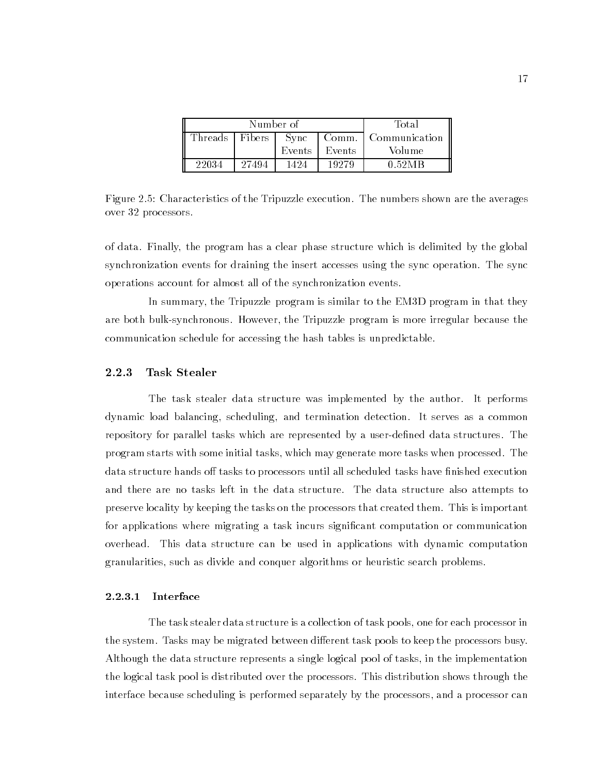|                  | Number of | Total                        |                 |        |
|------------------|-----------|------------------------------|-----------------|--------|
| Threads   Fibers |           | r Comm. '<br>l Communication |                 |        |
|                  |           |                              | Events   Events | Volume |
| 22034            | 27494     | 1424                         | 19279           | 0.52MR |

Figure 2.5: Characteristics of the Tripuzzle execution. The numbers shown are the averages over 32 processors.

of data. Finally, the program has a clear phase structure which is delimited by the global synchronization events for draining the insert accesses using the sync operation. The sync operations account for almost all of the synchronization events.

In summary, the Tripuzzle program is similar to the EM3D program in that they are both bulk-synchronous. However, the Tripuzzle program is more irregular because the communication schedule for accessing the hash tables is unpredictable.

#### 2.2.3 Task Stealer

The task stealer data structure was implemented by the author. It performs dynamic load balancing, scheduling, and termination detection. It serves as a common repository for parallel tasks which are represented by a user-defined data structures. The program starts with some initial tasks, which may generate more tasks when processed. The data structure hands off tasks to processors until all scheduled tasks have finished execution and there are no tasks left in the data structure. The data structure also attempts to preserve locality by keeping the tasks on the processors that created them. This is important for applications where migrating a task incurs signicant computation or communication overhead. This data structure can be used in applications with dynamic computation granularities, such as divide and conquer algorithms or heuristic search problems.

#### 2.2.3.1 **Interface**

The task stealer data structure is a collection of task pools, one for each processor in the system. Tasks may be migrated between different task pools to keep the processors busy. Although the data structure represents a single logical pool of tasks, in the implementation the logical task pool is distributed over the processors. This distribution shows through the interface because scheduling is performed separately by the processors, and a processor can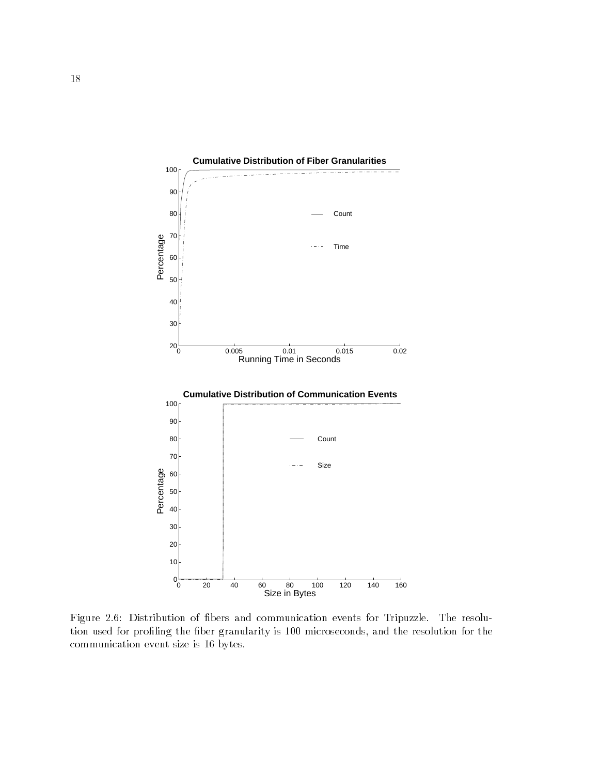

Figure 2.6: Distribution of bers and communication events for Tripuzzle. The resolution used for profiling the fiber granularity is 100 microseconds, and the resolution for the communication event size is 16 bytes.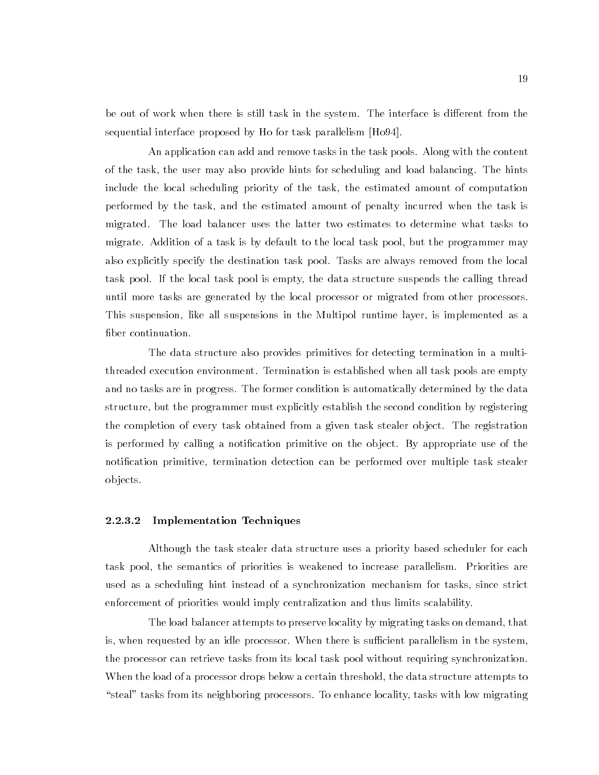be out of work when there is still task in the system. The interface is different from the sequential interface proposed by Ho for task parallelism [Ho94].

An application can add and remove tasks in the task pools. Along with the content of the task, the user may also provide hints for scheduling and load balancing. The hints include the local scheduling priority of the task, the estimated amount of computation performed by the task, and the estimated amount of penalty incurred when the task is migrated. The load balancer uses the latter two estimates to determine what tasks to migrate. Addition of a task is by default to the local task pool, but the programmer may also explicitly specify the destination task pool. Tasks are always removed from the local task pool. If the local task pool is empty, the data structure suspends the calling thread until more tasks are generated by the local processor or migrated from other processors. This suspension, like all suspensions in the Multipol runtime layer, is implemented as a fiber continuation.

The data structure also provides primitives for detecting termination in a multithreaded execution environment. Termination is established when all task pools are empty and no tasks are in progress. The former condition is automatically determined by the data structure, but the programmer must explicitly establish the second condition by registering the completion of every task obtained from a given task stealer ob ject. The registration is performed by calling a notication primitive on the ob ject. By appropriate use of the notification primitive, termination detection can be performed over multiple task stealer ob jects.

#### 2.2.3.2 Implementation Techniques

Although the task stealer data structure uses a priority based scheduler for each task pool, the semantics of priorities is weakened to increase parallelism. Priorities are used as a scheduling hint instead of a synchronization mechanism for tasks, since strict enforcement of priorities would imply centralization and thus limits scalability.

The load balancer attempts to preserve locality by migrating tasks on demand, that is, when requested by an idle processor. When there is sufficient parallelism in the system, the processor can retrieve tasks from its local task pool without requiring synchronization. When the load of a processor drops below a certain threshold, the data structure attempts to " steal" tasks from its neighboring processors. To enhance locality, tasks with low migrating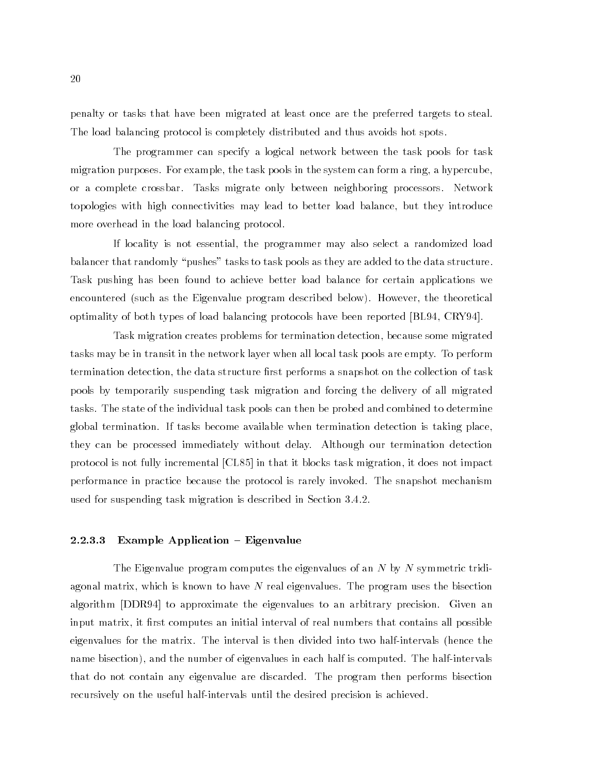penalty or tasks that have been migrated at least once are the preferred targets to steal. The load balancing protocol is completely distributed and thus avoids hot spots.

The programmer can specify a logical network between the task pools for task migration purposes. For example, the task pools in the system can form a ring, a hypercube, or a complete crossbar. Tasks migrate only between neighboring processors. Network topologies with high connectivities may lead to better load balance, but they introduce more overhead in the load balancing protocol.

If locality is not essential, the programmer may also select a randomized load balancer that randomly "pushes" tasks to task pools as they are added to the data structure. Task pushing has been found to achieve better load balance for certain applications we encountered (such as the Eigenvalue program described below). However, the theoretical optimality of both types of load balancing protocols have been reported [BL94, CRY94].

Task migration creates problems for termination detection, because some migrated tasks may be in transit in the network layer when all local task pools are empty. To perform termination detection, the data structure first performs a snapshot on the collection of task pools by temporarily suspending task migration and forcing the delivery of all migrated tasks. The state of the individual task pools can then be probed and combined to determine global termination. If tasks become available when termination detection is taking place, they can be processed immediately without delay. Although our termination detection protocol is not fully incremental [CL85] in that it blocks task migration, it does not impact performance in practice because the protocol is rarely invoked. The snapshot mechanism used for suspending task migration is described in Section 3.4.2.

#### 2.2.3.3 Example Application  ${\bf - Eigenvalue}$

The Eigenvalue program computes the eigenvalues of an  $N$  by  $N$  symmetric tridiagonal matrix, which is known to have  $N$  real eigenvalues. The program uses the bisection algorithm [DDR94] to approximate the eigenvalues to an arbitrary precision. Given an input matrix, it first computes an initial interval of real numbers that contains all possible eigenvalues for the matrix. The interval is then divided into two half-intervals (hence the name bisection), and the number of eigenvalues in each half is computed. The half-intervals that do not contain any eigenvalue are discarded. The program then performs bisection recursively on the useful half-intervals until the desired precision is achieved.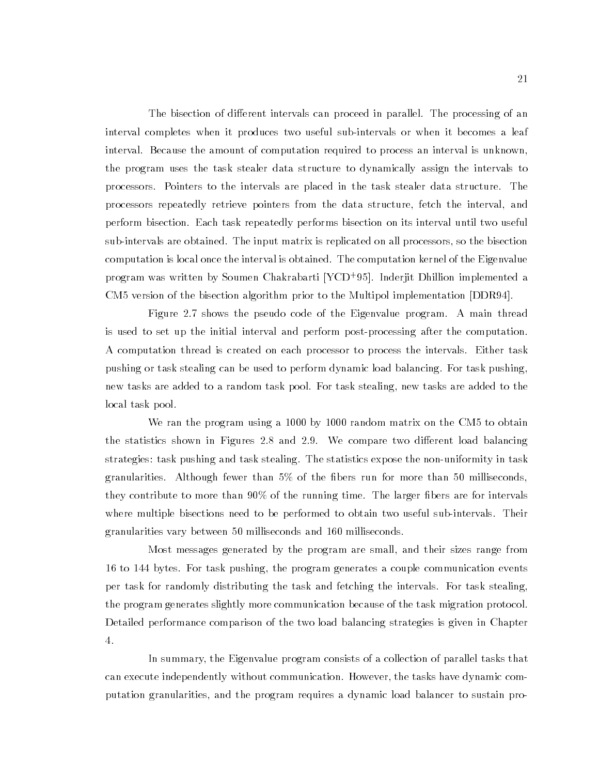The bisection of different intervals can proceed in parallel. The processing of an interval completes when it produces two useful sub-intervals or when it becomes a leaf interval. Because the amount of computation required to process an interval is unknown, the program uses the task stealer data structure to dynamically assign the intervals to processors. Pointers to the intervals are placed in the task stealer data structure. The processors repeatedly retrieve pointers from the data structure, fetch the interval, and perform bisection. Each task repeatedly performs bisection on its interval until two useful sub-intervals are obtained. The input matrix is replicated on all processors, so the bisection computation is local once the interval is obtained. The computation kernel of the Eigenvalue program was written by Soumen Chakrabarti [YCD<sup>+</sup> 95]. Inderjit Dhillion implemented a CM5 version of the bisection algorithm prior to the Multipol implementation [DDR94].

Figure 2.7 shows the pseudo code of the Eigenvalue program. A main thread is used to set up the initial interval and perform post-processing after the computation. A computation thread is created on each processor to process the intervals. Either task pushing or task stealing can be used to perform dynamic load balancing. For task pushing, new tasks are added to a random task pool. For task stealing, new tasks are added to the local task pool.

We ran the program using a 1000 by 1000 random matrix on the CM5 to obtain the statistics shown in Figures 2.8 and 2.9. We compare two different load balancing strategies: task pushing and task stealing. The statistics expose the non-uniformity in task granularities. Although fewer than 5% of the bers run for more than 50 milliseconds, they contribute to more than  $90\%$  of the running time. The larger fibers are for intervals where multiple bisections need to be performed to obtain two useful sub-intervals. Their granularities vary between 50 milliseconds and 160 milliseconds.

Most messages generated by the program are small, and their sizes range from 16 to 144 bytes. For task pushing, the program generates a couple communication events per task for randomly distributing the task and fetching the intervals. For task stealing, the program generates slightly more communication because of the task migration protocol. Detailed performance comparison of the two load balancing strategies is given in Chapter 4.

In summary, the Eigenvalue program consists of a collection of parallel tasks that can execute independently without communication. However, the tasks have dynamic computation granularities, and the program requires a dynamic load balancer to sustain pro-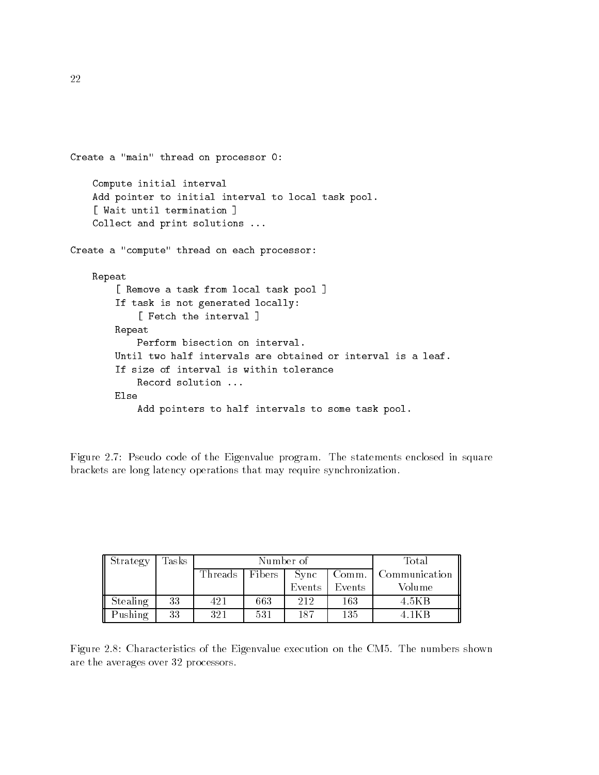```
Create a "main" thread on processor 0:
    Compute initial interval
    Add pointer to initial interval to local task pool.
    [ Wait until termination ]
    Collect and print solutions ...
Create a "compute" thread on each processor:
   Repeat
        [ Remove a task from local task pool ]
        If task is not generated locally:
            [ Fetch the interval ]
        Repeat
            Perform bisection on interval.
        Until two half intervals are obtained or interval is a leaf.
        If size of interval is within tolerance
            Record solution ...
        Flse
            Add pointers to half intervals to some task pool.
```
Figure 2.7: Pseudo code of the Eigenvalue program. The statements enclosed in square brackets are long latency operations that may require synchronization.

| ll Strategy | $\rm{Tasks}$ |                                      | Number of | Total  |        |               |
|-------------|--------------|--------------------------------------|-----------|--------|--------|---------------|
|             |              | Threads<br>  Fibers<br>Sync<br>Comm. |           |        |        | Communication |
|             |              |                                      |           | Events | Events | Volume        |
| Stealing    | 33           | 421                                  | 663       | 212    | 163    | 4.5KB         |
| Pushing     | 33           | 321                                  | 531       | 187    | 135    | 4.1KB         |

Figure 2.8: Characteristics of the Eigenvalue execution on the CM5. The numbers shown are the averages over 32 processors.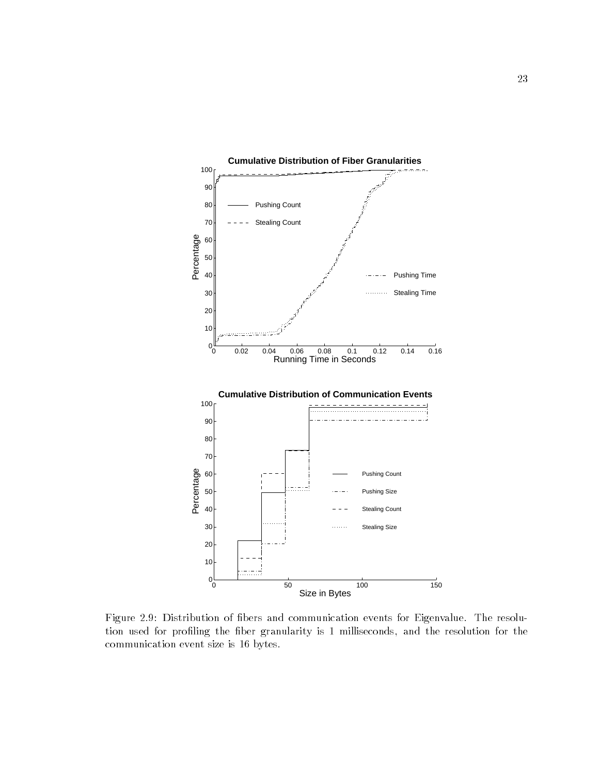

Figure 2.9: Distribution of bers and communication events for Eigenvalue. The resolution used for profiling the fiber granularity is 1 milliseconds, and the resolution for the communication event size is 16 bytes.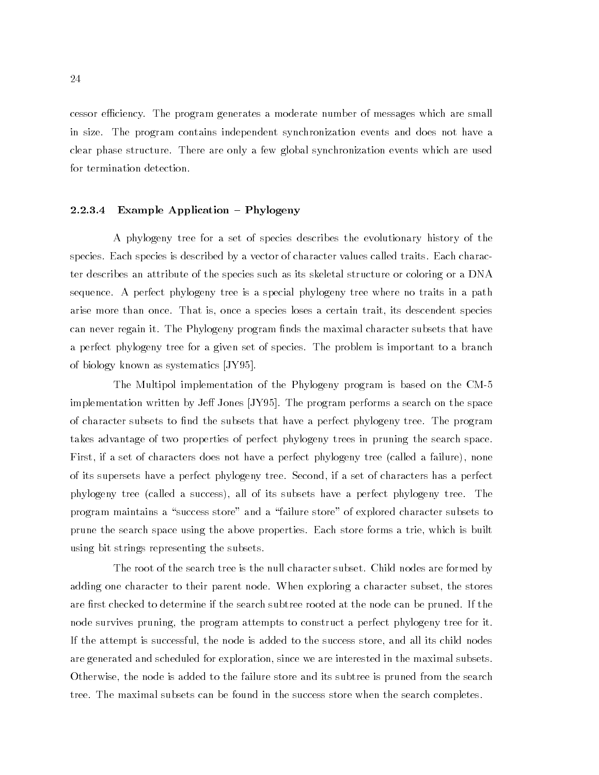cessor efficiency. The program generates a moderate number of messages which are small in size. The program contains independent synchronization events and does not have a clear phase structure. There are only a few global synchronization events which are used for termination detection.

#### 2.2.3.4 Example Application  $-$  Phylogeny

A phylogeny tree for a set of species describes the evolutionary history of the species. Each species is described by a vector of character values called traits. Each character describes an attribute of the species such as its skeletal structure or coloring or a DNA sequence. A perfect phylogeny tree is a special phylogeny tree where no traits in a path arise more than once. That is, once a species loses a certain trait, its descendent species can never regain it. The Phylogeny program finds the maximal character subsets that have a perfect phylogeny tree for a given set of species. The problem is important to a branch of biology known as systematics [JY95].

The Multipol implementation of the Phylogeny program is based on the CM-5 implementation written by Jeff Jones  $[JY95]$ . The program performs a search on the space of character subsets to find the subsets that have a perfect phylogeny tree. The program takes advantage of two properties of perfect phylogeny trees in pruning the search space. First, if a set of characters does not have a perfect phylogeny tree (called a failure), none of its supersets have a perfect phylogeny tree. Second, if a set of characters has a perfect phylogeny tree (called a success), all of its subsets have a perfect phylogeny tree. The program maintains a "success store" and a "failure store" of explored character subsets to prune the search space using the above properties. Each store forms a trie, which is built using bit strings representing the subsets.

The root of the search tree is the null character subset. Child nodes are formed by adding one character to their parent node. When exploring a character subset, the stores are first checked to determine if the search subtree rooted at the node can be pruned. If the node survives pruning, the program attempts to construct a perfect phylogeny tree for it. If the attempt is successful, the node is added to the success store, and all its child nodes are generated and scheduled for exploration, since we are interested in the maximal subsets. Otherwise, the node is added to the failure store and its subtree is pruned from the search tree. The maximal subsets can be found in the success store when the search completes.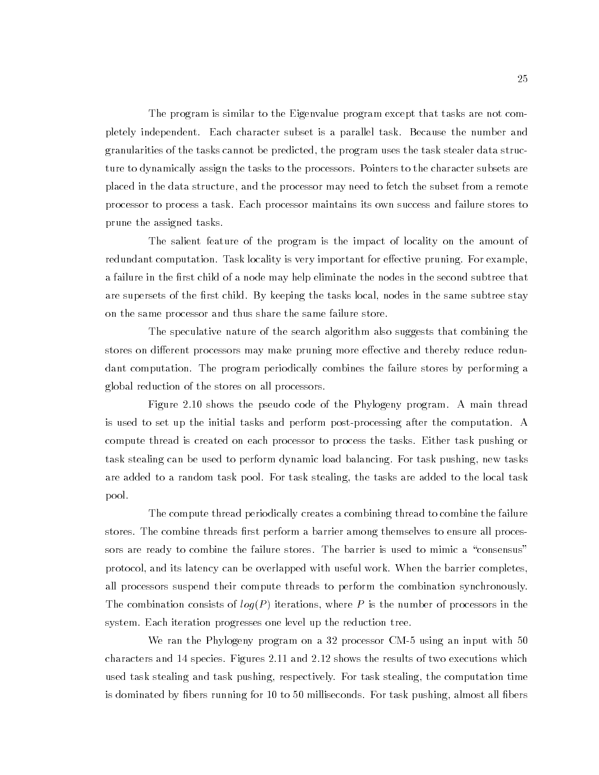The program is similar to the Eigenvalue program except that tasks are not completely independent. Each character subset is a parallel task. Because the number and granularities of the tasks cannot be predicted, the program uses the task stealer data structure to dynamically assign the tasks to the processors. Pointers to the character subsets are placed in the data structure, and the processor may need to fetch the subset from a remote processor to process a task. Each processor maintains its own success and failure stores to prune the assigned tasks.

The salient feature of the program is the impact of locality on the amount of redundant computation. Task locality is very important for effective pruning. For example, a failure in the first child of a node may help eliminate the nodes in the second subtree that are supersets of the first child. By keeping the tasks local, nodes in the same subtree stay on the same processor and thus share the same failure store.

The speculative nature of the search algorithm also suggests that combining the stores on different processors may make pruning more effective and thereby reduce redundant computation. The program periodically combines the failure stores by performing a global reduction of the stores on all processors.

Figure 2.10 shows the pseudo code of the Phylogeny program. A main thread is used to set up the initial tasks and perform post-processing after the computation. A compute thread is created on each processor to process the tasks. Either task pushing or task stealing can be used to perform dynamic load balancing. For task pushing, new tasks are added to a random task pool. For task stealing, the tasks are added to the local task pool.

The compute thread periodically creates a combining thread to combine the failure stores. The combine threads first perform a barrier among themselves to ensure all processors are ready to combine the failure stores. The barrier is used to mimic a "consensus" protocol, and its latency can be overlapped with useful work. When the barrier completes, all processors suspend their compute threads to perform the combination synchronously. The combination consists of  $log(P)$  iterations, where P is the number of processors in the system. Each iteration progresses one level up the reduction tree.

We ran the Phylogeny program on a 32 processor CM-5 using an input with 50 characters and 14 species. Figures 2.11 and 2.12 shows the results of two executions which used task stealing and task pushing, respectively. For task stealing, the computation time is dominated by fibers running for 10 to 50 milliseconds. For task pushing, almost all fibers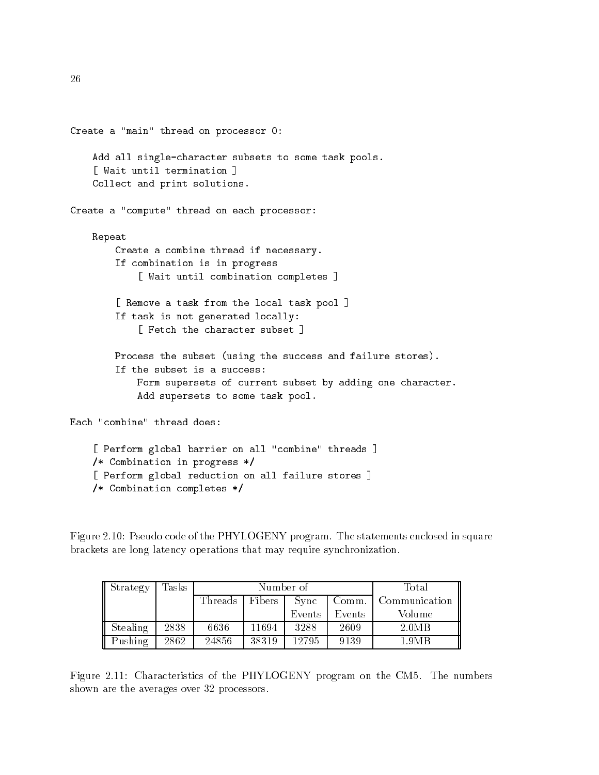```
Create a "main" thread on processor 0:
    Add all single-character subsets to some task pools.
    [ Wait until termination ]
    Collect and print solutions.
Create a "compute" thread on each processor:
    Repeat
        Create a combine thread if necessary.
        If combination is in progress
            [ Wait until combination completes ]
        [ Remove a task from the local task pool ]
        If task is not generated locally:
            [ Fetch the character subset ]
        Process the subset (using the success and failure stores).
        If the subset is a success:
            Form supersets of current subset by adding one character.
            Add supersets to some task pool.
Each "combine" thread does:
    [ Perform global barrier on all "combine" threads ]
    /* Combination in progress */
```

```
[ Perform global reduction on all failure stores ]
/* Combination completes */
```
Figure 2.10: Pseudo code of the PHYLOGENY program. The statements enclosed in square brackets are long latency operations that may require synchronization.

| Strategy | $\rm{Tasks}$ |                   | Number of | Total  |        |               |
|----------|--------------|-------------------|-----------|--------|--------|---------------|
|          |              | Threads<br>Fibers |           | Sync   | Comm.  | Communication |
|          |              |                   |           | Events | Events | Volume        |
| Stealing | 2838         | 6636              | 11694     | 3288   | 2609   | 2.0MB         |
| Pushing  | 2862         | 24856             | 38319     | 12795  | 9139   | 1.9MB         |

Figure 2.11: Characteristics of the PHYLOGENY program on the CM5. The numbers shown are the averages over 32 processors.

26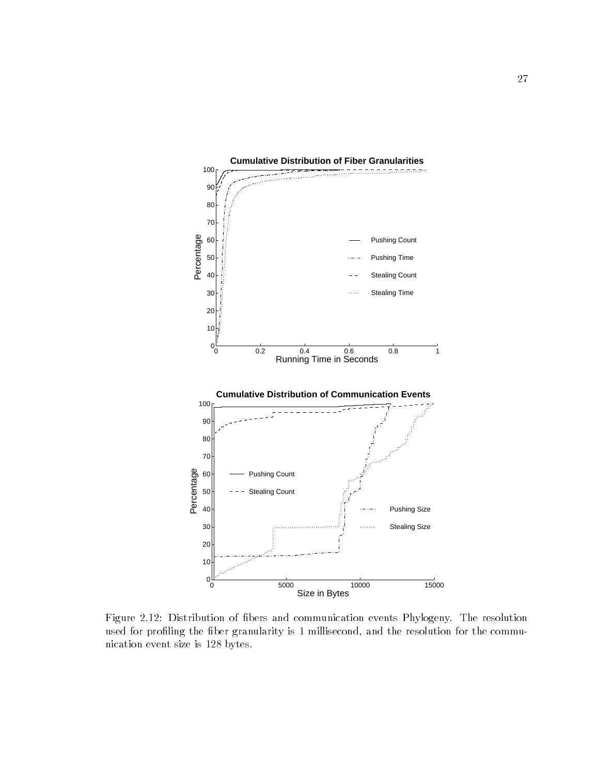

Figure 2.12: Distribution of bers and communication events Phylogeny. The resolution used for profiling the fiber granularity is 1 millisecond, and the resolution for the communication event size is 128 bytes.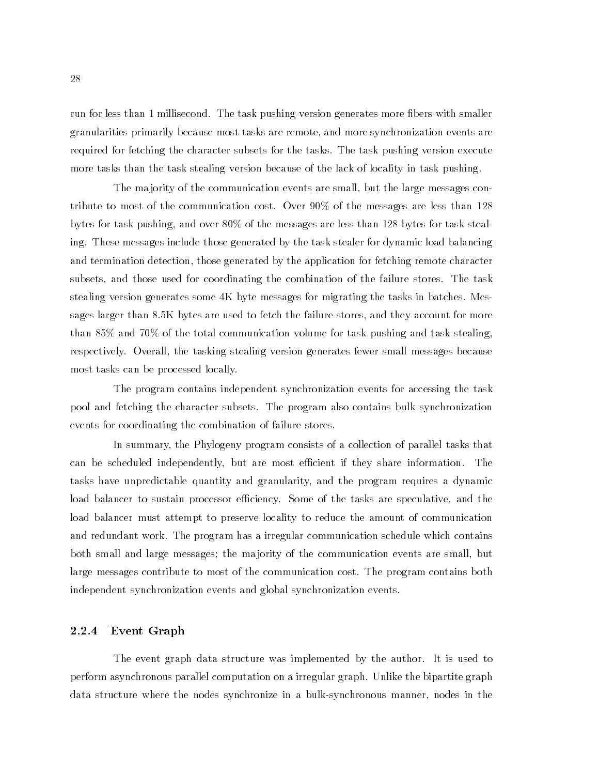run for less than 1 millisecond. The task pushing version generates more fibers with smaller granularities primarily because most tasks are remote, and more synchronization events are required for fetching the character subsets for the tasks. The task pushing version execute more tasks than the task stealing version because of the lack of locality in task pushing.

The ma jority of the communication events are small, but the large messages contribute to most of the communication cost. Over 90% of the messages are less than 128 bytes for task pushing, and over 80% of the messages are less than 128 bytes for task stealing. These messages include those generated by the task stealer for dynamic load balancing and termination detection, those generated by the application for fetching remote character subsets, and those used for coordinating the combination of the failure stores. The task stealing version generates some 4K byte messages for migrating the tasks in batches. Messages larger than 8.5K bytes are used to fetch the failure stores, and they account for more than 85% and 70% of the total communication volume for task pushing and task stealing, respectively. Overall, the tasking stealing version generates fewer small messages because most tasks can be processed locally.

The program contains independent synchronization events for accessing the task pool and fetching the character subsets. The program also contains bulk synchronization events for coordinating the combination of failure stores.

In summary, the Phylogeny program consists of a collection of parallel tasks that can be scheduled independently, but are most efficient if they share information. The tasks have unpredictable quantity and granularity, and the program requires a dynamic load balancer to sustain processor efficiency. Some of the tasks are speculative, and the load balancer must attempt to preserve locality to reduce the amount of communication and redundant work. The program has a irregular communication schedule which contains both small and large messages; the ma jority of the communication events are small, but large messages contribute to most of the communication cost. The program contains both independent synchronization events and global synchronization events.

#### 2.2.4 Event Graph

The event graph data structure was implemented by the author. It is used to perform asynchronous parallel computation on a irregular graph. Unlike the bipartite graph data structure where the nodes synchronize in a bulk-synchronous manner, nodes in the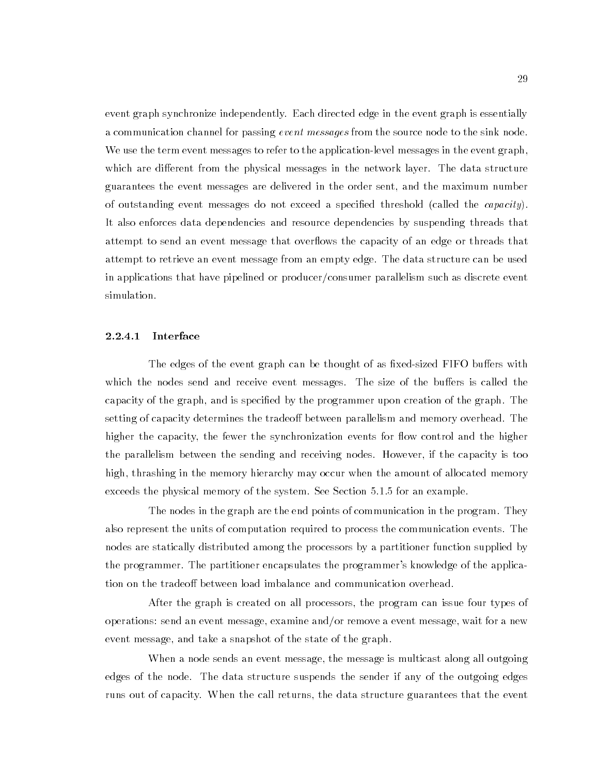event graph synchronize independently. Each directed edge in the event graph is essentially a communication channel for passing *event messages* from the source node to the sink node. We use the term event messages to refer to the application-level messages in the event graph, which are different from the physical messages in the network layer. The data structure guarantees the event messages are delivered in the order sent, and the maximum number of outstanding event messages do not exceed a specied threshold (called the capacity). It also enforces data dependencies and resource dependencies by suspending threads that attempt to send an event message that overflows the capacity of an edge or threads that attempt to retrieve an event message from an empty edge. The data structure can be used in applications that have pipelined or producer/consumer parallelism such as discrete event simulation.

#### Interface 2.2.4.1

The edges of the event graph can be thought of as fixed-sized FIFO buffers with which the nodes send and receive event messages. The size of the buffers is called the capacity of the graph, and is specified by the programmer upon creation of the graph. The setting of capacity determines the tradeoff between parallelism and memory overhead. The higher the capacity, the fewer the synchronization events for flow control and the higher the parallelism between the sending and receiving nodes. However, if the capacity is too high, thrashing in the memory hierarchy may occur when the amount of allocated memory exceeds the physical memory of the system. See Section 5.1.5 for an example.

The nodes in the graph are the end points of communication in the program. They also represent the units of computation required to process the communication events. The nodes are statically distributed among the processors by a partitioner function supplied by the programmer. The partitioner encapsulates the programmer's knowledge of the application on the tradeoff between load imbalance and communication overhead.

After the graph is created on all processors, the program can issue four types of operations: send an event message, examine and/or remove a event message, wait for a new event message, and take a snapshot of the state of the graph.

When a node sends an event message, the message is multicast along all outgoing edges of the node. The data structure suspends the sender if any of the outgoing edges runs out of capacity. When the call returns, the data structure guarantees that the event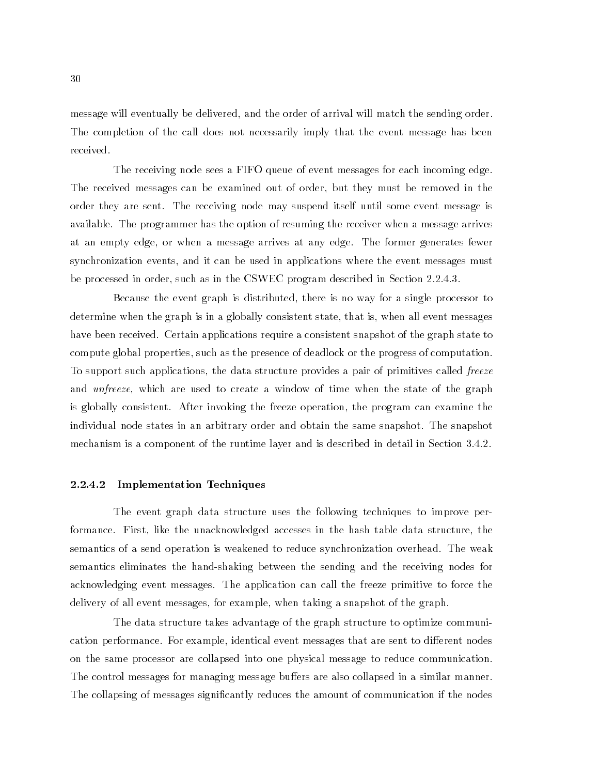message will eventually be delivered, and the order of arrival will match the sending order. The completion of the call does not necessarily imply that the event message has been received.

The receiving node sees a FIFO queue of event messages for each incoming edge. The received messages can be examined out of order, but they must be removed in the order they are sent. The receiving node may suspend itself until some event message is available. The programmer has the option of resuming the receiver when a message arrives at an empty edge, or when a message arrives at any edge. The former generates fewer synchronization events, and it can be used in applications where the event messages must be processed in order, such as in the CSWEC program described in Section 2.2.4.3.

Because the event graph is distributed, there is no way for a single processor to determine when the graph is in a globally consistent state, that is, when all event messages have been received. Certain applications require a consistent snapshot of the graph state to compute global properties, such as the presence of deadlock or the progress of computation. To support such applications, the data structure provides a pair of primitives called freeze and unfreeze, which are used to create a window of time when the state of the graph is globally consistent. After invoking the freeze operation, the program can examine the individual node states in an arbitrary order and obtain the same snapshot. The snapshot mechanism is a component of the runtime layer and is described in detail in Section 3.4.2.

#### 2.2.4.2 Implementation Techniques

The event graph data structure uses the following techniques to improve performance. First, like the unacknowledged accesses in the hash table data structure, the semantics of a send operation is weakened to reduce synchronization overhead. The weak semantics eliminates the hand-shaking between the sending and the receiving nodes for acknowledging event messages. The application can call the freeze primitive to force the delivery of all event messages, for example, when taking a snapshot of the graph.

The data structure takes advantage of the graph structure to optimize communication performance. For example, identical event messages that are sent to different nodes on the same processor are collapsed into one physical message to reduce communication. The control messages for managing message buffers are also collapsed in a similar manner. The collapsing of messages signicantly reduces the amount of communication if the nodes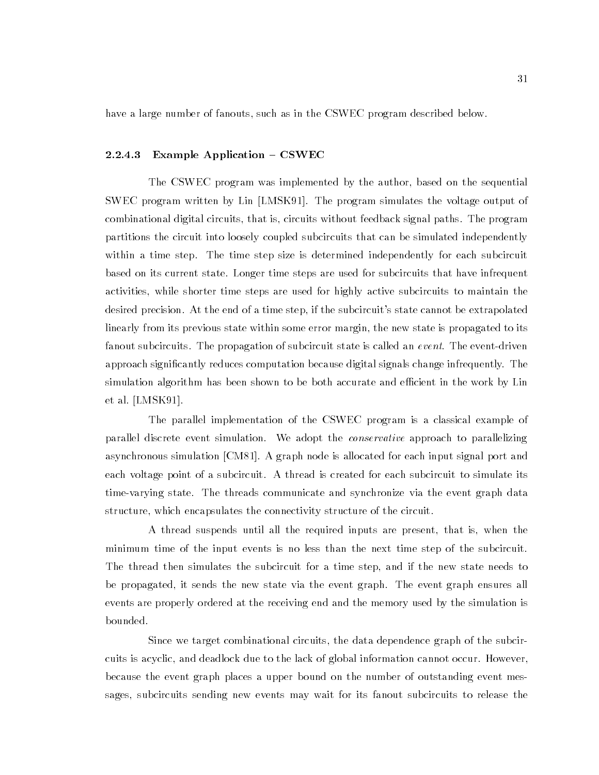have a large number of fanouts, such as in the CSWEC program described below.

#### 2.2.4.3 Example Application  $-$  CSWEC

The CSWEC program was implemented by the author, based on the sequential SWEC program written by Lin [LMSK91]. The program simulates the voltage output of combinational digital circuits, that is, circuits without feedback signal paths. The program partitions the circuit into loosely coupled subcircuits that can be simulated independently within a time step. The time step size is determined independently for each subcircuit based on its current state. Longer time steps are used for subcircuits that have infrequent activities, while shorter time steps are used for highly active subcircuits to maintain the desired precision. At the end of a time step, if the subcircuit's state cannot be extrapolated linearly from its previous state within some error margin, the new state is propagated to its fanout subcircuits. The propagation of subcircuit state is called an *event*. The event-driven approach signicantly reduces computation because digital signals change infrequently. The simulation algorithm has been shown to be both accurate and efficient in the work by Lin et al. [LMSK91].

The parallel implementation of the CSWEC program is a classical example of parallel discrete event simulation. We adopt the *conservative* approach to parallelizing asynchronous simulation [CM81]. A graph node is allocated for each input signal port and each voltage point of a subcircuit. A thread is created for each subcircuit to simulate its time-varying state. The threads communicate and synchronize via the event graph data structure, which encapsulates the connectivity structure of the circuit.

A thread suspends until all the required inputs are present, that is, when the minimum time of the input events is no less than the next time step of the subcircuit. The thread then simulates the subcircuit for a time step, and if the new state needs to be propagated, it sends the new state via the event graph. The event graph ensures all events are properly ordered at the receiving end and the memory used by the simulation is bounded.

Since we target combinational circuits, the data dependence graph of the subcircuits is acyclic, and deadlock due to the lack of global information cannot occur. However, because the event graph places a upper bound on the number of outstanding event messages, subcircuits sending new events may wait for its fanout subcircuits to release the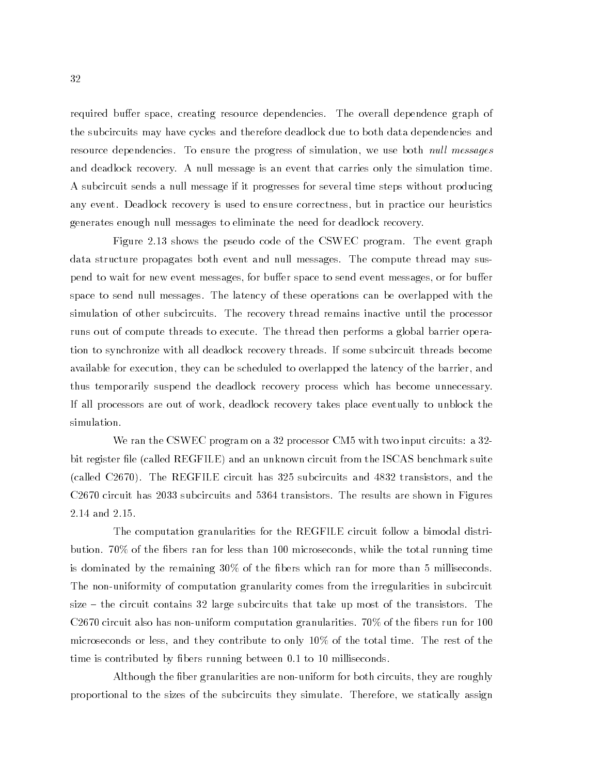required buffer space, creating resource dependencies. The overall dependence graph of the subcircuits may have cycles and therefore deadlock due to both data dependencies and resource dependencies. To ensure the progress of simulation, we use both *null messages* and deadlock recovery. Anull message is an event that carries only the simulation time. A subcircuit sends a null message if it progresses for several time steps without producing any event. Deadlock recovery is used to ensure correctness, but in practice our heuristics generates enough null messages to eliminate the need for deadlock recovery.

Figure 2.13 shows the pseudo code of the CSWEC program. The event graph data structure propagates both event and null messages. The compute thread may suspend to wait for new event messages, for buffer space to send event messages, or for buffer space to send null messages. The latency of these operations can be overlapped with the simulation of other subcircuits. The recovery thread remains inactive until the processor runs out of compute threads to execute. The thread then performs a global barrier operation to synchronize with all deadlock recovery threads. If some subcircuit threads become available for execution, they can be scheduled to overlapped the latency of the barrier, and thus temporarily suspend the deadlock recovery process which has become unnecessary. If all processors are out of work, deadlock recovery takes place eventually to unblock the simulation.

We ran the CSWEC program on a 32 processor CM5 with two input circuits: a 32 bit register file (called REGFILE) and an unknown circuit from the ISCAS benchmark suite (called C2670). The REGFILE circuit has 325 subcircuits and 4832 transistors, and the C2670 circuit has 2033 subcircuits and 5364 transistors. The results are shown in Figures 2.14 and 2.15.

The computation granularities for the REGFILE circuit follow a bimodal distribution. 70% of the bers ran for less than 100 microseconds, while the total running time is dominated by the remaining 30% of the bers which ran for more than 5 milliseconds. The non-uniformity of computation granularity comes from the irregularities in subcircuit size  $-$  the circuit contains 32 large subcircuits that take up most of the transistors. The C2670 circuit also has non-uniform computation granularities.  $70\%$  of the fibers run for 100 microseconds or less, and they contribute to only 10% of the total time. The rest of the time is contributed by fibers running between 0.1 to 10 milliseconds.

Although the fiber granularities are non-uniform for both circuits, they are roughly proportional to the sizes of the subcircuits they simulate. Therefore, we statically assign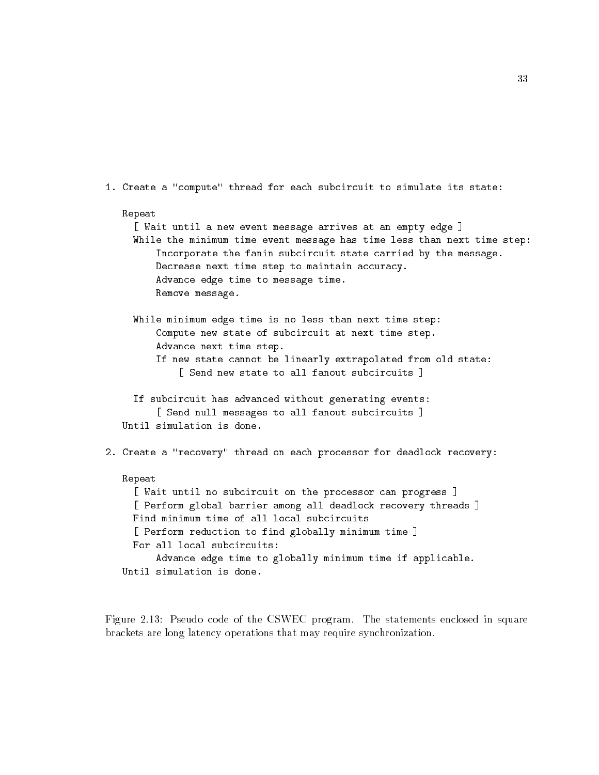```
1. Create a "compute" thread for each subcircuit to simulate its state:
   Repeat
     [ Wait until a new event message arrives at an empty edge ]
     While the minimum time event message has time less than next time step:
         Incorporate the fanin subcircuit state carried by the message.
         Decrease next time step to maintain accuracy.
         Advance edge time to message time.
         Remove message.
     While minimum edge time is no less than next time step:
         Compute new state of subcircuit at next time step.
         Advance next time step.
         If new state cannot be linearly extrapolated from old state:
             Send new state to all fanout subcircuits 1
             \mathbb{R}^3 state to all fanout subcircuits \mathbb{R}^3 subcircuits \mathbb{R}^3 subcircuits \mathbb{R}^3If subcircuit has advanced without generating events:
         [ Send null messages to all fanout subcircuits ]
   Until simulation is done.
2. Create a "recovery" thread on each processor for deadlock recovery:
   Repeat
     [ Wait until no subcircuit on the processor can progress ]
     [ Perform global barrier among all deadlock recovery threads ]
     Find minimum time of all local subcircuits
     [ Perform reduction to find globally minimum time ]
     For all local subcircuits:
         Advance edge time to globally minimum time if applicable.
   Until simulation is done.
```
Figure 2.13: Pseudo code of the CSWEC program. The statements enclosed in square brackets are long latency operations that may require synchronization.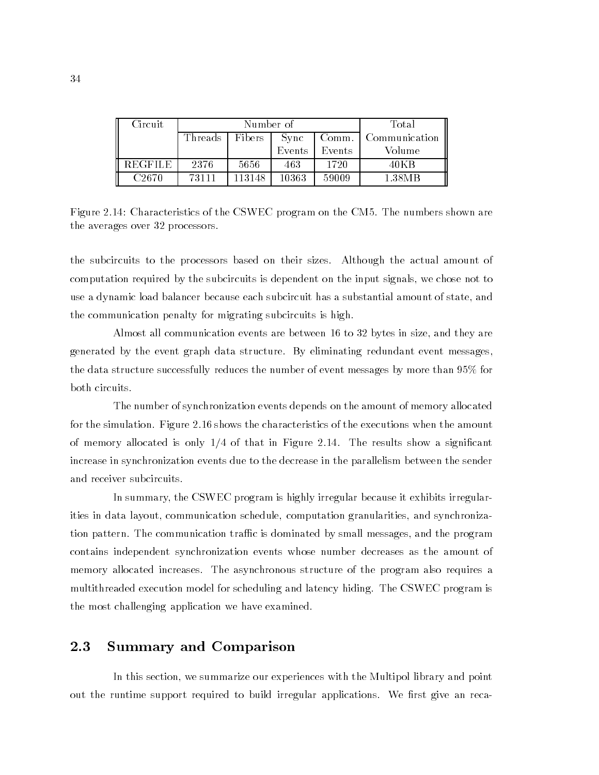| Circuit           |                   | Number of | Total  |        |               |  |
|-------------------|-------------------|-----------|--------|--------|---------------|--|
|                   | Threads<br>Fibers |           | Sync   | Comm.  | Communication |  |
|                   |                   |           | Events | Events | Volume        |  |
| <b>REGFILE</b>    | 2376              | 5656      | 463    | 1720   | 40KB          |  |
| C <sub>2670</sub> | 73111             | 113148    | 10363  | 59009  | 1.38MB        |  |

Figure 2.14: Characteristics of the CSWEC program on the CM5. The numbers shown are the averages over 32 processors.

the subcircuits to the processors based on their sizes. Although the actual amount of computation required by the subcircuits is dependent on the input signals, we chose not to use a dynamic load balancer because each subcircuit has a substantial amount of state, and the communication penalty for migrating subcircuits is high.

Almost all communication events are between 16 to 32 bytes in size, and they are generated by the event graph data structure. By eliminating redundant event messages, the data structure successfully reduces the number of event messages by more than 95% for both circuits.

The number of synchronization events depends on the amount of memory allocated for the simulation. Figure 2.16 shows the characteristics of the executions when the amount of memory allocated is only  $1/4$  of that in Figure 2.14. The results show a significant increase in synchronization events due to the decrease in the parallelism between the sender and receiver subcircuits.

In summary, the CSWEC program is highly irregular because it exhibits irregularities in data layout, communication schedule, computation granularities, and synchronization pattern. The communication traffic is dominated by small messages, and the program contains independent synchronization events whose number decreases as the amount of memory allocated increases. The asynchronous structure of the program also requires a multithreaded execution model for scheduling and latency hiding. The CSWEC program is the most challenging application we have examined.

#### 2.3 **Summary and Comparison**

In this section, we summarize our experiences with the Multipol library and point out the runtime support required to build irregular applications. We first give an reca-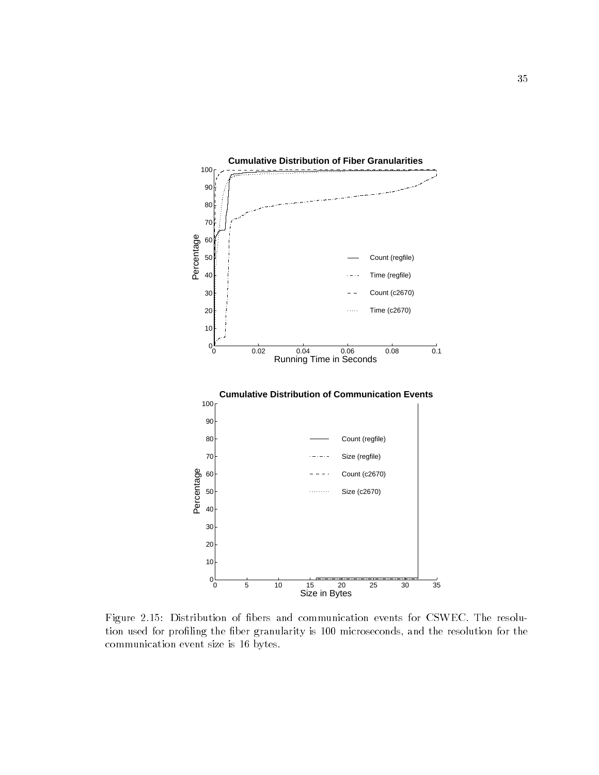

Figure 2.15: Distribution of bers and communication events for CSWEC. The resolution used for profiling the fiber granularity is 100 microseconds, and the resolution for the communication event size is 16 bytes.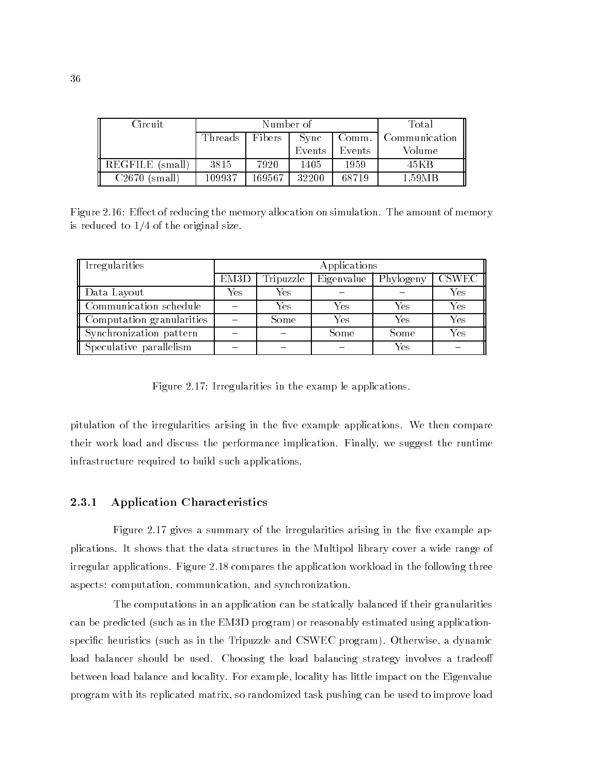| Circuit                      |                                    | Number of | Total         |        |        |
|------------------------------|------------------------------------|-----------|---------------|--------|--------|
|                              | Threads<br>Fibers<br>Comm.<br>Sync |           | Communication |        |        |
|                              |                                    |           | Events        | Events | Volume |
| REGFILE (small)              | 3815                               | 7920      | 1405          | 1959   | 45K B  |
| C <sub>2670</sub><br>'small) | 109937                             | 169567    | 32200         | 68719  | 1.59MB |

Figure 2.16: Effect of reducing the memory allocation on simulation. The amount of memory is reduced to 1/4 of the original size.

| Irregularities            | Applications      |           |            |           |              |  |  |  |
|---------------------------|-------------------|-----------|------------|-----------|--------------|--|--|--|
|                           | EM <sub>3</sub> D | Tripuzzle | Eigenvalue | Phylogeny | <b>CSWEC</b> |  |  |  |
| Data Layout               | Yes               | Yes       |            |           | Yes          |  |  |  |
| Communication schedule    |                   | Yes       | Yes        | Yes       | Yes          |  |  |  |
| Computation granularities |                   | Some      | Yes        | Yes       | Yes          |  |  |  |
| Synchronization pattern   |                   |           | Some       | Some      | Yes          |  |  |  |
| Speculative parallelism   |                   |           |            | Yes       |              |  |  |  |

Figure 2.17: Irregularities in the examp le applications.

pitulation of the irregularities arising in the five example applications. We then compare their work load and discuss the performance implication. Finally, we suggest the runtime infrastructure required to build such applications.

#### 2.3.1 Application Characteristics

Figure 2.17 gives a summary of the irregularities arising in the five example applications. It shows that the data structures in the Multipol library cover a wide range of irregular applications. Figure 2.18 compares the application workload in the following three aspects: computation, communication, and synchronization.

The computations in an application can be statically balanced if their granularities can be predicted (such as in the EM3D program) or reasonably estimated using applicationspecic heuristics (such as in the Tripuzzle and CSWEC program). Otherwise, a dynamic load balancer should be used. Choosing the load balancing strategy involves a tradeoff between load balance and locality. For example, locality has little impact on the Eigenvalue program with its replicated matrix, so randomized task pushing can be used to improve load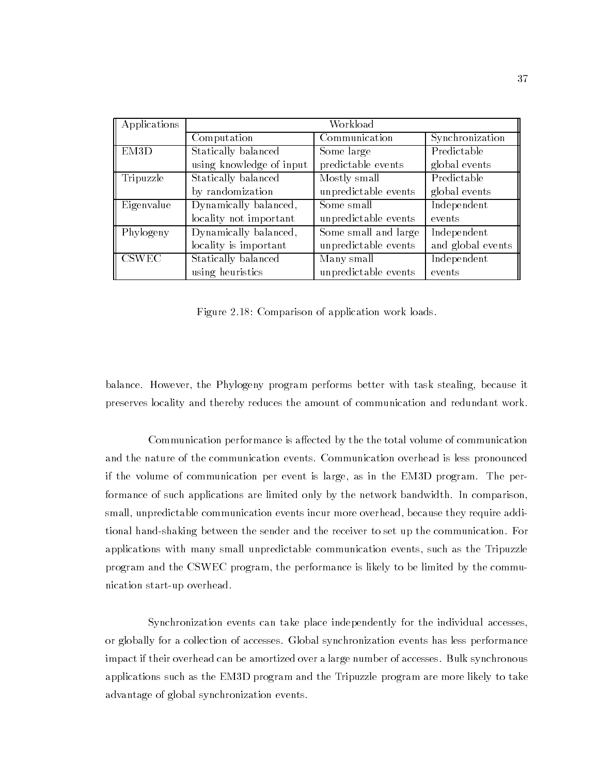| Applications | Workload                 |                      |                   |  |  |  |  |
|--------------|--------------------------|----------------------|-------------------|--|--|--|--|
|              | Computation              | Communication        | Synchronization   |  |  |  |  |
| EM3D         | Statically balanced      | Some large           | Predictable       |  |  |  |  |
|              | using knowledge of input | predictable events   | global events     |  |  |  |  |
| Tripuzzle    | Statically balanced      | Mostly small         | Predictable       |  |  |  |  |
|              | by randomization         | unpredictable events | global events     |  |  |  |  |
| Eigenvalue   | Dynamically balanced,    | Some small           | Independent       |  |  |  |  |
|              | locality not important   | unpredictable events | events            |  |  |  |  |
| Phylogeny    | Dynamically balanced,    | Some small and large | Independent       |  |  |  |  |
|              | locality is important    | unpredictable events | and global events |  |  |  |  |
| <b>CSWEC</b> | Statically balanced      | Many small           | Independent       |  |  |  |  |
|              | using heuristics         | unpredictable events | events            |  |  |  |  |

Figure 2.18: Comparison of application work loads.

balance. However, the Phylogeny program performs better with task stealing, because it preserves locality and thereby reduces the amount of communication and redundant work.

Communication performance is affected by the the total volume of communication and the nature of the communication events. Communication overhead is less pronounced if the volume of communication per event is large, as in the EM3D program. The performance of such applications are limited only by the network bandwidth. In comparison, small, unpredictable communication events incur more overhead, because they require additional hand-shaking between the sender and the receiver to set up the communication. For applications with many small unpredictable communication events, such as the Tripuzzle program and the CSWEC program, the performance is likely to be limited by the communication start-up overhead.

Synchronization events can take place independently for the individual accesses, or globally for a collection of accesses. Global synchronization events has less performance impact if their overhead can be amortized over a large number of accesses. Bulk synchronous applications such as the EM3D program and the Tripuzzle program are more likely to take advantage of global synchronization events.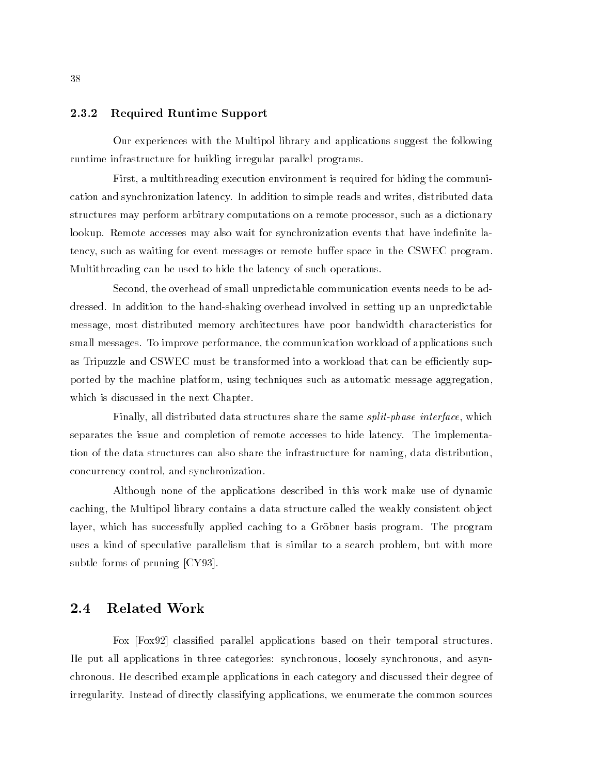#### 2.3.2 Required Runtime Support

Our experiences with the Multipol library and applications suggest the following runtime infrastructure for building irregular parallel programs.

First, a multithreading execution environment is required for hiding the communication and synchronization latency. In addition to simple reads and writes, distributed data structures may perform arbitrary computations on a remote processor, such as a dictionary lookup. Remote accesses may also wait for synchronization events that have indefinite latency, such as waiting for event messages or remote buffer space in the CSWEC program. Multithreading can be used to hide the latency of such operations.

Second, the overhead of small unpredictable communication events needs to be addressed. In addition to the hand-shaking overhead involved in setting up an unpredictable message, most distributed memory architectures have poor bandwidth characteristics for small messages. To improve performance, the communication workload of applications such as Tripuzzle and CSWEC must be transformed into a workload that can be efficiently supported by the machine platform, using techniques such as automatic message aggregation, which is discussed in the next Chapter.

Finally, all distributed data structures share the same split-phase interface, which separates the issue and completion of remote accesses to hide latency. The implementation of the data structures can also share the infrastructure for naming, data distribution, concurrency control, and synchronization.

Although none of the applications described in this work make use of dynamic caching, the Multipol library contains a data structure called the weakly consistent ob ject layer, which has successfully applied caching to a Gröbner basis program. The program uses a kind of speculative parallelism that is similar to a search problem, but with more subtle forms of pruning [CY93].

#### 2.4 Related Work

Fox [Fox92] classied parallel applications based on their temporal structures. He put all applications in three categories: synchronous, loosely synchronous, and asynchronous. He described example applications in each category and discussed their degree of irregularity. Instead of directly classifying applications, we enumerate the common sources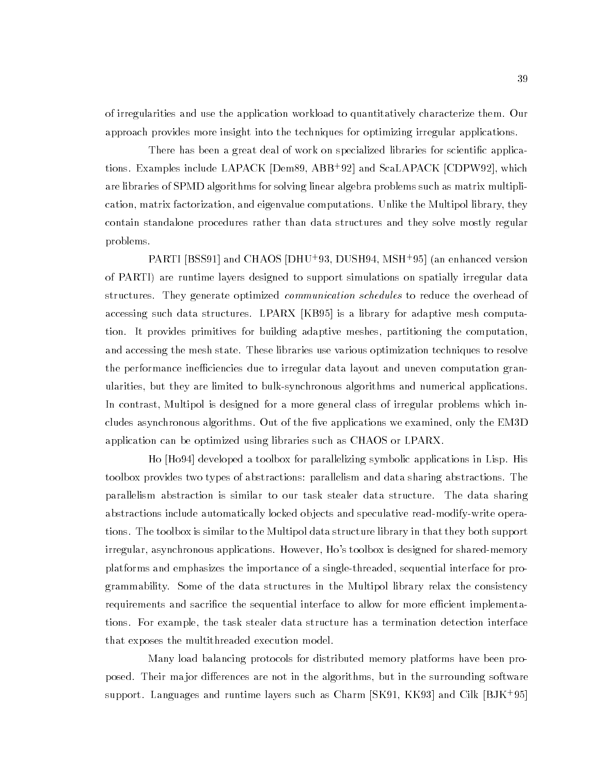of irregularities and use the application workload to quantitatively characterize them. Our approach provides more insight into the techniques for optimizing irregular applications.

There has been a great deal of work on specialized libraries for scientic applications. Examples include LAPACK [Dem89, ABB+ 92] and ScaLAPACK [CDPW92], which are libraries of SPMD algorithms for solving linear algebra problems such as matrix multiplication, matrix factorization, and eigenvalue computations. Unlike the Multipol library, they contain standalone procedures rather than data structures and they solve mostly regular problems.

PARTI [BSS91] and CHAOS [DHU+ 93, DUSH94, MSH+ 95] (an enhanced version of PARTI) are runtime layers designed to support simulations on spatially irregular data structures. They generate optimized *communication schedules* to reduce the overhead of accessing such data structures. LPARX [KB95] is a library for adaptive mesh computation. It provides primitives for building adaptive meshes, partitioning the computation, and accessing the mesh state. These libraries use various optimization techniques to resolve the performance inefficiencies due to irregular data layout and uneven computation granularities, but they are limited to bulk-synchronous algorithms and numerical applications. In contrast, Multipol is designed for a more general class of irregular problems which includes asynchronous algorithms. Out of the five applications we examined, only the EM3D application can be optimized using libraries such as CHAOS or LPARX.

Ho [Ho94] developed a toolbox for parallelizing symbolic applications in Lisp. His toolbox provides two types of abstractions: parallelism and data sharing abstractions. The parallelism abstraction is similar to our task stealer data structure. The data sharing abstractions include automatically locked ob jects and speculative read-modify-write operations. The toolbox is similar to the Multipol data structure library in that they both support irregular, asynchronous applications. However, Ho's toolbox is designed for shared-memory platforms and emphasizes the importance of a single-threaded, sequential interface for programmability. Some of the data structures in the Multipol library relax the consistency requirements and sacrifice the sequential interface to allow for more efficient implementations. For example, the task stealer data structure has a termination detection interface that exposes the multithreaded execution model.

Many load balancing protocols for distributed memory platforms have been proposed. Their major differences are not in the algorithms, but in the surrounding software support. Languages and runtime layers such as Charm [SK91, KK93] and Cilk [BJK+ 95]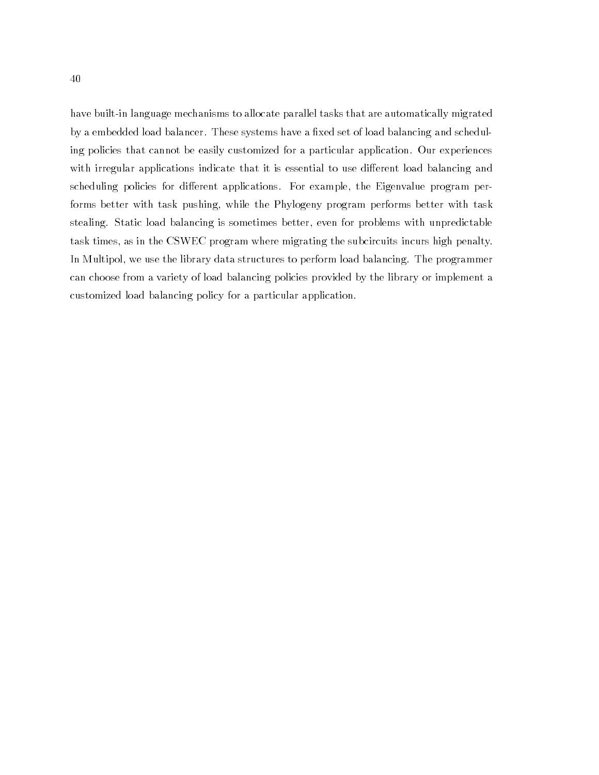have built-in language mechanisms to allocate parallel tasks that are automatically migrated by a embedded load balancer. These systems have a fixed set of load balancing and scheduling policies that cannot be easily customized for a particular application. Our experiences with irregular applications indicate that it is essential to use different load balancing and scheduling policies for different applications. For example, the Eigenvalue program performs better with task pushing, while the Phylogeny program performs better with task stealing. Static load balancing is sometimes better, even for problems with unpredictable task times, as in the CSWEC program where migrating the subcircuits incurs high penalty. In Multipol, we use the library data structures to perform load balancing. The programmer can choose from a variety of load balancing policies provided by the library or implement a customized load balancing policy for a particular application.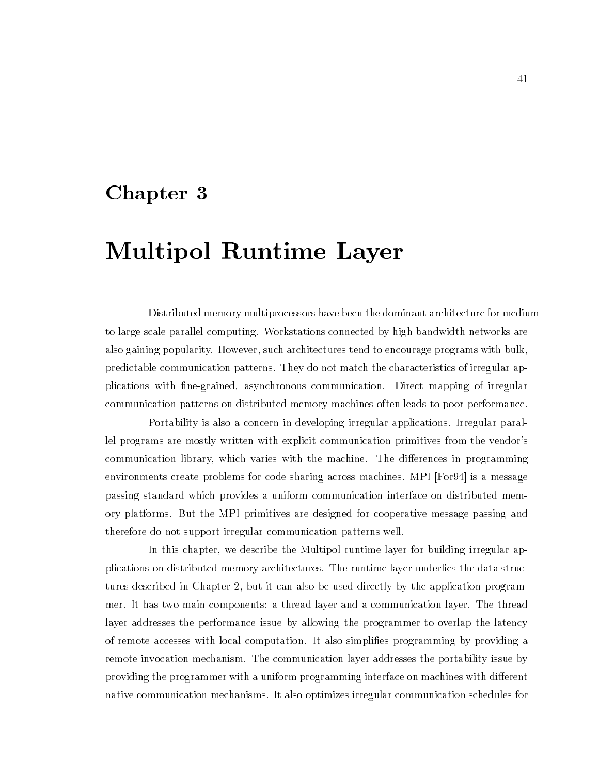## Chapter <sup>3</sup>

# Multipol Runtime Layer

Distributed memory multiprocessors have been the dominant architecture for medium to large scale parallel computing. Workstations connected by high bandwidth networks are also gaining popularity. However, such architectures tend to encourage programs with bulk, predictable communication patterns. They do not match the characteristics of irregular applications with ne-grained, asynchronous communication. Direct mapping of irregular communication patterns on distributed memory machines often leads to poor performance.

Portability is also a concern in developing irregular applications. Irregular parallel programs are mostly written with explicit communication primitives from the vendor's communication library, which varies with the machine. The differences in programming environments create problems for code sharing across machines. MPI [For94] is a message passing standard which provides a uniform communication interface on distributed memory platforms. But the MPI primitives are designed for cooperative message passing and therefore do not support irregular communication patterns well.

In this chapter, we describe the Multipol runtime layer for building irregular applications on distributed memory architectures. The runtime layer underlies the data structures described in Chapter 2, but it can also be used directly by the application programmer. It has two main components: a thread layer and a communication layer. The thread layer addresses the performance issue by allowing the programmer to overlap the latency of remote accesses with local computation. It also simplies programming by providing a remote invocation mechanism. The communication layer addresses the portability issue by providing the programmer with a uniform programming interface on machines with different native communication mechanisms. It also optimizes irregular communication schedules for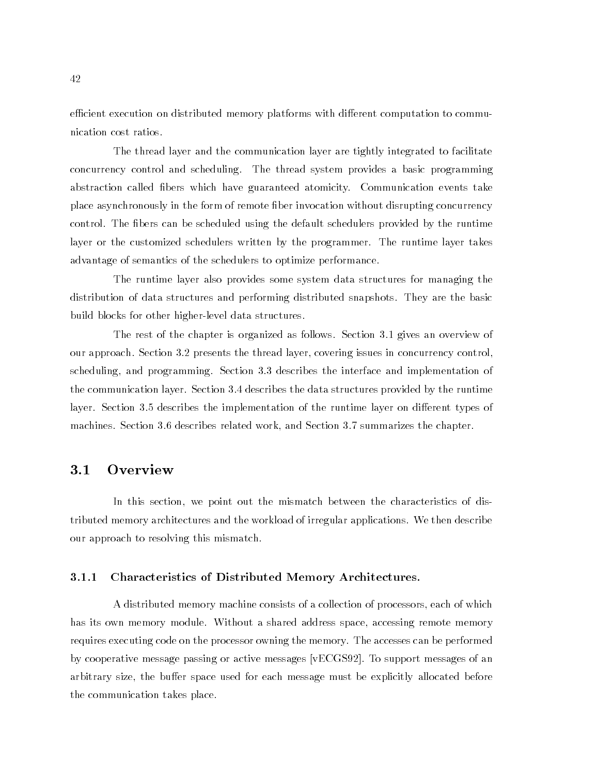efficient execution on distributed memory platforms with different computation to communication cost ratios.

The thread layer and the communication layer are tightly integrated to facilitate concurrency control and scheduling. The thread system provides a basic programming abstraction called bers which have guaranteed atomicity. Communication events take place asynchronously in the form of remote ber invocation without disrupting concurrency control. The fibers can be scheduled using the default schedulers provided by the runtime layer or the customized schedulers written by the programmer. The runtime layer takes advantage of semantics of the schedulers to optimize performance.

The runtime layer also provides some system data structures for managing the distribution of data structures and performing distributed snapshots. They are the basic build blocks for other higher-level data structures.

The rest of the chapter is organized as follows. Section 3.1 gives an overview of our approach. Section 3.2 presents the thread layer, covering issues in concurrency control, scheduling, and programming. Section 3.3 describes the interface and implementation of the communication layer. Section 3.4 describes the data structures provided by the runtime layer. Section 3.5 describes the implementation of the runtime layer on different types of machines. Section 3.6 describes related work, and Section 3.7 summarizes the chapter.

### $3.1$

In this section, we point out the mismatch between the characteristics of distributed memory architectures and the workload of irregular applications. We then describe our approach to resolving this mismatch.

#### 3.1.1 Characteristics of Distributed Memory Architectures.

A distributed memory machine consists of a collection of processors, each of which has its own memory module. Without a shared address space, accessing remote memory requires executing code on the processor owning the memory. The accesses can be performed by cooperative message passing or active messages [vECGS92]. To support messages of an arbitrary size, the buffer space used for each message must be explicitly allocated before the communication takes place.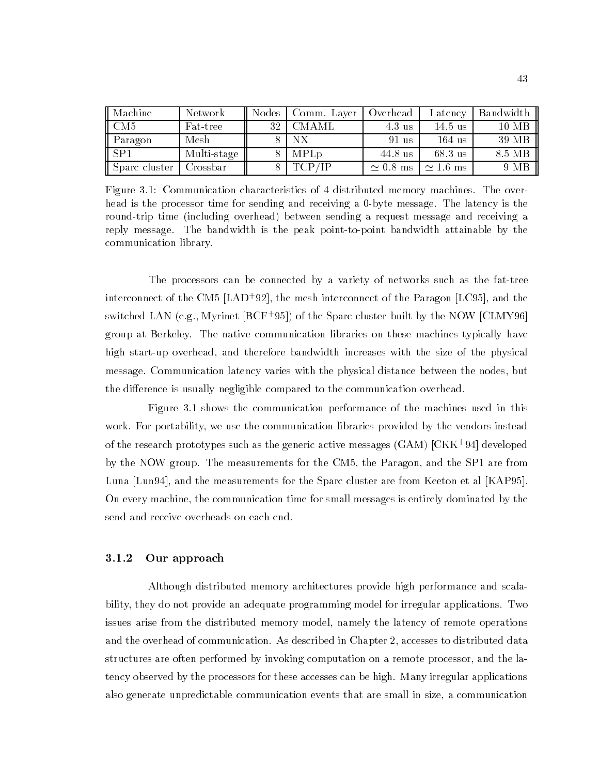| Machine             | Network     | Nodes | Comm. Laver | Overhead        | Latency          | Bandwidth |
|---------------------|-------------|-------|-------------|-----------------|------------------|-----------|
| $\parallel$ CM5     | Fat-tree    | 32    | CMAML       | 4.3 us          | $14.5$ us        | 10 MB     |
| $\parallel$ Paragon | Mesh        |       |             | 91 us           | $164$ us         | 39 MB     |
| $ $ SP1             | Multi-stage |       | <b>MPLp</b> | 44.8 us         | 68.3 us          | 8.5 MB    |
| Sparc cluster       | Crossbar    |       | TCP/IP      | $\simeq 0.8$ ms | $\approx 1.6$ ms | 9 MB      |

Figure 3.1: Communication characteristics of 4 distributed memory machines. The overhead is the processor time for sending and receiving a 0-byte message. The latency is the round-trip time (including overhead) between sending a request message and receiving a reply message. The bandwidth is the peak point-to-point bandwidth attainable by the communication library.

The processors can be connected by a variety of networks such as the fat-tree interconnect of the CM5  $|{\rm LAD+92}|$ , the mesh interconnect of the Paragon  $|{\rm LC95}|$ , and the switched LAN (e.g., Myrinet [BCF+ 95]) of the Sparc cluster built by the NOW [CLMY96] group at Berkeley. The native communication libraries on these machines typically have high start-up overhead, and therefore bandwidth increases with the size of the physical message. Communication latency varies with the physical distance between the nodes, but the difference is usually negligible compared to the communication overhead.

Figure 3.1 shows the communication performance of the machines used in this work. For portability, we use the communication libraries provided by the vendors instead of the research prototypes such as the generic active messages (GAM) [CKK+ 94] developed by the NOW group. The measurements for the CM5, the Paragon, and the SP1 are from Luna [Lun94], and the measurements for the Sparc cluster are from Keeton et al [KAP95]. On every machine, the communication time for small messages is entirely dominated by the send and receive overheads on each end.

#### 3.1.2 Our approach

Although distributed memory architectures provide high performance and scalability, they do not provide an adequate programming model for irregular applications. Two issues arise from the distributed memory model, namely the latency of remote operations and the overhead of communication. As described in Chapter 2, accesses to distributed data structures are often performed by invoking computation on a remote processor, and the latency observed by the processors for these accesses can be high. Many irregular applications also generate unpredictable communication events that are small in size, a communication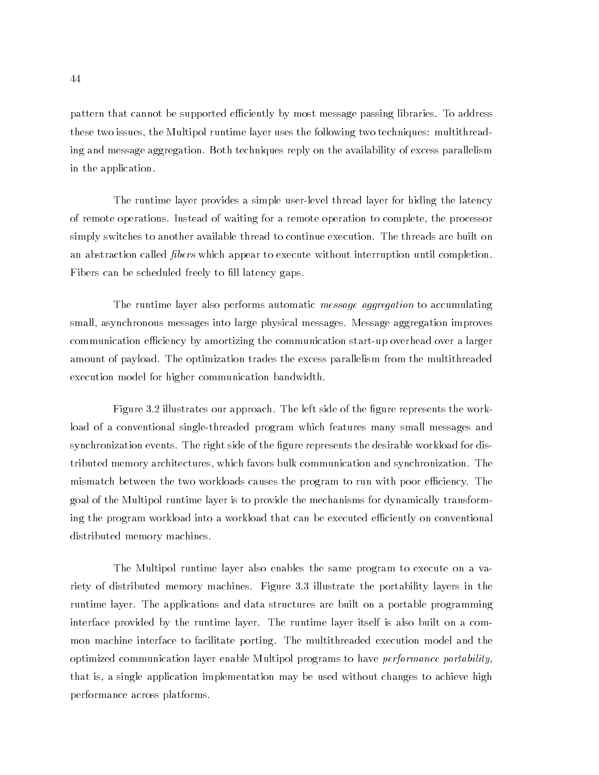pattern that cannot be supported efficiently by most message passing libraries. To address these two issues, the Multipol runtime layer uses the following two techniques: multithreading and message aggregation. Both techniques reply on the availability of excess parallelism in the application.

The runtime layer provides a simple user-level thread layer for hiding the latency of remote operations. Instead of waiting for a remote operation to complete, the processor simply switches to another available thread to continue execution. The threads are built on an abstraction called *fibers* which appear to execute without interruption until completion. Fibers can be scheduled freely to fill latency gaps.

The runtime layer also performs automatic *message aggregation* to accumulating small, asynchronous messages into large physical messages. Message aggregation improves communication efficiency by amortizing the communication start-up overhead over a larger amount of payload. The optimization trades the excess parallelism from the multithreaded execution model for higher communication bandwidth.

Figure 3.2 illustrates our approach. The left side of the figure represents the workload of a conventional single-threaded program which features many small messages and synchronization events. The right side of the figure represents the desirable workload for distributed memory architectures, which favors bulk communication and synchronization. The mismatch between the two workloads causes the program to run with poor efficiency. The goal of the Multipol runtime layer is to provide the mechanisms for dynamically transforming the program workload into a workload that can be executed efficiently on conventional distributed memory machines.

The Multipol runtime layer also enables the same program to execute on a variety of distributed memory machines. Figure 3.3 illustrate the portability layers in the runtime layer. The applications and data structures are built on a portable programming interface provided by the runtime layer. The runtime layer itself is also built on a common machine interface to facilitate porting. The multithreaded execution model and the optimized communication layer enable Multipol programs to have performance portability, that is, a single application implementation may be used without changes to achieve high performance across platforms.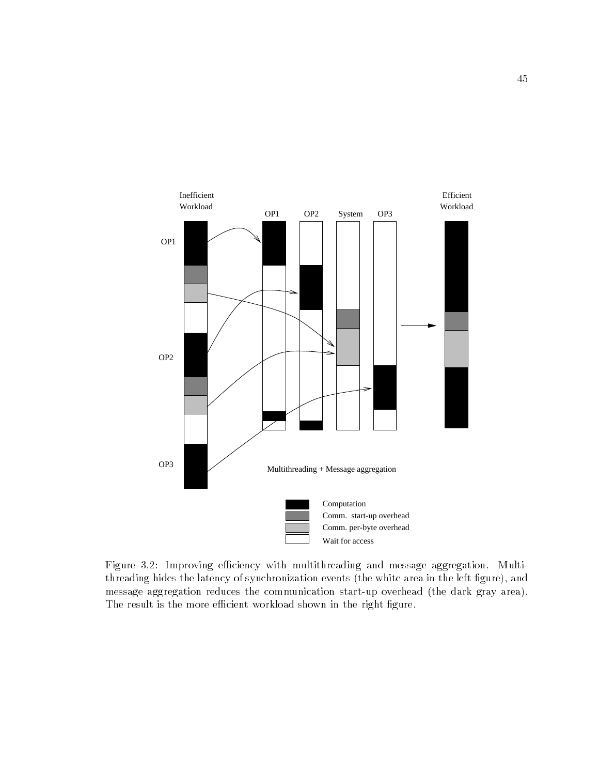

Figure 3.2: Improving efficiency with multithreading and message aggregation. Multithreading hides the latency of synchronization events (the white area in the left figure), and message aggregation reduces the communication start-up overhead (the dark gray area). The result is the more efficient workload shown in the right figure.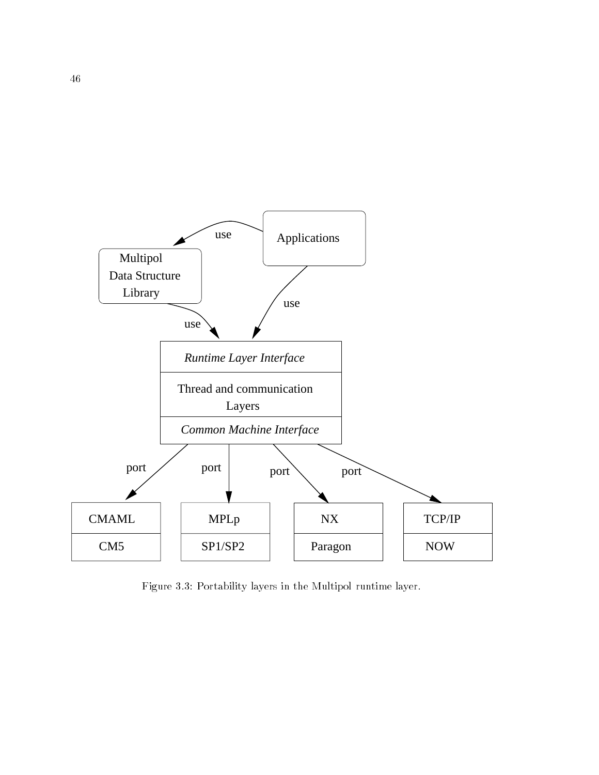

Figure 3.3: Portability layers in the Multipol runtime layer.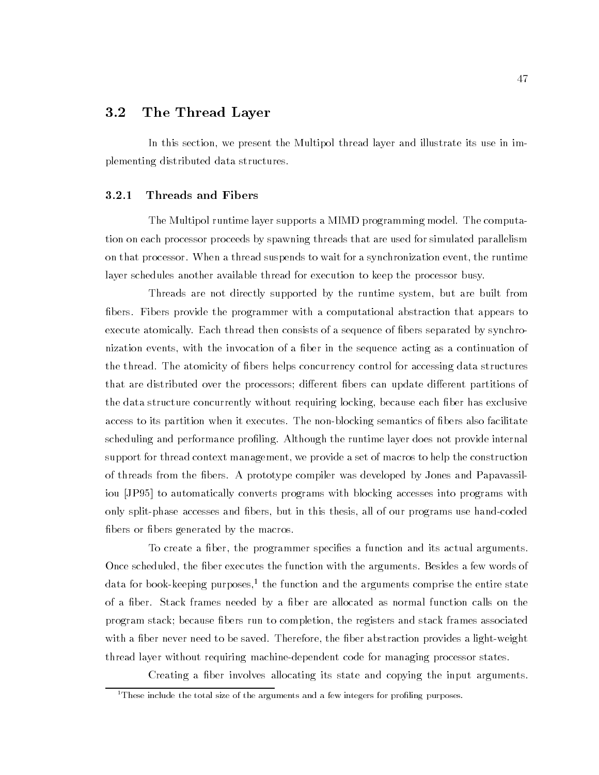## 3.2 The Thread Layer

In this section, we present the Multipol thread layer and illustrate its use in implementing distributed data structures.

#### 3.2.1 Threads and Fibers

The Multipol runtime layer supports a MIMD programming model. The computation on each processor proceeds by spawning threads that are used for simulated parallelism on that processor. When a thread suspends to wait for a synchronization event, the runtime layer schedules another available thread for execution to keep the processor busy.

Threads are not directly supported by the runtime system, but are built from bers. Fibers provide the programmer with a computational abstraction that appears to execute atomically. Each thread then consists of a sequence of bers separated by synchronization events, with the invocation of a fiber in the sequence acting as a continuation of the thread. The atomicity of bers helps concurrency control for accessing data structures that are distributed over the processors; different fibers can update different partitions of the data structure concurrently without requiring locking, because each fiber has exclusive access to its partition when it executes. The non-blocking semantics of bers also facilitate scheduling and performance proling. Although the runtime layer does not provide internal support for thread context management, we provide a set of macros to help the construction of threads from the bers. A prototype compiler was developed by Jones and Papavassiliou [JP95] to automatically converts programs with blocking accesses into programs with only split-phase accesses and bers, but in this thesis, all of our programs use hand-coded fibers or fibers generated by the macros.

To create a ber, the programmer species a function and its actual arguments. Once scheduled, the fiber executes the function with the arguments. Besides a few words of data for book-keeping purposes," the function and the arguments comprise the entire state of a fiber. Stack frames needed by a fiber are allocated as normal function calls on the program stack; because bers run to completion, the registers and stack frames associated with a fiber never need to be saved. Therefore, the fiber abstraction provides a light-weight thread layer without requiring machine-dependent code for managing processor states.

Creating a ber involves allocating its state and copying the input arguments.

 $1$ <sup>1</sup>These include the total size of the arguments and a few integers for profiling purposes.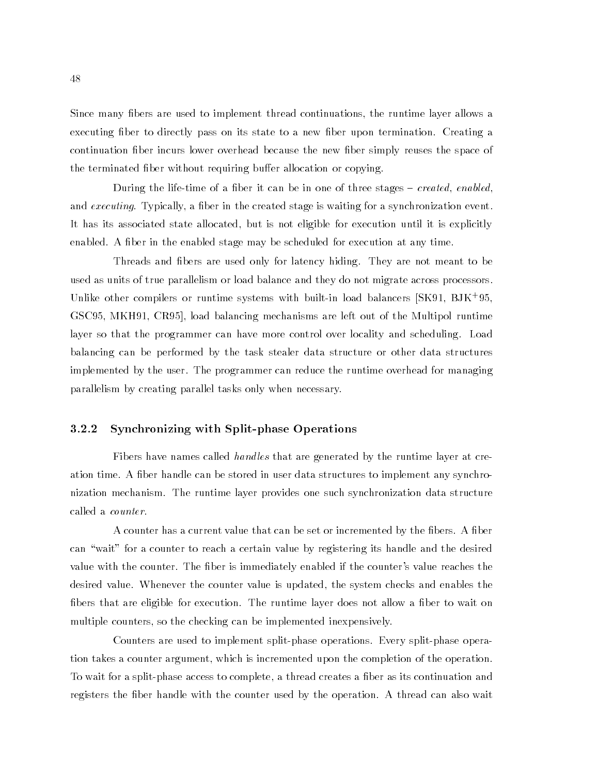Since many fibers are used to implement thread continuations, the runtime layer allows a executing fiber to directly pass on its state to a new fiber upon termination. Creating a continuation fiber incurs lower overhead because the new fiber simply reuses the space of the terminated fiber without requiring buffer allocation or copying.

During the life-time of a fiber it can be in one of three stages  $-$  created, enabled, and executing. Typically, a fiber in the created stage is waiting for a synchronization event. It has its associated state allocated, but is not eligible for execution until it is explicitly enabled. A fiber in the enabled stage may be scheduled for execution at any time.

Threads and bers are used only for latency hiding. They are not meant to be used as units of true parallelism or load balance and they do not migrate across processors. Unlike other compilers or runtime systems with built-in load balancers [SK91, BJK+ 95, GSC95, MKH91, CR95], load balancing mechanisms are left out of the Multipol runtime layer so that the programmer can have more control over locality and scheduling. Load balancing can be performed by the task stealer data structure or other data structures implemented by the user. The programmer can reduce the runtime overhead for managing parallelism by creating parallel tasks only when necessary.

#### 3.2.2 Synchronizing with Split-phase Operations

Fibers have names called *handles* that are generated by the runtime layer at creation time. A fiber handle can be stored in user data structures to implement any synchronization mechanism. The runtime layer provides one such synchronization data structure called a counter.

A counter has a current value that can be set or incremented by the fibers. A fiber can "wait" for a counter to reach a certain value by registering its handle and the desired value with the counter. The fiber is immediately enabled if the counter's value reaches the desired value. Whenever the counter value is updated, the system checks and enables the fibers that are eligible for execution. The runtime layer does not allow a fiber to wait on multiple counters, so the checking can be implemented inexpensively.

Counters are used to implement split-phase operations. Every split-phase operation takes a counter argument, which is incremented upon the completion of the operation. To wait for a split-phase access to complete, a thread creates a ber as its continuation and registers the fiber handle with the counter used by the operation. A thread can also wait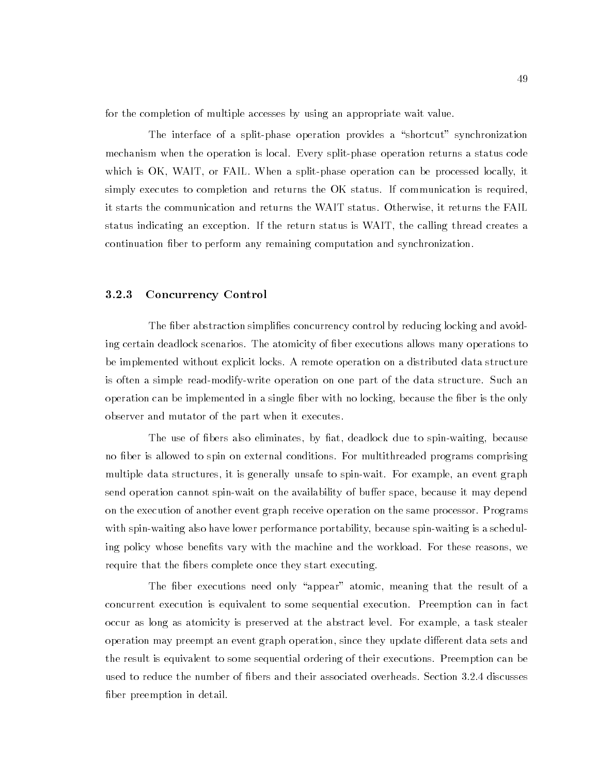for the completion of multiple accesses by using an appropriate wait value.

The interface of a split-phase operation provides a "shortcut" synchronization mechanism when the operation is local. Every split-phase operation returns a status code which is OK, WAIT, or FAIL. When a split-phase operation can be processed locally, it simply executes to completion and returns the OK status. If communication is required, it starts the communication and returns the WAIT status. Otherwise, it returns the FAIL status indicating an exception. If the return status is WAIT, the calling thread creates a continuation ber to perform any remaining computation and synchronization.

#### 3.2.3 Concurrency Control

The fiber abstraction simplifies concurrency control by reducing locking and avoiding certain deadlock scenarios. The atomicity of ber executions allows many operations to be implemented without explicit locks. A remote operation on a distributed data structure is often a simple read-modify-write operation on one part of the data structure. Such an operation can be implemented in a single fiber with no locking, because the fiber is the only observer and mutator of the part when it executes.

The use of fibers also eliminates, by fiat, deadlock due to spin-waiting, because no fiber is allowed to spin on external conditions. For multithreaded programs comprising multiple data structures, it is generally unsafe to spin-wait. For example, an event graph send operation cannot spin-wait on the availability of buffer space, because it may depend on the execution of another event graph receive operation on the same processor. Programs with spin-waiting also have lower performance portability, because spin-waiting is a scheduling policy whose benefits vary with the machine and the workload. For these reasons, we require that the fibers complete once they start executing.

The fiber executions need only "appear" atomic, meaning that the result of a concurrent execution is equivalent to some sequential execution. Preemption can in fact occur as long as atomicity is preserved at the abstract level. For example, a task stealer operation may preempt an event graph operation, since they update different data sets and the result is equivalent to some sequential ordering of their executions. Preemption can be used to reduce the number of bers and their associated overheads. Section 3.2.4 discusses fiber preemption in detail.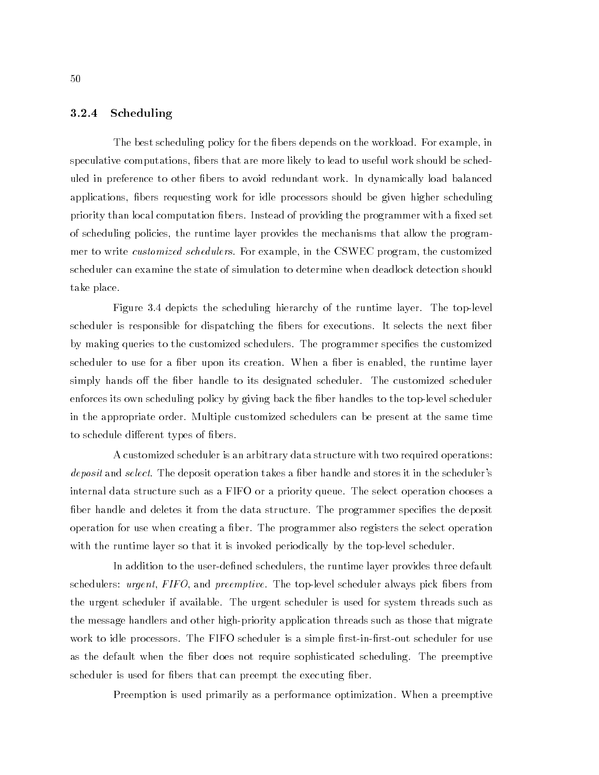#### 3.2.4 Scheduling

The best scheduling policy for the fibers depends on the workload. For example, in speculative computations, bers that are more likely to lead to useful work should be scheduled in preference to other bers to avoid redundant work. In dynamically load balanced applications, bers requesting work for idle processors should be given higher scheduling priority than local computation fibers. Instead of providing the programmer with a fixed set of scheduling policies, the runtime layer provides the mechanisms that allow the programmer to write *customized schedulers*. For example, in the CSWEC program, the customized scheduler can examine the state of simulation to determine when deadlock detection should take place.

Figure 3.4 depicts the scheduling hierarchy of the runtime layer. The top-level scheduler is responsible for dispatching the fibers for executions. It selects the next fiber by making queries to the customized schedulers. The programmer specifies the customized scheduler to use for a fiber upon its creation. When a fiber is enabled, the runtime layer simply hands off the fiber handle to its designated scheduler. The customized scheduler enforces its own scheduling policy by giving back the fiber handles to the top-level scheduler in the appropriate order. Multiple customized schedulers can be present at the same time to schedule different types of fibers.

A customized scheduler is an arbitrary data structure with two required operations: deposit and select. The deposit operation takes a fiber handle and stores it in the scheduler's internal data structure such as a FIFO or a priority queue. The select operation chooses a fiber handle and deletes it from the data structure. The programmer specifies the deposit operation for use when creating a ber. The programmer also registers the select operation with the runtime layer so that it is invoked periodically by the top-level scheduler.

In addition to the user-defined schedulers, the runtime layer provides three default schedulers: *urgent, FIFO*, and *preemptive*. The top-level scheduler always pick fibers from the urgent scheduler if available. The urgent scheduler is used for system threads such as the message handlers and other high-priority application threads such as those that migrate work to idle processors. The FIFO scheduler is a simple first-in-first-out scheduler for use as the default when the fiber does not require sophisticated scheduling. The preemptive scheduler is used for fibers that can preempt the executing fiber.

Preemption is used primarily as a performance optimization. When a preemptive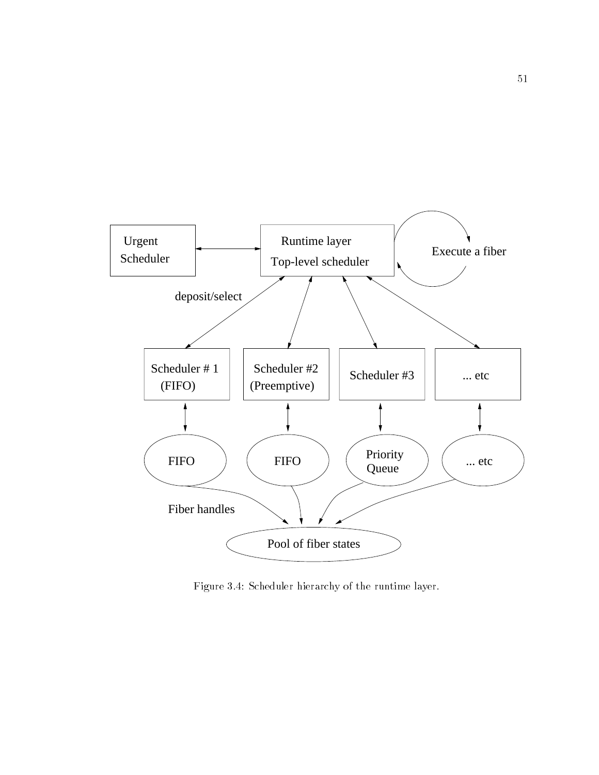

Figure 3.4: Scheduler hierarchy of the runtime layer.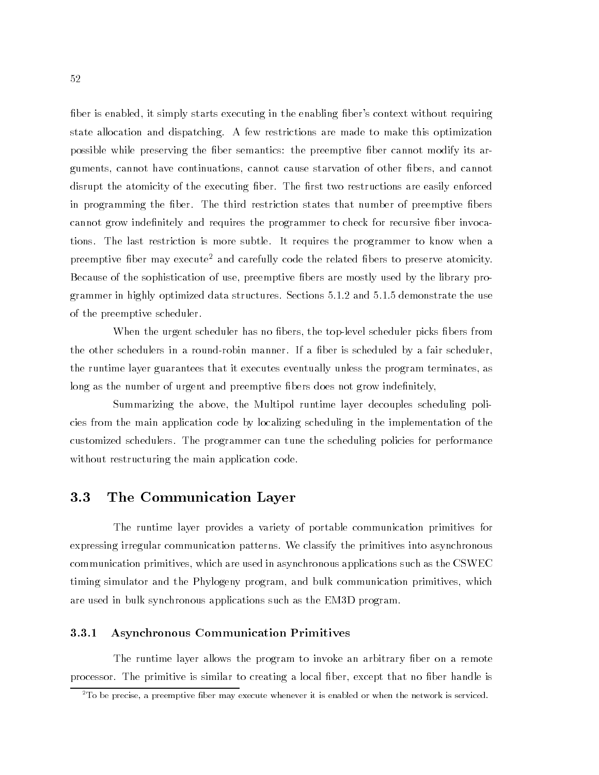fiber is enabled, it simply starts executing in the enabling fiber's context without requiring state allocation and dispatching. A few restrictions are made to make this optimization possible while preserving the fiber semantics: the preemptive fiber cannot modify its arguments, cannot have continuations, cannot cause starvation of other fibers, and cannot disrupt the atomicity of the executing fiber. The first two restructions are easily enforced in programming the fiber. The third restriction states that number of preemptive fibers cannot grow indefinitely and requires the programmer to check for recursive fiber invocations. The last restriction is more subtle. It requires the programmer to know when a preemptive fiber may execute<sup>2</sup> and carefully code the related fibers to preserve atomicity. Because of the sophistication of use, preemptive fibers are mostly used by the library programmer in highly optimized data structures. Sections 5.1.2 and 5.1.5 demonstrate the use of the preemptive scheduler.

When the urgent scheduler has no fibers, the top-level scheduler picks fibers from the other schedulers in a round-robin manner. If a fiber is scheduled by a fair scheduler, the runtime layer guarantees that it executes eventually unless the program terminates, as long as the number of urgent and preemptive fibers does not grow indefinitely,

Summarizing the above, the Multipol runtime layer decouples scheduling policies from the main application code by localizing scheduling in the implementation of the customized schedulers. The programmer can tune the scheduling policies for performance without restructuring the main application code.

#### $3.3$ 3.3 The Communication Layer

The runtime layer provides a variety of portable communication primitives for expressing irregular communication patterns. We classify the primitives into asynchronous communication primitives, which are used in asynchronous applications such as the CSWEC timing simulator and the Phylogeny program, and bulk communication primitives, which are used in bulk synchronous applications such as the EM3D program.

#### 3.3.1 Asynchronous Communication Primitives

The runtime layer allows the program to invoke an arbitrary fiber on a remote processor. The primitive is similar to creating a local fiber, except that no fiber handle is

 $2$ To be precise, a preemptive fiber may execute whenever it is enabled or when the network is serviced.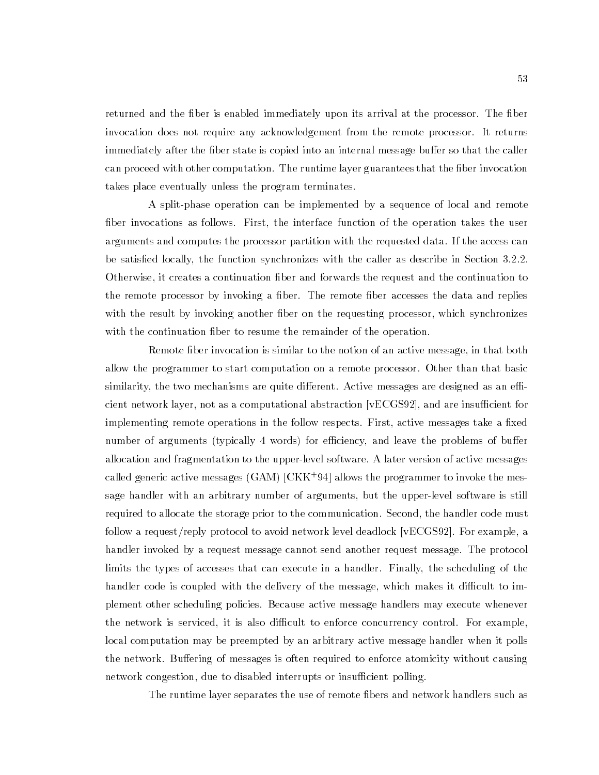returned and the fiber is enabled immediately upon its arrival at the processor. The fiber invocation does not require any acknowledgement from the remote processor. It returns immediately after the fiber state is copied into an internal message buffer so that the caller can proceed with other computation. The runtime layer guarantees that the fiber invocation takes place eventually unless the program terminates.

A split-phase operation can be implemented by a sequence of local and remote fiber invocations as follows. First, the interface function of the operation takes the user arguments and computes the processor partition with the requested data. If the access can be satisfied locally, the function synchronizes with the caller as describe in Section 3.2.2. Otherwise, it creates a continuation ber and forwards the request and the continuation to the remote processor by invoking a fiber. The remote fiber accesses the data and replies with the result by invoking another fiber on the requesting processor, which synchronizes with the continuation fiber to resume the remainder of the operation.

Remote fiber invocation is similar to the notion of an active message, in that both allow the programmer to start computation on a remote processor. Other than that basic similarity, the two mechanisms are quite different. Active messages are designed as an efficient network layer, not as a computational abstraction [vECGS92], and are insucient for implementing remote operations in the follow respects. First, active messages take a fixed number of arguments (typically 4 words) for efficiency, and leave the problems of buffer allocation and fragmentation to the upper-level software. A later version of active messages called generic active messages (GAM) [CKK+ 94] allows the programmer to invoke the message handler with an arbitrary number of arguments, but the upper-level software is still required to allocate the storage prior to the communication. Second, the handler code must follow a request/reply protocol to avoid network level deadlock [vECGS92]. For example, a handler invoked by a request message cannot send another request message. The protocol limits the types of accesses that can execute in a handler. Finally, the scheduling of the handler code is coupled with the delivery of the message, which makes it difficult to implement other scheduling policies. Because active message handlers may execute whenever the network is serviced, it is also difficult to enforce concurrency control. For example, local computation may be preempted by an arbitrary active message handler when it polls the network. Buffering of messages is often required to enforce atomicity without causing network congestion, due to disabled interrupts or insufficient polling.

The runtime layer separates the use of remote fibers and network handlers such as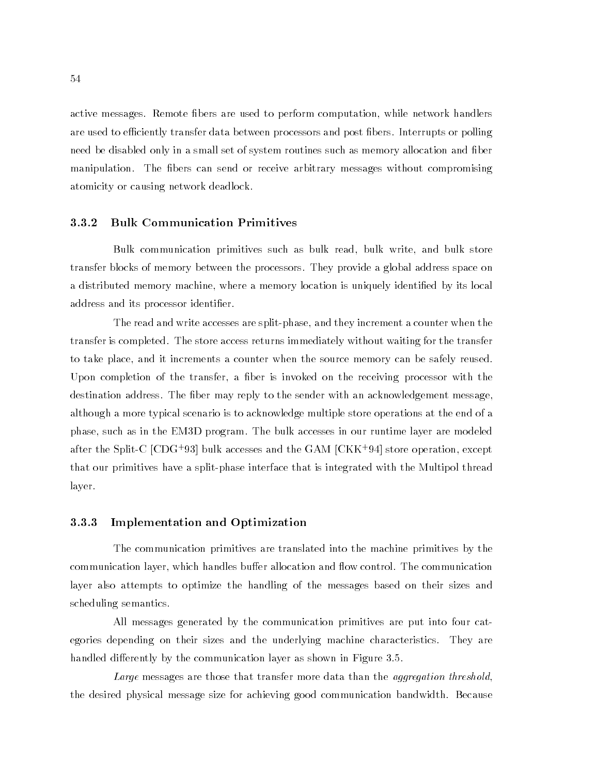active messages. Remote bers are used to perform computation, while network handlers are used to efficiently transfer data between processors and post fibers. Interrupts or polling need be disabled only in a small set of system routines such as memory allocation and ber manipulation. The fibers can send or receive arbitrary messages without compromising atomicity or causing network deadlock.

#### 3.3.2 Bulk Communication Primitives

Bulk communication primitives such as bulk read, bulk write, and bulk store transfer blocks of memory between the processors. They provide a global address space on a distributed memory machine, where a memory location is uniquely identied by its local address and its processor identifier.

The read and write accesses are split-phase, and they increment a counter when the transfer is completed. The store access returns immediately without waiting for the transfer to take place, and it increments a counter when the source memory can be safely reused. Upon completion of the transfer, a fiber is invoked on the receiving processor with the destination address. The fiber may reply to the sender with an acknowledgement message, although a more typical scenario is to acknowledge multiple store operations at the end of a phase, such as in the EM3D program. The bulk accesses in our runtime layer are modeled after the Split-C [CDG+ 93] bulk accesses and the GAM [CKK+ 94] store operation, except that our primitives have a split-phase interface that is integrated with the Multipol thread layer.

#### 3.3.3 Implementation and Optimization

The communication primitives are translated into the machine primitives by the communication layer, which handles buffer allocation and flow control. The communication layer also attempts to optimize the handling of the messages based on their sizes and scheduling semantics.

All messages generated by the communication primitives are put into four categories depending on their sizes and the underlying machine characteristics. They are handled differently by the communication layer as shown in Figure 3.5.

Large messages are those that transfer more data than the aggregation threshold, the desired physical message size for achieving good communication bandwidth. Because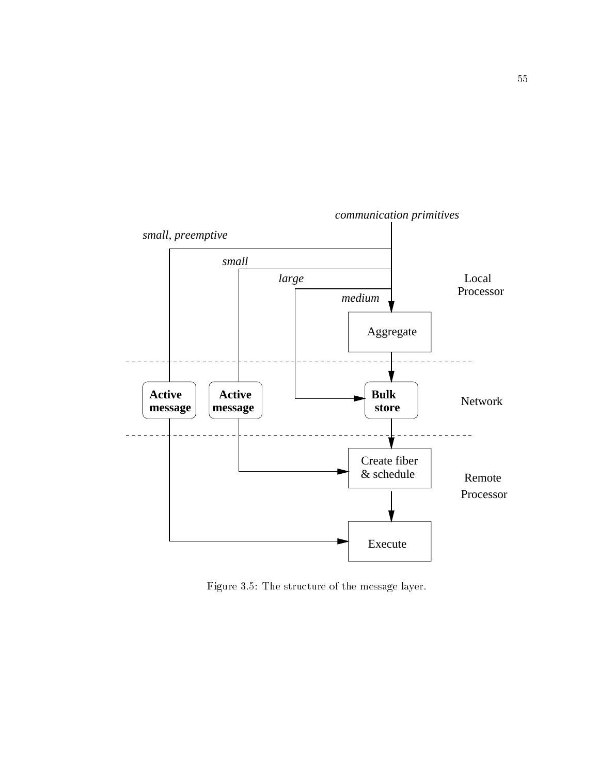

Figure 3.5: The structure of the message layer.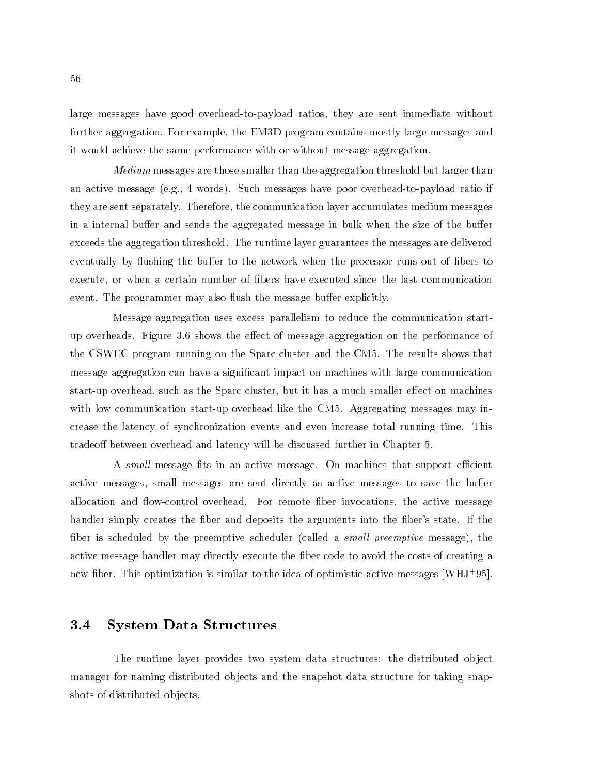large messages have good overhead-to-payload ratios, they are sent immediate without further aggregation. For example, the EM3D program contains mostly large messages and it would achieve the same performance with or without message aggregation.

*Medium* messages are those smaller than the aggregation threshold but larger than an active message (e.g., 4 words). Such messages have poor overhead-to-payload ratio if they are sent separately. Therefore, the communication layer accumulates medium messages in a internal buffer and sends the aggregated message in bulk when the size of the buffer exceeds the aggregation threshold. The runtime layer guarantees the messages are delivered eventually by flushing the buffer to the network when the processor runs out of fibers to execute, or when a certain number of bers have executed since the last communication event. The programmer may also flush the message buffer explicitly.

Message aggregation uses excess parallelism to reduce the communication startup overheads. Figure 3.6 shows the effect of message aggregation on the performance of the CSWEC program running on the Sparc cluster and the CM5. The results shows that message aggregation can have a signicant impact on machines with large communication start-up overhead, such as the Sparc cluster, but it has a much smaller effect on machines with low communication start-up overhead like the CM5. Aggregating messages may increase the latency of synchronization events and even increase total running time. This tradeoff between overhead and latency will be discussed further in Chapter 5.

A small message fits in an active message. On machines that support efficient active messages, small messages are sent directly as active messages to save the buffer allocation and flow-control overhead. For remote fiber invocations, the active message handler simply creates the fiber and deposits the arguments into the fiber's state. If the fiber is scheduled by the preemptive scheduler (called a small preemptive message), the active message handler may directly execute the fiber code to avoid the costs of creating a new ber. This optimization is similar to the idea of optimistic active messages [WHJ+ 95].

### 3.4 System Data Structures

The runtime layer provides two system data structures: the distributed ob ject manager for naming distributed objects and the snapshot data structure for taking snapshots of distributed ob jects.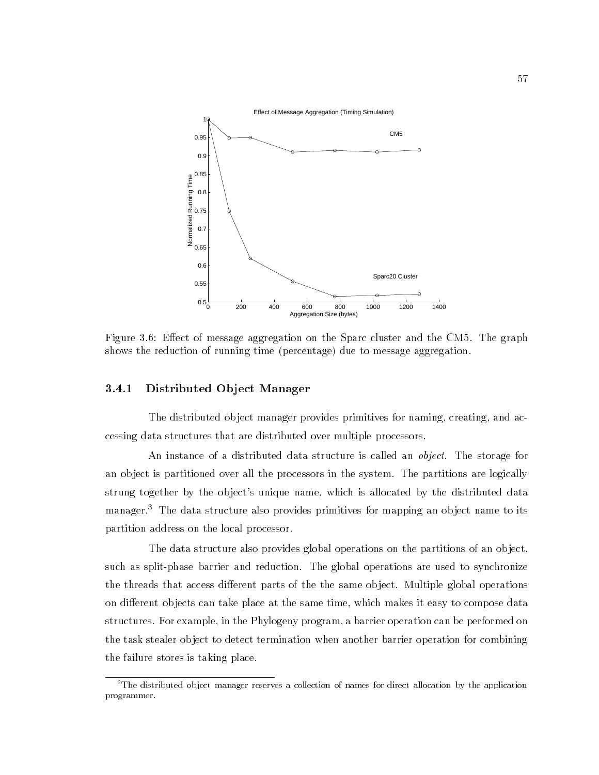

Figure 3.6: Effect of message aggregation on the Sparc cluster and the CM5. The graph shows the reduction of running time (percentage) due to message aggregation.

#### 3.4.1 Distributed Ob ject Manager

The distributed object manager provides primitives for naming, creating, and accessing data structures that are distributed over multiple processors.

An instance of a distributed data structure is called an *object*. The storage for an ob ject is partitioned over all the processors in the system. The partitions are logically strung together by the ob ject's unique name, which is allocated by the distributed data manager.<sup>3</sup> The data structure also provides primitives for mapping an object name to its partition address on the local processor.

The data structure also provides global operations on the partitions of an ob ject, such as split-phase barrier and reduction. The global operations are used to synchronize the threads that access different parts of the the same object. Multiple global operations on different objects can take place at the same time, which makes it easy to compose data structures. For example, in the Phylogeny program, a barrier operation can be performed on the task stealer ob ject to detect termination when another barrier operation for combining the failure stores is taking place.

 $3$ The distributed object manager reserves a collection of names for direct allocation by the application programmer.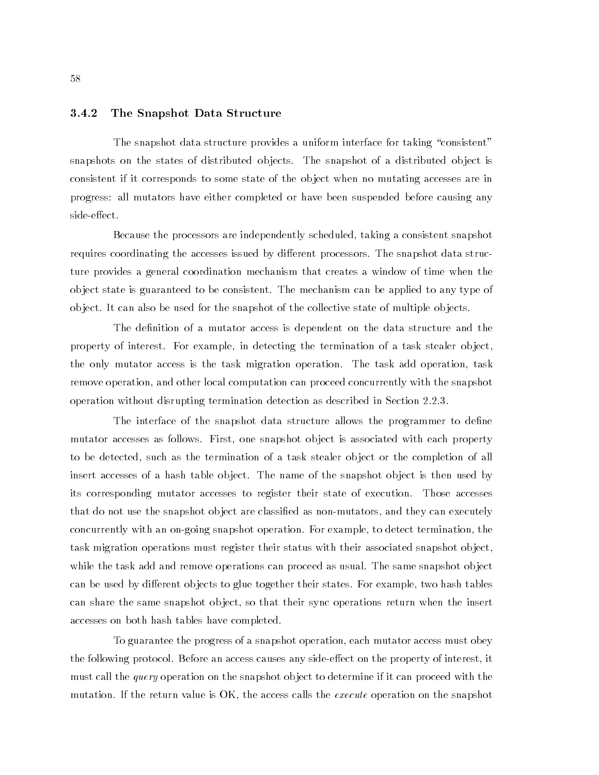#### 3.4.2 The Snapshot Data Structure

The snapshot data structure provides a uniform interface for taking "consistent" snapshots on the states of distributed ob jects. The snapshot of a distributed ob ject is consistent if it corresponds to some state of the ob ject when no mutating accesses are in progress: all mutators have either completed or have been suspended before causing any side-effect.

Because the processors are independently scheduled, taking a consistent snapshot requires coordinating the accesses issued by different processors. The snapshot data structure provides a general coordination mechanism that creates a window of time when the ob ject state is guaranteed to be consistent. The mechanism can be applied to any type of ob ject. It can also be used for the snapshot of the collective state of multiple ob jects.

The definition of a mutator access is dependent on the data structure and the property of interest. For example, in detecting the termination of a task stealer ob ject, the only mutator access is the task migration operation. The task add operation, task remove operation, and other local computation can proceed concurrently with the snapshot operation without disrupting termination detection as described in Section 2.2.3.

The interface of the snapshot data structure allows the programmer to define mutator accesses as follows. First, one snapshot ob ject is associated with each property to be detected, such as the termination of a task stealer ob ject or the completion of all insert accesses of a hash table object. The name of the snapshot object is then used by its corresponding mutator accesses to register their state of execution. Those accesses that do not use the snapshot ob ject are classied as non-mutators, and they can executely concurrently with an on-going snapshot operation. For example, to detect termination, the task migration operations must register their status with their associated snapshot ob ject, while the task add and remove operations can proceed as usual. The same snapshot ob ject can be used by different objects to glue together their states. For example, two hash tables can share the same snapshot object, so that their sync operations return when the insert accesses on both hash tables have completed.

To guarantee the progress of a snapshot operation, each mutator access must obey the following protocol. Before an access causes any side-effect on the property of interest, it must call the *query* operation on the snapshot object to determine if it can proceed with the mutation. If the return value is OK, the access calls the *execute* operation on the snapshot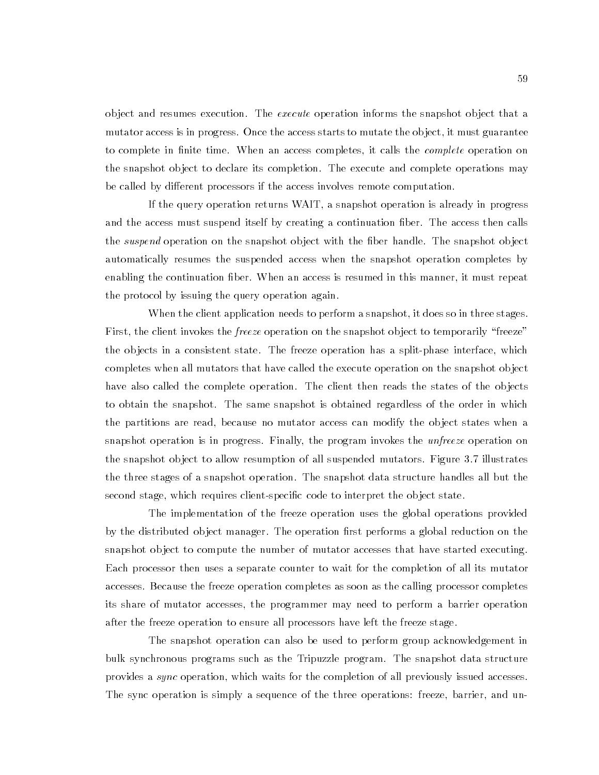object and resumes execution. The *execute* operation informs the snapshot object that a mutator access is in progress. Once the access starts to mutate the ob ject, it must guarantee to complete in finite time. When an access completes, it calls the *complete* operation on the snapshot object to declare its completion. The execute and complete operations may be called by different processors if the access involves remote computation.

If the query operation returns WAIT, a snapshot operation is already in progress and the access must suspend itself by creating a continuation ber. The access then calls the *suspend* operation on the snapshot object with the fiber handle. The snapshot object automatically resumes the suspended access when the snapshot operation completes by enabling the continuation ber. When an access is resumed in this manner, it must repeat the protocol by issuing the query operation again.

When the client application needs to perform a snapshot, it does so in three stages. First, the client invokes the *freeze* operation on the snapshot object to temporarily "freeze" the ob jects in a consistent state. The freeze operation has a split-phase interface, which completes when all mutators that have called the execute operation on the snapshot ob ject have also called the complete operation. The client then reads the states of the objects to obtain the snapshot. The same snapshot is obtained regardless of the order in which the partitions are read, because no mutator access can modify the ob ject states when a snapshot operation is in progress. Finally, the program invokes the unfreeze operation on the snapshot ob ject to allow resumption of all suspended mutators. Figure 3.7 illustrates the three stages of a snapshot operation. The snapshot data structure handles all but the second stage, which requires client-specific code to interpret the object state.

The implementation of the freeze operation uses the global operations provided by the distributed object manager. The operation first performs a global reduction on the snapshot ob ject to compute the number of mutator accesses that have started executing. Each processor then uses a separate counter to wait for the completion of all its mutator accesses. Because the freeze operation completes as soon as the calling processor completes its share of mutator accesses, the programmer may need to perform a barrier operation after the freeze operation to ensure all processors have left the freeze stage.

The snapshot operation can also be used to perform group acknowledgement in bulk synchronous programs such as the Tripuzzle program. The snapshot data structure provides a sync operation, which waits for the completion of all previously issued accesses. The sync operation is simply a sequence of the three operations: freeze, barrier, and un-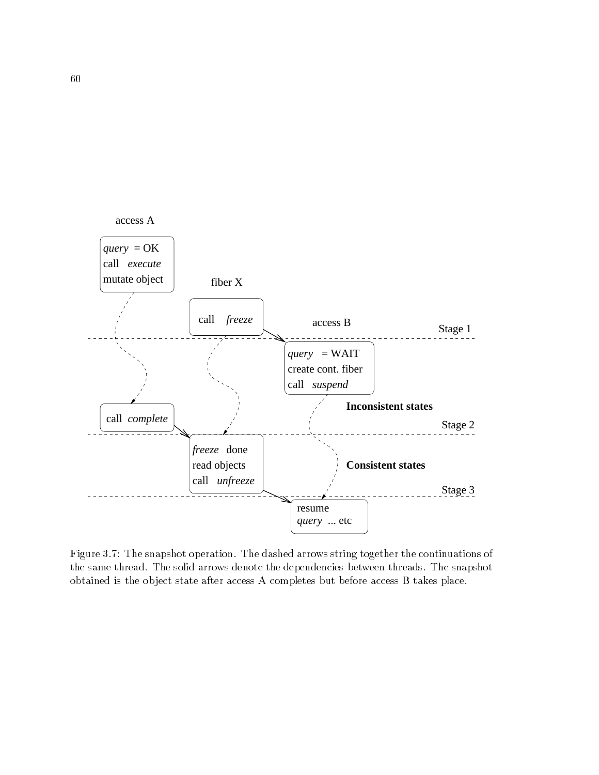

Figure 3.7: The snapshot operation. The dashed arrows string together the continuations of the same thread. The solid arrows denote the dependencies between threads. The snapshot obtained is the ob ject state after access A completes but before access B takes place.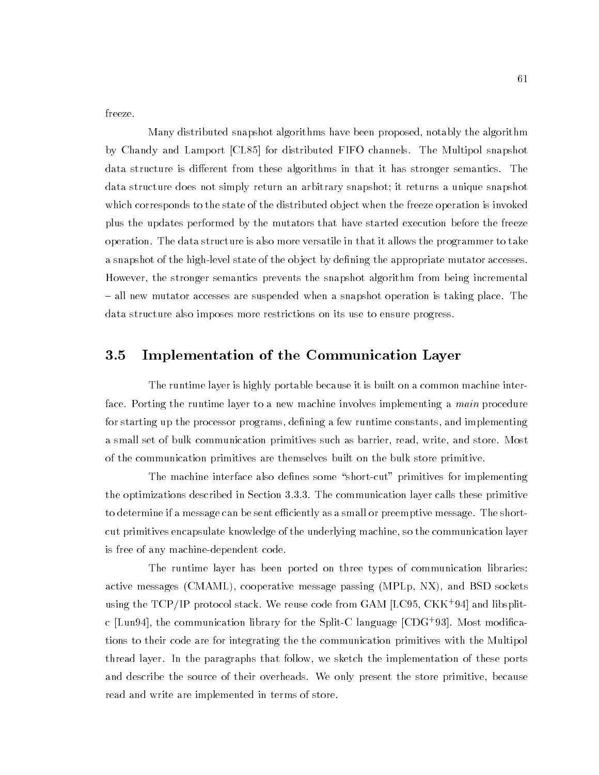freeze.

Many distributed snapshot algorithms have been proposed, notably the algorithm by Chandy and Lamport [CL85] for distributed FIFO channels. The Multipol snapshot data structure is different from these algorithms in that it has stronger semantics. The data structure does not simply return an arbitrary snapshot; it returns a unique snapshot which corresponds to the state of the distributed object when the freeze operation is invoked plus the updates performed by the mutators that have started execution before the freeze operation. The data structure is also more versatile in that it allows the programmer to take a snapshot of the high-level state of the object by defining the appropriate mutator accesses. However, the stronger semantics prevents the snapshot algorithm from being incremental - all new mutator accesses are suspended when a snapshot operation is taking place. The data structure also imposes more restrictions on its use to ensure progress.

## 3.5 Implementation of the Communication Layer

The runtime layer is highly portable because it is built on a common machine interface. Porting the runtime layer to a new machine involves implementing a *main* procedure for starting up the processor programs, defining a few runtime constants, and implementing a small set of bulk communication primitives such as barrier, read, write, and store. Most of the communication primitives are themselves built on the bulk store primitive.

The machine interface also defines some "short-cut" primitives for implementing the optimizations described in Section 3.3.3. The communication layer calls these primitive to determine if a message can be sent efficiently as a small or preemptive message. The shortcut primitives encapsulate knowledge of the underlying machine, so the communication layer is free of any machine-dependent code.

The runtime layer has been ported on three types of communication libraries: active messages (CMAML), cooperative message passing (MPLp, NX), and BSD sockets using the TCP/IP protocol stack. We reuse code from GAM [LC95, CKK<sup>+</sup> 94] and libsplitc [Lun94], the communication library for the Split-C language [CDG+ 93]. Most modications to their code are for integrating the the communication primitives with the Multipol thread layer. In the paragraphs that follow, we sketch the implementation of these ports and describe the source of their overheads. We only present the store primitive, because read and write are implemented in terms of store.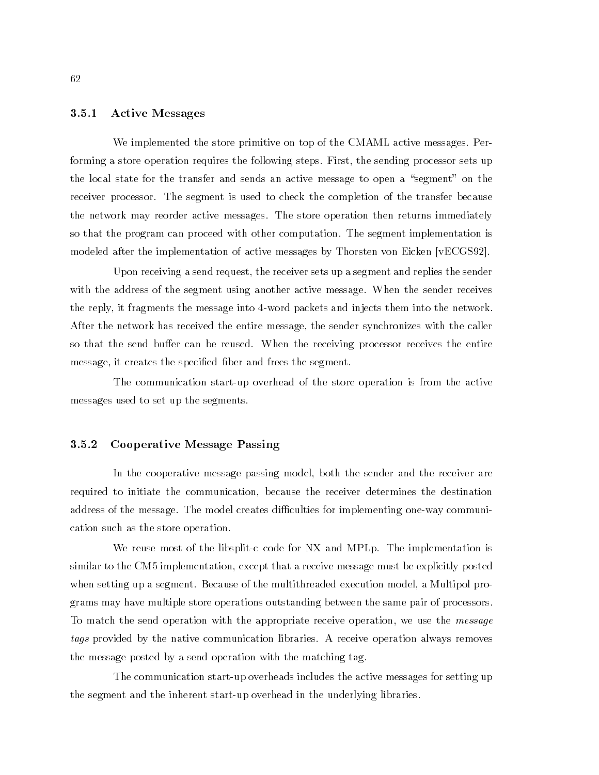#### 3.5.1 Active Messages

We implemented the store primitive on top of the CMAML active messages. Performing a store operation requires the following steps. First, the sending processor sets up the local state for the transfer and sends an active message to open a "segment" on the receiver processor. The segment is used to check the completion of the transfer because the network may reorder active messages. The store operation then returns immediately so that the program can proceed with other computation. The segment implementation is modeled after the implementation of active messages by Thorsten von Eicken [vECGS92].

Upon receiving a send request, the receiver sets up a segment and replies the sender with the address of the segment using another active message. When the sender receives the reply, it fragments the message into 4-word packets and injects them into the network. After the network has received the entire message, the sender synchronizes with the caller so that the send buffer can be reused. When the receiving processor receives the entire message, it creates the specified fiber and frees the segment.

The communication start-up overhead of the store operation is from the active messages used to set up the segments.

#### 3.5.2 Cooperative Message Passing

In the cooperative message passing model, both the sender and the receiver are required to initiate the communication, because the receiver determines the destination address of the message. The model creates difficulties for implementing one-way communication such as the store operation.

We reuse most of the libsplit-c code for NX and MPLp. The implementation is similar to the CM5 implementation, except that a receive message must be explicitly posted when setting up a segment. Because of the multithreaded execution model, a Multipol programs may have multiple store operations outstanding between the same pair of processors. To match the send operation with the appropriate receive operation, we use the *message* tags provided by the native communication libraries. A receive operation always removes the message posted by a send operation with the matching tag.

The communication start-up overheads includes the active messages for setting up the segment and the inherent start-up overhead in the underlying libraries.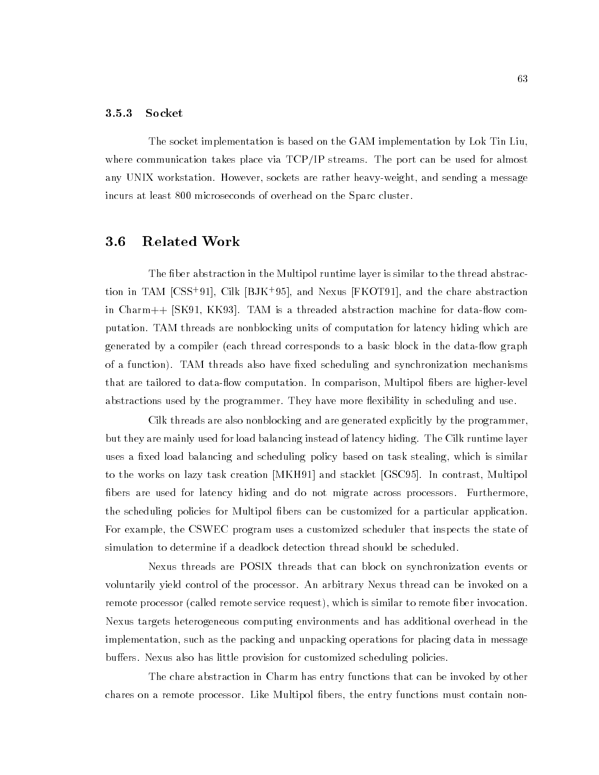#### 3.5.3 Socket

The socket implementation is based on the GAM implementation by Lok Tin Liu, where communication takes place via TCP/IP streams. The port can be used for almost any UNIX workstation. However, sockets are rather heavy-weight, and sending a message incurs at least 800 microseconds of overhead on the Sparc cluster.

## 3.6 Related Work

The fiber abstraction in the Multipol runtime layer is similar to the thread abstraction in TAM [CSS+ 91], Cilk [BJK+ 95], and Nexus [FKOT91], and the chare abstraction in  $Charm++$  [SK91, KK93]. TAM is a threaded abstraction machine for data-flow computation. TAM threads are nonblocking units of computation for latency hiding which are generated by a compiler (each thread corresponds to a basic block in the data-flow graph of a function). TAM threads also have fixed scheduling and synchronization mechanisms that are tailored to data-flow computation. In comparison, Multipol fibers are higher-level abstractions used by the programmer. They have more flexibility in scheduling and use.

Cilk threads are also nonblocking and are generated explicitly by the programmer, but they are mainly used for load balancing instead of latency hiding. The Cilk runtime layer uses a fixed load balancing and scheduling policy based on task stealing, which is similar to the works on lazy task creation [MKH91] and stacklet [GSC95]. In contrast, Multipol bers are used for latency hiding and do not migrate across processors. Furthermore, the scheduling policies for Multipol bers can be customized for a particular application. For example, the CSWEC program uses a customized scheduler that inspects the state of simulation to determine if a deadlock detection thread should be scheduled.

Nexus threads are POSIX threads that can block on synchronization events or voluntarily yield control of the processor. An arbitrary Nexus thread can be invoked on a remote processor (called remote service request), which is similar to remote fiber invocation. Nexus targets heterogeneous computing environments and has additional overhead in the implementation, such as the packing and unpacking operations for placing data in message buffers. Nexus also has little provision for customized scheduling policies.

The chare abstraction in Charm has entry functions that can be invoked by other chares on a remote processor. Like Multipol bers, the entry functions must contain non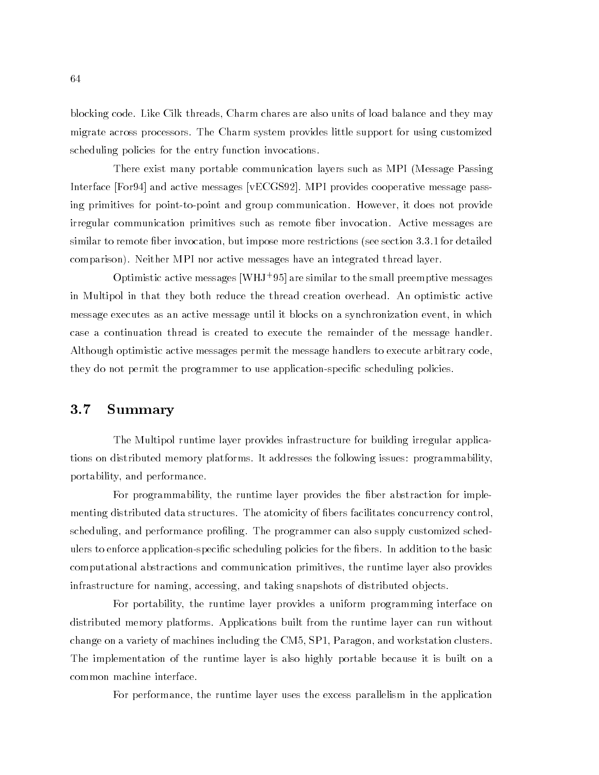blocking code. Like Cilk threads, Charm chares are also units of load balance and they may migrate across processors. The Charm system provides little support for using customized scheduling policies for the entry function invocations.

There exist many portable communication layers such as MPI (Message Passing Interface [For94] and active messages [vECGS92]. MPI provides cooperative message passing primitives for point-to-point and group communication. However, it does not provide irregular communication primitives such as remote ber invocation. Active messages are similar to remote fiber invocation, but impose more restrictions (see section 3.3.1 for detailed comparison). Neither MPI nor active messages have an integrated thread layer.

Optimistic active messages [WHJ<sup>+</sup> 95] are similar to the small preemptive messages in Multipol in that they both reduce the thread creation overhead. An optimistic active message executes as an active message until it blocks on a synchronization event, in which case a continuation thread is created to execute the remainder of the message handler. Although optimistic active messages permit the message handlers to execute arbitrary code, they do not permit the programmer to use application-specic scheduling policies.

#### $3.7$ **Summary**

The Multipol runtime layer provides infrastructure for building irregular applications on distributed memory platforms. It addresses the following issues: programmability, portability, and performance.

For programmability, the runtime layer provides the fiber abstraction for implementing distributed data structures. The atomicity of bers facilitates concurrency control, scheduling, and performance profiling. The programmer can also supply customized schedulers to enforce application-specific scheduling policies for the fibers. In addition to the basic computational abstractions and communication primitives, the runtime layer also provides infrastructure for naming, accessing, and taking snapshots of distributed ob jects.

For portability, the runtime layer provides a uniform programming interface on distributed memory platforms. Applications built from the runtime layer can run without change on a variety of machines including the CM5, SP1, Paragon, and workstation clusters. The implementation of the runtime layer is also highly portable because it is built on a common machine interface.

For performance, the runtime layer uses the excess parallelism in the application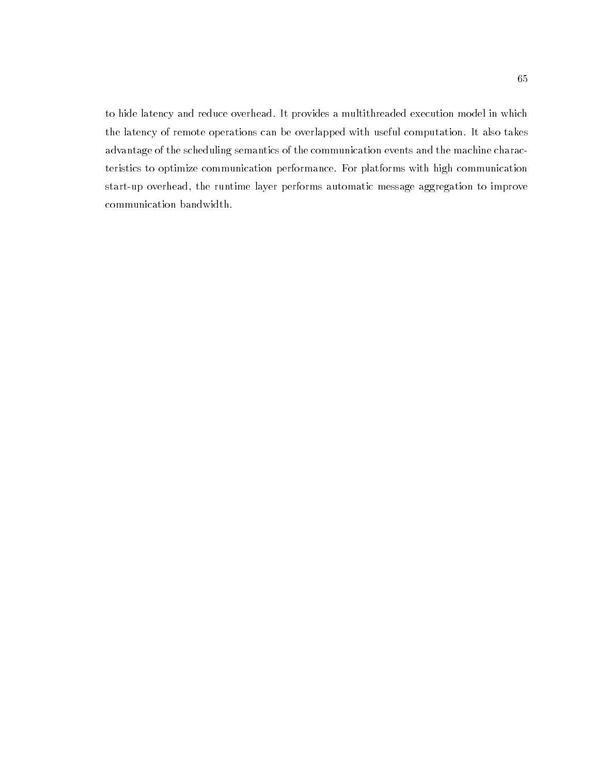to hide latency and reduce overhead. It provides a multithreaded execution model in which the latency of remote operations can be overlapped with useful computation. It also takes advantage of the scheduling semantics of the communication events and the machine characteristics to optimize communication performance. For platforms with high communication start-up overhead, the runtime layer performs automatic message aggregation to improve communication bandwidth.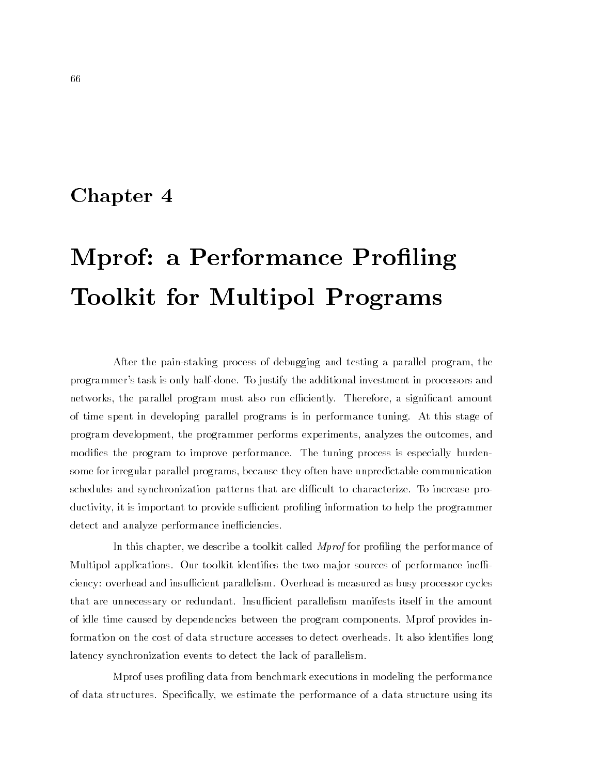## Chapter <sup>4</sup>

# Mprof: a Performance Profiling Toolkit for Multipol Programs

After the pain-staking process of debugging and testing a parallel program, the programmer's task is only half-done. To justify the additional investment in processors and networks, the parallel program must also run efficiently. Therefore, a significant amount of time spent in developing parallel programs is in performance tuning. At this stage of program development, the programmer performs experiments, analyzes the outcomes, and modifies the program to improve performance. The tuning process is especially burdensome for irregular parallel programs, because they often have unpredictable communication schedules and synchronization patterns that are difficult to characterize. To increase productivity, it is important to provide sufficient profiling information to help the programmer detect and analyze performance inefficiencies.

In this chapter, we describe a toolkit called *Mprof* for profiling the performance of Multipol applications. Our toolkit identifies the two major sources of performance inefficiency: overhead and insufficient parallelism. Overhead is measured as busy processor cycles that are unnecessary or redundant. Insufficient parallelism manifests itself in the amount of idle time caused by dependencies between the program components. Mprof provides information on the cost of data structure accesses to detect overheads. It also identifies long latency synchronization events to detect the lack of parallelism.

Mprof uses proling data from benchmark executions in modeling the performance of data structures. Specically, we estimate the performance of a data structure using its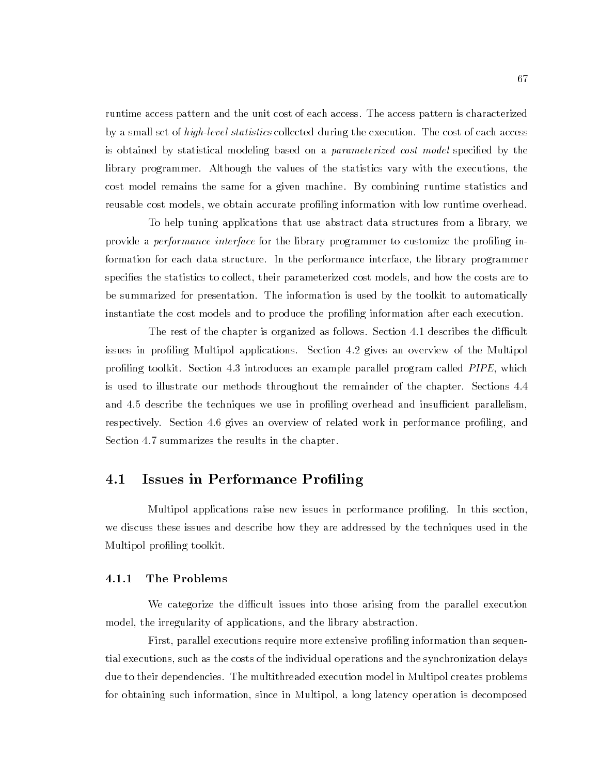runtime access pattern and the unit cost of each access. The access pattern is characterized by a small set of *high-level statistics* collected during the execution. The cost of each access is obtained by statistical modeling based on a *parameterized cost model* specified by the library programmer. Although the values of the statistics vary with the executions, the cost model remains the same for a given machine. By combining runtime statistics and reusable cost models, we obtain accurate profiling information with low runtime overhead.

To help tuning applications that use abstract data structures from a library, we provide a *performance interface* for the library programmer to customize the profiling information for each data structure. In the performance interface, the library programmer specifies the statistics to collect, their parameterized cost models, and how the costs are to be summarized for presentation. The information is used by the toolkit to automatically instantiate the cost models and to produce the proling information after each execution.

The rest of the chapter is organized as follows. Section 4.1 describes the difficult issues in profiling Multipol applications. Section 4.2 gives an overview of the Multipol profiling toolkit. Section 4.3 introduces an example parallel program called *PIPE*, which is used to illustrate our methods throughout the remainder of the chapter. Sections 4.4 and 4.5 describe the techniques we use in profiling overhead and insufficient parallelism, respectively. Section 4.6 gives an overview of related work in performance profiling, and Section 4.7 summarizes the results in the chapter.

## 4.1 Issues in Performance Proling

Multipol applications raise new issues in performance proling. In this section, we discuss these issues and describe how they are addressed by the techniques used in the Multipol proling toolkit.

#### 4.1.1 The Problems

We categorize the difficult issues into those arising from the parallel execution model, the irregularity of applications, and the library abstraction.

First, parallel executions require more extensive profiling information than sequential executions, such as the costs of the individual operations and the synchronization delays due to their dependencies. The multithreaded execution model in Multipol creates problems for obtaining such information, since in Multipol, a long latency operation is decomposed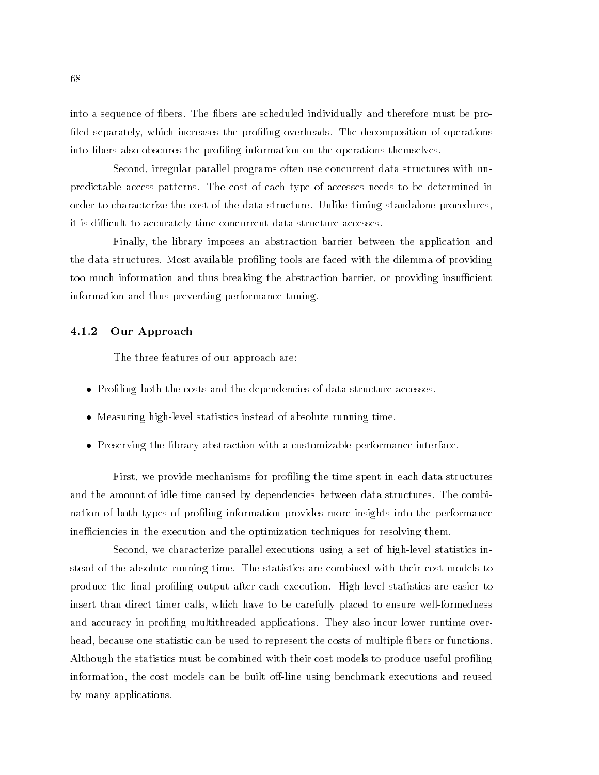into a sequence of fibers. The fibers are scheduled individually and therefore must be profiled separately, which increases the profiling overheads. The decomposition of operations into bers also obscures the proling information on the operations themselves.

Second, irregular parallel programs often use concurrent data structures with unpredictable access patterns. The cost of each type of accesses needs to be determined in order to characterize the cost of the data structure. Unlike timing standalone procedures, it is difficult to accurately time concurrent data structure accesses.

Finally, the library imposes an abstraction barrier between the application and the data structures. Most available profiling tools are faced with the dilemma of providing too much information and thus breaking the abstraction barrier, or providing insufficient information and thus preventing performance tuning.

#### 4.1.2 Our Approach

The three features of our approach are:

- Profiling both the costs and the dependencies of data structure accesses.
- Measuring high-level statistics instead of absolute running time.
- Preserving the library abstraction with a customizable performance interface.

First, we provide mechanisms for profiling the time spent in each data structures and the amount of idle time caused by dependencies between data structures. The combination of both types of profiling information provides more insights into the performance inefficiencies in the execution and the optimization techniques for resolving them.

Second, we characterize parallel executions using a set of high-level statistics instead of the absolute running time. The statistics are combined with their cost models to produce the final profiling output after each execution. High-level statistics are easier to insert than direct timer calls, which have to be carefully placed to ensure well-formedness and accuracy in profiling multithreaded applications. They also incur lower runtime overhead, because one statistic can be used to represent the costs of multiple fibers or functions. Although the statistics must be combined with their cost models to produce useful profiling information, the cost models can be built off-line using benchmark executions and reused by many applications.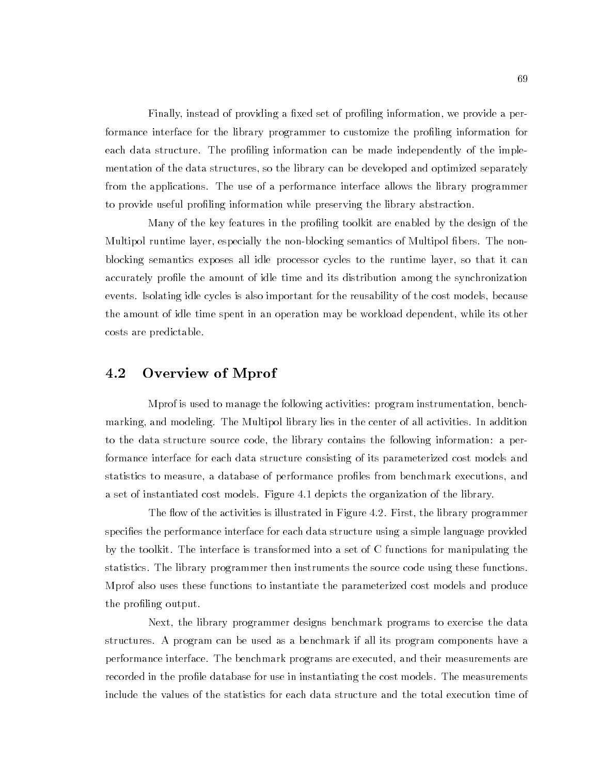Finally, instead of providing a fixed set of profiling information, we provide a performance interface for the library programmer to customize the profiling information for each data structure. The profiling information can be made independently of the implementation of the data structures, so the library can be developed and optimized separately from the applications. The use of a performance interface allows the library programmer to provide useful proling information while preserving the library abstraction.

Many of the key features in the proling toolkit are enabled by the design of the Multipol runtime layer, especially the non-blocking semantics of Multipol fibers. The nonblocking semantics exposes all idle processor cycles to the runtime layer, so that it can accurately prole the amount of idle time and its distribution among the synchronization events. Isolating idle cycles is also important for the reusability of the cost models, because the amount of idle time spent in an operation may be workload dependent, while its other costs are predictable.

## 4.2 Overview of Mprof

Mprof is used to manage the following activities: program instrumentation, benchmarking, and modeling. The Multipol library lies in the center of all activities. In addition to the data structure source code, the library contains the following information: a performance interface for each data structure consisting of its parameterized cost models and statistics to measure, a database of performance proles from benchmark executions, and a set of instantiated cost models. Figure 4.1 depicts the organization of the library.

The flow of the activities is illustrated in Figure 4.2. First, the library programmer specifies the performance interface for each data structure using a simple language provided by the toolkit. The interface is transformed into a set of C functions for manipulating the statistics. The library programmer then instruments the source code using these functions. Mprof also uses these functions to instantiate the parameterized cost models and produce the profiling output.

Next, the library programmer designs benchmark programs to exercise the data structures. A program can be used as a benchmark if all its program components have a performance interface. The benchmark programs are executed, and their measurements are recorded in the profile database for use in instantiating the cost models. The measurements include the values of the statistics for each data structure and the total execution time of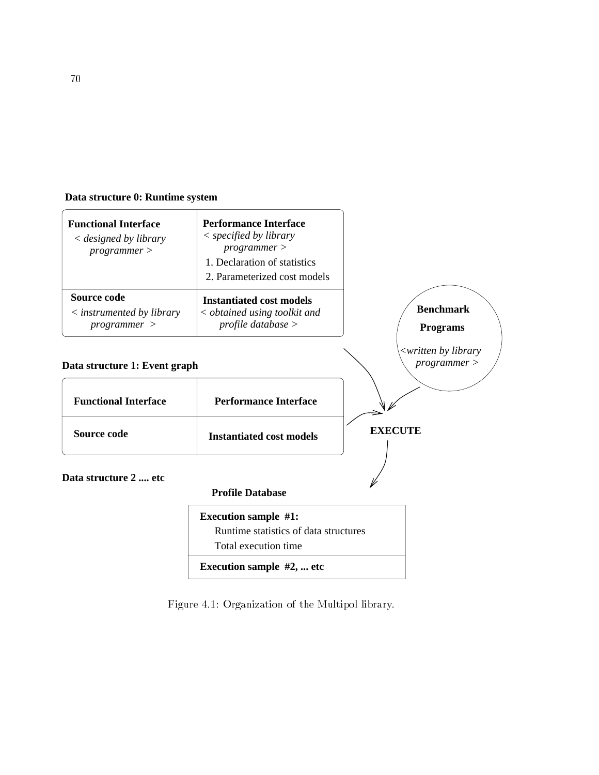## **Data structure 0: Runtime system**



Figure 4.1: Organization of the Multipol library.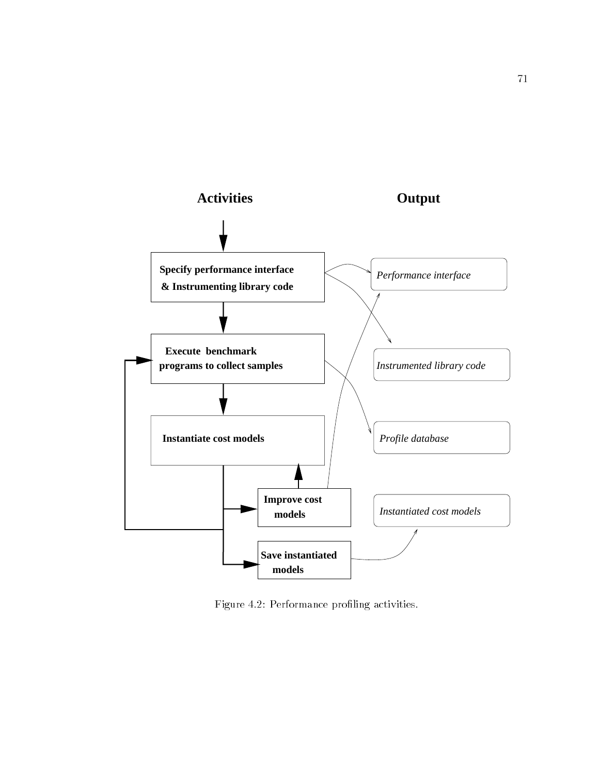

Figure 4.2: Performance profiling activities.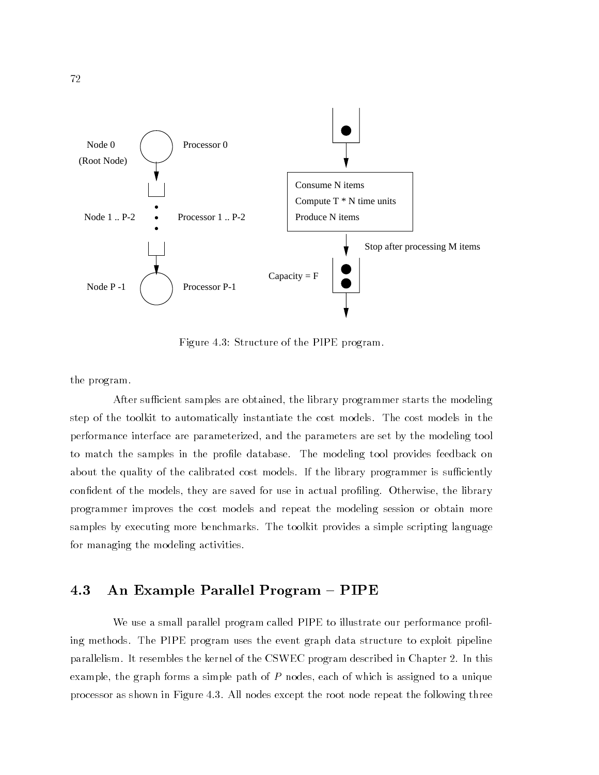

Figure 4.3: Structure of the PIPE program.

the program.

After sufficient samples are obtained, the library programmer starts the modeling step of the toolkit to automatically instantiate the cost models. The cost models in the performance interface are parameterized, and the parameters are set by the modeling tool to match the samples in the prole database. The modeling tool provides feedback on about the quality of the calibrated cost models. If the library programmer is sufficiently confident of the models, they are saved for use in actual profiling. Otherwise, the library programmer improves the cost models and repeat the modeling session or obtain more samples by executing more benchmarks. The toolkit provides a simple scripting language for managing the modeling activities.

## 4.3 An Example Parallel Program  $-$  PIPE

We use a small parallel program called PIPE to illustrate our performance proling methods. The PIPE program uses the event graph data structure to exploit pipeline parallelism. It resembles the kernel of the CSWEC program described in Chapter 2. In this example, the graph forms a simple path of  $P$  nodes, each of which is assigned to a unique processor as shown in Figure 4.3. All nodes except the root node repeat the following three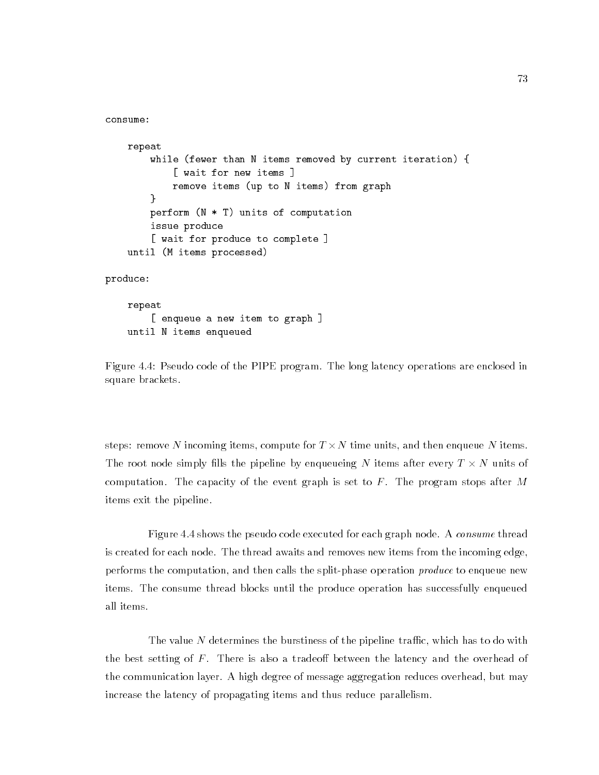```
repeat
    while (fewer than N items removed by current iteration) {
        [ wait for new items ]
        remove items (up to N items) from graph
    }
    perform (N * T) units of computation
    issue produce
    [ wait for produce to complete ]
until (M items processed)
```
produce:

consume:

```
repeat
    [ enqueue a new item to graph ]
until N items enqueued
```
Figure 4.4: Pseudo code of the PIPE program. The long latency operations are enclosed in square brackets.

steps: remove n incoming items, compute for T  $\vee$  . this anne, when then the disperse names it is a The root node simply lls the pipeline by enqueueing <sup>N</sup> items after every <sup>T</sup> - <sup>N</sup> units of computation. The capacity of the event graph is set to  $F$ . The program stops after M items exit the pipeline.

Figure 4.4 shows the pseudo code executed for each graph node. A consume thread is created for each node. The thread awaits and removes new items from the incoming edge, performs the computation, and then calls the split-phase operation *produce* to enqueue new items. The consume thread blocks until the produce operation has successfully enqueued all items.

The value  $N$  determines the burstiness of the pipeline traffic, which has to do with the best setting of  $F$ . There is also a tradeoff between the latency and the overhead of the communication layer. A high degree of message aggregation reduces overhead, but may increase the latency of propagating items and thus reduce parallelism.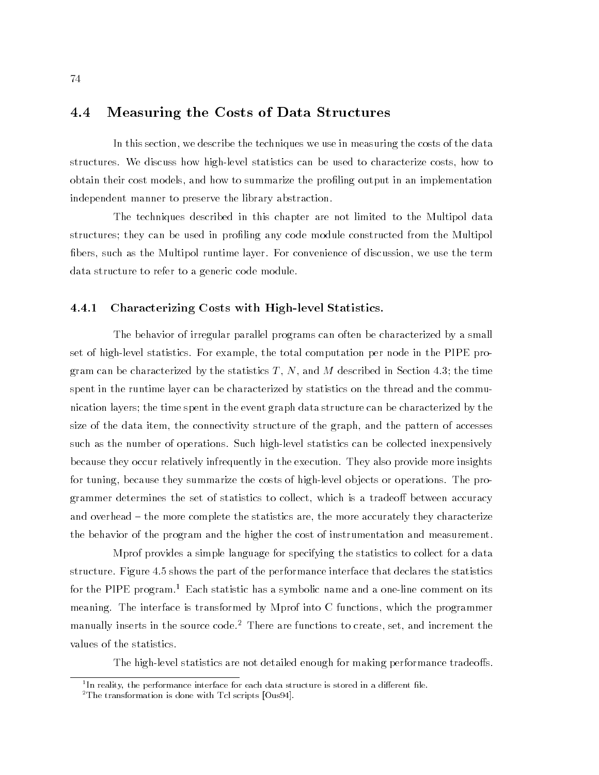## 4.4 Measuring the Costs of Data Structures

In this section, we describe the techniques we use in measuring the costs of the data structures. We discuss how high-level statistics can be used to characterize costs, how to obtain their cost models, and how to summarize the profiling output in an implementation independent manner to preserve the library abstraction.

The techniques described in this chapter are not limited to the Multipol data structures; they can be used in proling any code module constructed from the Multipol bers, such as the Multipol runtime layer. For convenience of discussion, we use the term data structure to refer to a generic code module.

#### 4.4.1 Characterizing Costs with High-level Statistics.

The behavior of irregular parallel programs can often be characterized by a small set of high-level statistics. For example, the total computation per node in the PIPE program can be characterized by the statistics  $T, N$ , and M described in Section 4.3; the time spent in the runtime layer can be characterized by statistics on the thread and the communication layers; the time spent in the event graph data structure can be characterized by the size of the data item, the connectivity structure of the graph, and the pattern of accesses such as the number of operations. Such high-level statistics can be collected inexpensively because they occur relatively infrequently in the execution. They also provide more insights for tuning, because they summarize the costs of high-level ob jects or operations. The programmer determines the set of statistics to collect, which is a tradeoff between accuracy and overhead – the more complete the statistics are, the more accurately they characterize the behavior of the program and the higher the cost of instrumentation and measurement.

Mprof provides a simple language for specifying the statistics to collect for a data structure. Figure 4.5 shows the part of the performance interface that declares the statistics for the PIPE program.<sup>1</sup> Each statistic has a symbolic name and a one-line comment on its meaning. The interface is transformed by Mprof into C functions, which the programmer manually inserts in the source code.<sup>2</sup> There are functions to create, set, and increment the values of the statistics.

The high-level statistics are not detailed enough for making performance tradeoffs.

<sup>&</sup>quot;In reality, the performance interface for each data structure is stored in a different file.

<sup>&</sup>lt;sup>2</sup>The transformation is done with Tcl scripts [Ous94].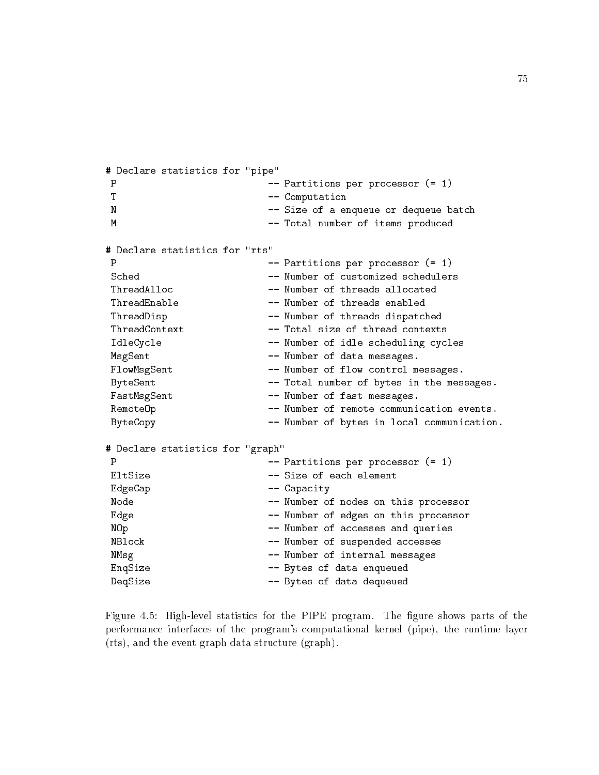```
# Declare statistics for "pipe"
                     -- Partitions per processor (= 1)
\mathbf{P}T -- Computation
N -- Size of a enqueue or dequeue batch
M
                     -- Total number of items produced
# Declare statistics for "rts"
P
                     -- Partitions per processor (= 1)
ThreadAlloc
                     -- Number of threads allocated
ThreadEnable -- Number of threads enabled
ThreadDisp -- Number of threads dispatched
ThreadContext -- Total size of thread contexts
IdleCycle -- Number of idle scheduling cycles
MsgSent -- Number of data messages.
FlowMsgSent -- Number of flow control messages.
ByteSent -- Total number of bytes in the messages.
FastMsgSent -- Number of fast messages.
RemoteOp -- Number of remote communication events.
ByteCopy -- Number of bytes in local communication.
# Declare statistics for "graph"
P
                     -- Partitions per processor (= 1)
EdgeCap -- Capacity
Node -- Number of nodes on this processor
Edge -- Number of edges on this processor
NOp -- Number of accesses and queries
NBlock -- Number of suspended accesses
NMsg -- Number of internal messages
EnqSize -- Bytes of data enqueued
DeqSize -- Bytes of data dequeued
```
Figure 4.5: High-level statistics for the PIPE program. The figure shows parts of the performance interfaces of the program's computational kernel (pipe), the runtime layer (rts), and the event graph data structure (graph).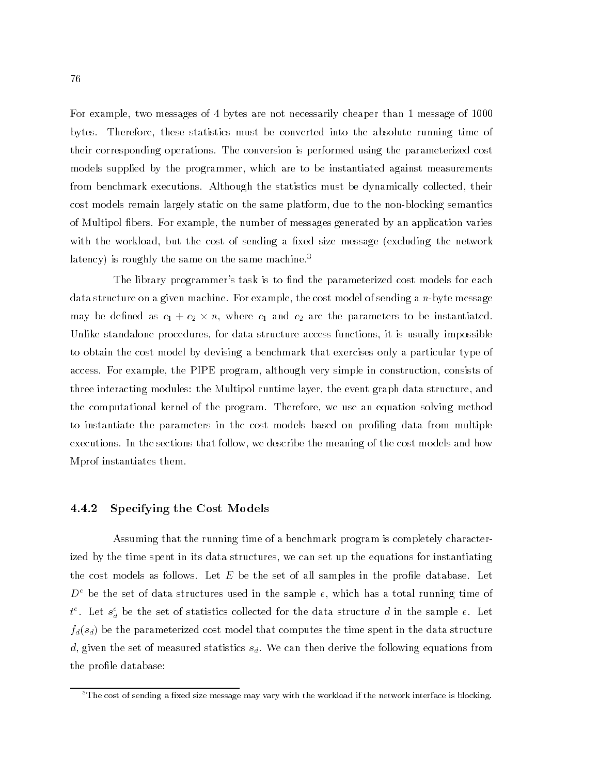For example, two messages of 4 bytes are not necessarily cheaper than 1 message of 1000 bytes. Therefore, these statistics must be converted into the absolute running time of their corresponding operations. The conversion is performed using the parameterized cost models supplied by the programmer, which are to be instantiated against measurements from benchmark executions. Although the statistics must be dynamically collected, their cost models remain largely static on the same platform, due to the non-blocking semantics of Multipol fibers. For example, the number of messages generated by an application varies with the workload, but the cost of sending a fixed size message (excluding the network latency) is roughly the same on the same machine.<sup>3</sup>

The library programmer's task is to find the parameterized cost models for each data structure on a given machine. For example, the cost model of sending a  $n$ -byte message  $\max_{i=1}$  be defined as  $c_{1}$  +  $c_{2}$   $\land$   $m_{i}$  where  $c_{1}$  and  $c_{2}$  are the parameters to be instantiated. Unlike standalone procedures, for data structure access functions, it is usually impossible to obtain the cost model by devising a benchmark that exercises only a particular type of access. For example, the PIPE program, although very simple in construction, consists of three interacting modules: the Multipol runtime layer, the event graph data structure, and the computational kernel of the program. Therefore, we use an equation solving method to instantiate the parameters in the cost models based on profiling data from multiple executions. In the sections that follow, we describe the meaning of the cost models and how Mprof instantiates them.

### 4.4.2 Specifying the Cost Models

Assuming that the running time of a benchmark program is completely characterized by the time spent in its data structures, we can set up the equations for instantiating the cost models as follows. Let  $E$  be the set of all samples in the profile database. Let  $D^\circ$  be the set of data structures used in the sample  $e,$  which has a total running time of  $t^*$ . Let  $s^{\scriptscriptstyle \vee}_d$  be the set of statistics collected for the data structure  $a$  in the sample  $e$ . Let  $f_d(s_d)$  be the parameterized cost model that computes the time spent in the data structure d, given the set of measured statistics  $s_d$ . We can then derive the following equations from the profile database:

 $\rm{^{3}The}$  cost of sending a fixed size message may vary with the workload if the network interface is blocking.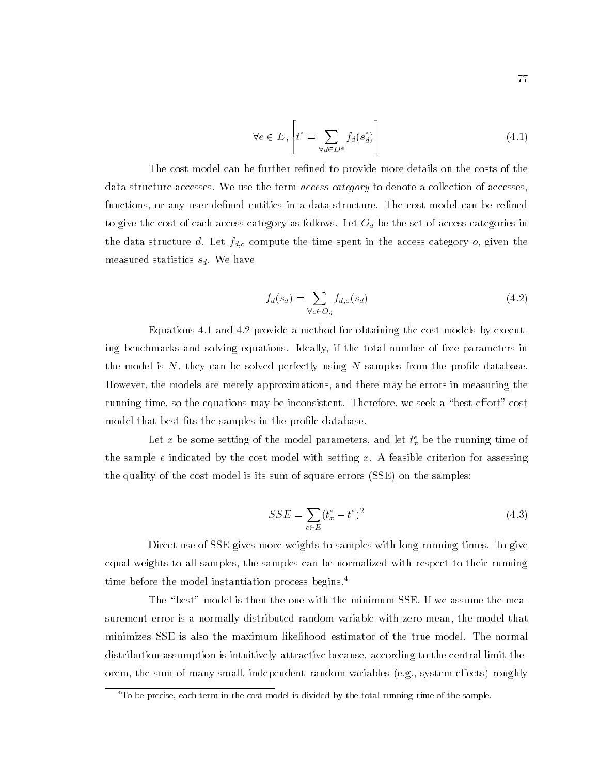$$
\forall e \in E, \left[ t^e = \sum_{\forall d \in D^e} f_d(s_d^e) \right] \tag{4.1}
$$

The cost model can be further refined to provide more details on the costs of the data structure accesses. We use the term *access category* to denote a collection of accesses. functions, or any user-defined entities in a data structure. The cost model can be refined to give the cost of each access category as follows. Let Od be the set of access categories in the data structure d. Let fd;o compute the time spent in the access category o, given the measured statistics  $s_d$ . We have

$$
f_d(s_d) = \sum_{\forall o \in O_d} f_{d,o}(s_d) \tag{4.2}
$$

Equations 4.1 and 4.2 provide a method for obtaining the cost models by executing benchmarks and solving equations. Ideally, if the total number of free parameters in the model is  $N$ , they can be solved perfectly using  $N$  samples from the profile database. However, the models are merely approximations, and there may be errors in measuring the running time, so the equations may be inconsistent. Therefore, we seek a "best-effort" cost model that best fits the samples in the profile database.

Let x be some setting of the model parameters, and let  $\iota_{\tilde x}$  be the running time of the sample  $e$  indicated by the cost model with setting x. A feasible criterion for assessing the quality of the cost model is its sum of square errors (SSE) on the samples:

$$
SSE = \sum_{e \in E} (t_x^e - t^e)^2 \tag{4.3}
$$

Direct use of SSE gives more weights to samples with long running times. To give equal weights to all samples, the samples can be normalized with respect to their running time before the model instantiation process begins.<sup>4</sup>

The "best" model is then the one with the minimum SSE. If we assume the measurement error is a normally distributed random variable with zero mean, the model that minimizes SSE is also the maximum likelihood estimator of the true model. The normal distribution assumption is intuitively attractive because, according to the central limit theorem, the sum of many small, independent random variables (e.g., system effects) roughly

 $4T_0$  be precise, each term in the cost model is divided by the total running time of the sample.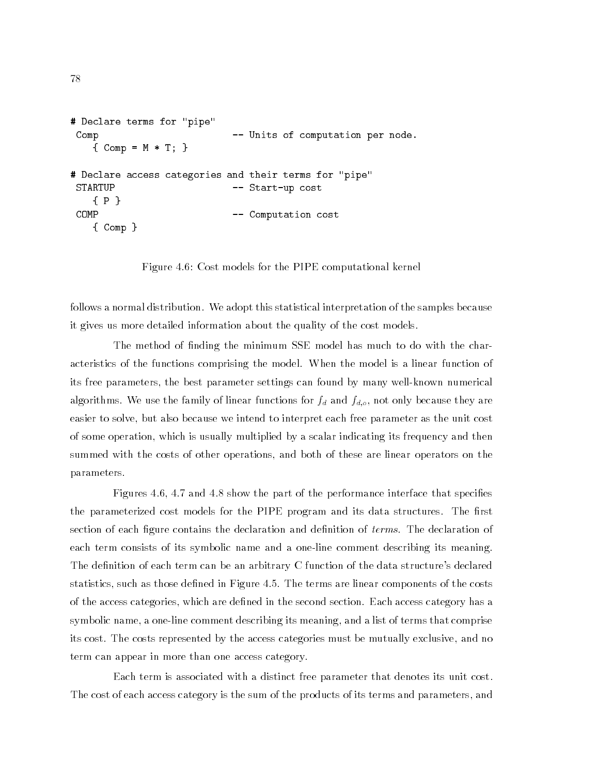```
# Declare terms for "pipe"
Comp -- Units of computation per node.
   { Comp = M * T; }
# Declare access categories and their terms for "pipe"
STARTUP -- Start-up cost
   {P}
COMP
                        -- Computation cost
   { Comp }
```
Figure 4.6: Cost models for the PIPE computational kernel

follows a normal distribution. We adopt this statistical interpretation of the samples because it gives us more detailed information about the quality of the cost models.

The method of finding the minimum SSE model has much to do with the characteristics of the functions comprising the model. When the model is a linear function of its free parameters, the best parameter settings can found by many well-known numerical  $\alpha$ lgorithms. We use the family of linear functions for  $f_d$  and  $f_{d,0}$ , not only because they are easier to solve, but also because we intend to interpret each free parameter as the unit cost of some operation, which is usually multiplied by a scalar indicating its frequency and then summed with the costs of other operations, and both of these are linear operators on the parameters.

Figures 4.6, 4.7 and 4.8 show the part of the performance interface that species the parameterized cost models for the PIPE program and its data structures. The first section of each figure contains the declaration and definition of *terms*. The declaration of each term consists of its symbolic name and a one-line comment describing its meaning. The definition of each term can be an arbitrary C function of the data structure's declared statistics, such as those defined in Figure 4.5. The terms are linear components of the costs of the access categories, which are defined in the second section. Each access category has a symbolic name, a one-line comment describing its meaning, and a list of terms that comprise its cost. The costs represented by the access categories must be mutually exclusive, and no term can appear in more than one access category.

Each term is associated with a distinct free parameter that denotes its unit cost. The cost of each access category is the sum of the products of its terms and parameters, and

```
78
```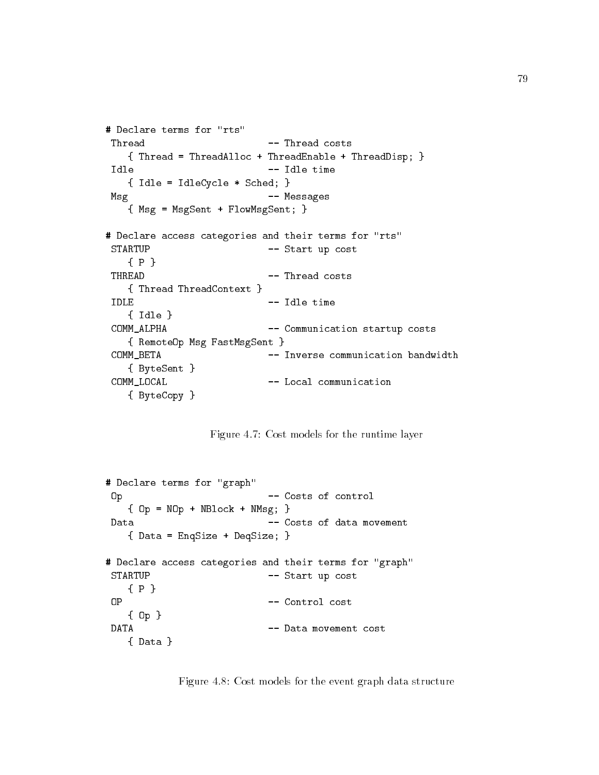```
# Declare terms for "rts"
Thread
                       -- Thread costs
   { Thread = ThreadAlloc + ThreadEnable + ThreadDisp; }
Idle -- Idle time
   { Idle = IdleCycle * Sched; }
Msg -- Messages
   { Msg = MsgSent + FlowMsgSent; }
# Declare access categories and their terms for "rts"
STARTUP
                       -- Start up cost
   {P}
THREAD -- Thread costs
   { Thread ThreadContext }
IDLE
                       -- Idle time
   { Idle }
COMM_ALPHA -- Communication startup costs
   { RemoteOp Msg FastMsgSent }
COMM_BETA -- Inverse communication bandwidth
   { ByteSent }
COMM_LOCAL -- Local communication
   { ByteCopy }
```
Figure 4.7: Cost models for the runtime layer

```
# Declare terms for "graph"
Op - Costs of control
  {Dp = NOp + NBlock + NMsg; }Data -- Costs of data movement
  { Data = EnqSize + DeqSize; }
# Declare access categories and their terms for "graph"
STARTUP -- Start up cost
  {P}
0P
                     -- Control cost
  { Op }
DATA -- Data movement cost
  { Data }
```
Figure 4.8: Cost models for the event graph data structure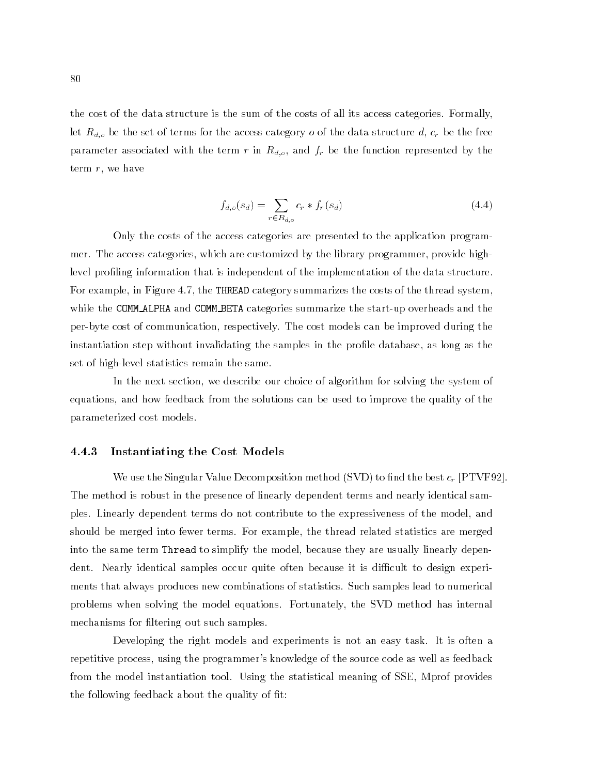the cost of the data structure is the sum of the costs of all its access categories. Formally, let Rd;o be the set of terms for the access category <sup>o</sup> of the data structure d, cr be the free parameter associated with the term <sup>r</sup> in Rd;o, and fr be the function represented by the term  $r$ , we have

$$
f_{d,o}(s_d) = \sum_{r \in R_{d,o}} c_r * f_r(s_d)
$$
\n(4.4)

Only the costs of the access categories are presented to the application programmer. The access categories, which are customized by the library programmer, provide highlevel profiling information that is independent of the implementation of the data structure. For example, in Figure 4.7, the THREAD category summarizes the costs of the thread system, while the COMM\_ALPHA and COMM\_BETA categories summarize the start-up overheads and the per-byte cost of communication, respectively. The cost models can be improved during the instantiation step without invalidating the samples in the profile database, as long as the set of high-level statistics remain the same.

In the next section, we describe our choice of algorithm for solving the system of equations, and how feedback from the solutions can be used to improve the quality of the parameterized cost models.

## 4.4.3 Instantiating the Cost Models

We also the Singular Value Decomposition include  $(8.1D)$  to find the best cr  $p_{\parallel}$  if  $\pm$   $(1.2E)$ . The method is robust in the presence of linearly dependent terms and nearly identical samples. Linearly dependent terms do not contribute to the expressiveness of the model, and should be merged into fewer terms. For example, the thread related statistics are merged into the same term Thread to simplify the model, because they are usually linearly dependent. Nearly identical samples occur quite often because it is difficult to design experiments that always produces new combinations of statistics. Such samples lead to numerical problems when solving the model equations. Fortunately, the SVD method has internal mechanisms for filtering out such samples.

Developing the right models and experiments is not an easy task. It is often a repetitive process, using the programmer's knowledge of the source code as well as feedback from the model instantiation tool. Using the statistical meaning of SSE, Mprof provides the following feedback about the quality of fit: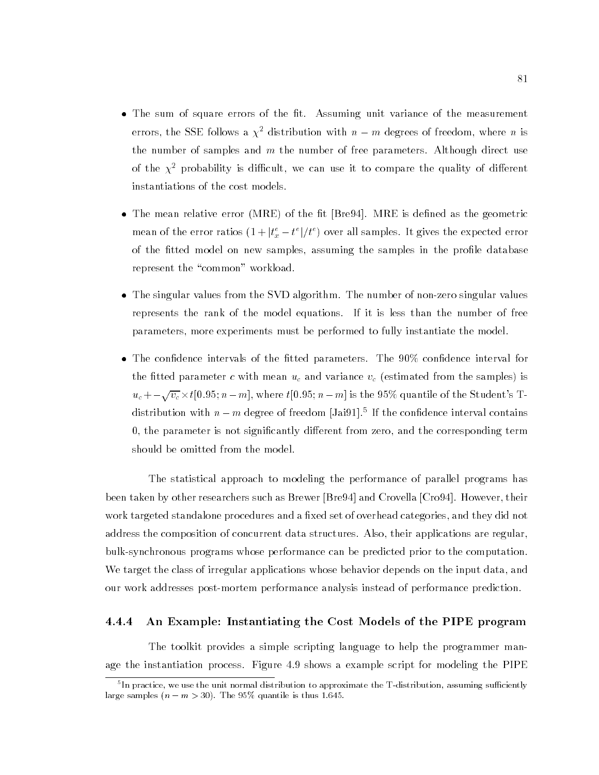- The sum of square errors of the fit. Assuming unit variance of the measurement errors, the SSE follows a  $\chi^2$  distribution with  $n - m$  degrees of freedom, where n is the number of samples and  $m$  the number of free parameters. Although direct use of the  $\chi^2$  probability is difficult, we can use it to compare the quality of different instantiations of the cost models.
- The mean relative error (MRE) of the fit [Bre94]. MRE is defined as the geometric mean of the error ratios  $(1+|t_x^*-t^*|/t^*)$  over all samples. It gives the expected error of the fitted model on new samples, assuming the samples in the profile database represent the "common" workload.
- The singular values from the SVD algorithm. The number of non-zero singular values represents the rank of the model equations. If it is less than the number of free parameters, more experiments must be performed to fully instantiate the model.
- The confidence intervals of the fitted parameters. The  $90\%$  confidence interval for the tted parameter <sup>c</sup> with mean uc and variance vc (estimated from the samples) is  $u_c + -\sqrt{v_c} \times t[0.95; n-m]$ , where  $t[0.95; n-m]$  is the 95% quantile of the Student's Tdistribution with  $n-m$  degree of freedom [Jai91]. If the conndence interval contains 0, the parameter is not significantly different from zero, and the corresponding term should be omitted from the model.

The statistical approach to modeling the performance of parallel programs has been taken by other researchers such as Brewer [Bre94] and Crovella [Cro94]. However, their work targeted standalone procedures and a fixed set of overhead categories, and they did not address the composition of concurrent data structures. Also, their applications are regular, bulk-synchronous programs whose performance can be predicted prior to the computation. We target the class of irregular applications whose behavior depends on the input data, and our work addresses post-mortem performance analysis instead of performance prediction.

#### 4.4.4 An Example: Instantiating the Cost Models of the PIPE program

The toolkit provides a simple scripting language to help the programmer manage the instantiation process. Figure 4.9 shows a example script for modeling the PIPE

In practice, we use the unit normal distribution to approximate the T-distribution, assuming sufficiently than large samples  $(n - m > 30)$ . The 95% quantile is thus 1.645.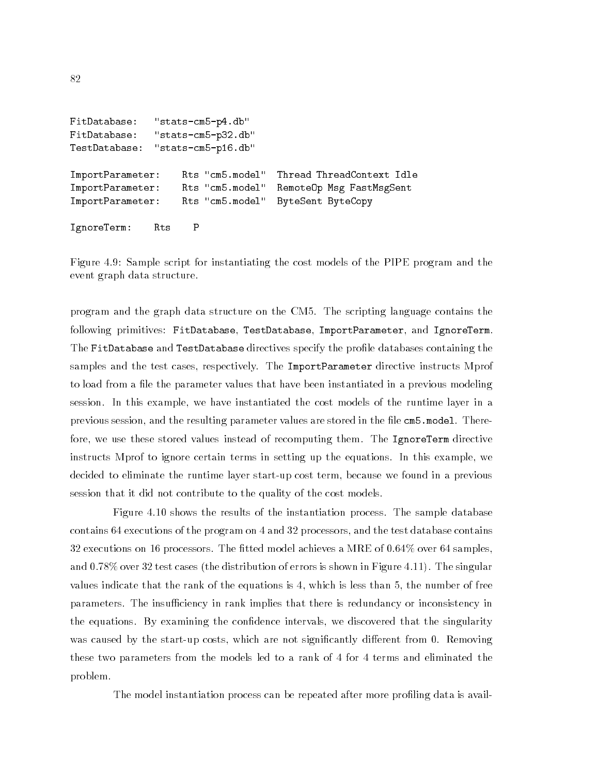```
FitDatabase:
              "stats-cm5-p4.db"
FitDatabase: "stats-cm5-p32.db"
TestDatabase:
              "stats-cm5-p16.db"
                                   Thread ThreadContext Idle
ImportParameter: Rts "cm5.model"
ImportParameter: Rts "cm5.model" RemoteOp Msg FastMsgSent
ImportParameter: Rts "cm5.model" ByteSent ByteCopy
IgnoreTerm: Rts P
```
Figure 4.9: Sample script for instantiating the cost models of the PIPE program and the event graph data structure.

program and the graph data structure on the CM5. The scripting language contains the following primitives: FitDatabase, TestDatabase, ImportParameter, and IgnoreTerm. The FitDatabase and TestDatabase directives specify the prole databases containing the samples and the test cases, respectively. The ImportParameter directive instructs Mprof to load from a file the parameter values that have been instantiated in a previous modeling session. In this example, we have instantiated the cost models of the runtime layer in a previous session, and the resulting parameter values are stored in the file cm5.model. Therefore, we use these stored values instead of recomputing them. The IgnoreTerm directive instructs Mprof to ignore certain terms in setting up the equations. In this example, we decided to eliminate the runtime layer start-up cost term, because we found in a previous session that it did not contribute to the quality of the cost models.

Figure 4.10 shows the results of the instantiation process. The sample database contains 64 executions of the program on 4 and 32 processors, and the test database contains 32 executions on 16 processors. The fitted model achieves a MRE of  $0.64\%$  over 64 samples, and 0.78% over 32 test cases (the distribution of errors is shown in Figure 4.11). The singular values indicate that the rank of the equations is 4, which is less than 5, the number of free parameters. The insufficiency in rank implies that there is redundancy or inconsistency in the equations. By examining the condence intervals, we discovered that the singularity was caused by the start-up costs, which are not significantly different from 0. Removing these two parameters from the models led to a rank of 4 for 4 terms and eliminated the problem.

The model instantiation process can be repeated after more proling data is avail-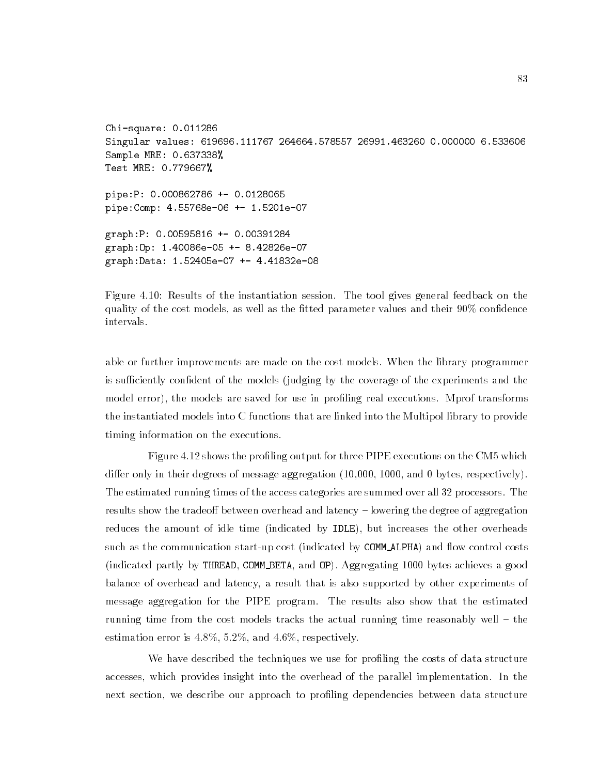```
Chi-square: 0.011286
Singular values: 619696.111767 264664.578557 26991.463260 0.000000 6.533606
Sample MRE: 0.637338%
Test MRE: 0.779667%
pipe:P: 0.000862786 +- 0.0128065
pipe:Comp: 4.55768e-06 +- 1.5201e-07
graph:P: 0.00595816 +- 0.00391284
graph:Op: 1.40086e-05 +- 8.42826e-07
graph:Data: 1.52405e-07 +- 4.41832e-08
```
Figure 4.10: Results of the instantiation session. The tool gives general feedback on the quality of the cost models, as well as the fitted parameter values and their  $90\%$  confidence intervals.

able or further improvements are made on the cost models. When the library programmer is sufficiently confident of the models (judging by the coverage of the experiments and the model error), the models are saved for use in profiling real executions. Mprof transforms the instantiated models into C functions that are linked into the Multipol library to provide timing information on the executions.

Figure 4.12 shows the profiling output for three PIPE executions on the CM5 which differ only in their degrees of message aggregation  $(10,000, 1000,$  and 0 bytes, respectively). The estimated running times of the access categories are summed over all 32 processors. The results show the tradeoff between overhead and latency - lowering the degree of aggregation reduces the amount of idle time (indicated by IDLE), but increases the other overheads such as the communication start-up cost (indicated by COMM\_ALPHA) and flow control costs (indicated partly by THREAD, COMM BETA, and OP). Aggregating 1000 bytes achieves a good balance of overhead and latency, a result that is also supported by other experiments of message aggregation for the PIPE program. The results also show that the estimated running time from the cost models tracks the actual running time reasonably well  $-$  the estimation error is  $4.8\%, 5.2\%,$  and  $4.6\%,$  respectively.

We have described the techniques we use for profiling the costs of data structure accesses, which provides insight into the overhead of the parallel implementation. In the next section, we describe our approach to profiling dependencies between data structure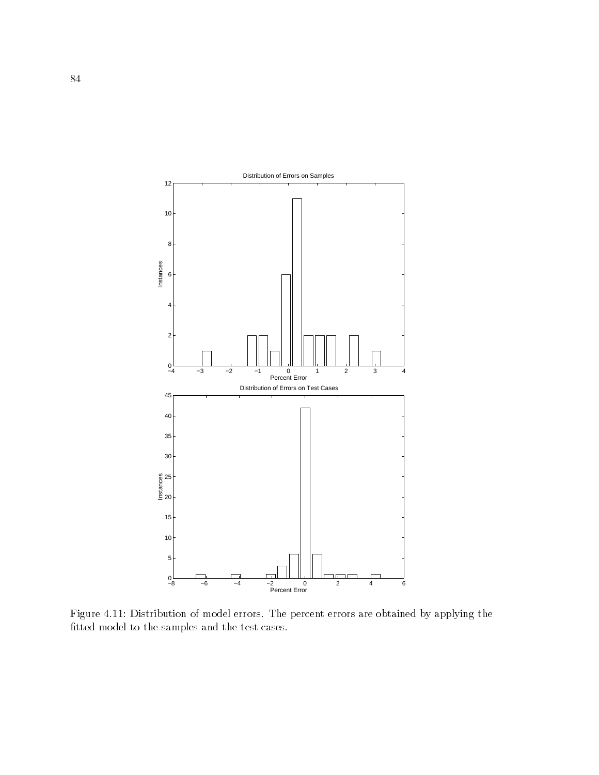

Figure 4.11: Distribution of model errors. The percent errors are obtained by applying the fitted model to the samples and the test cases.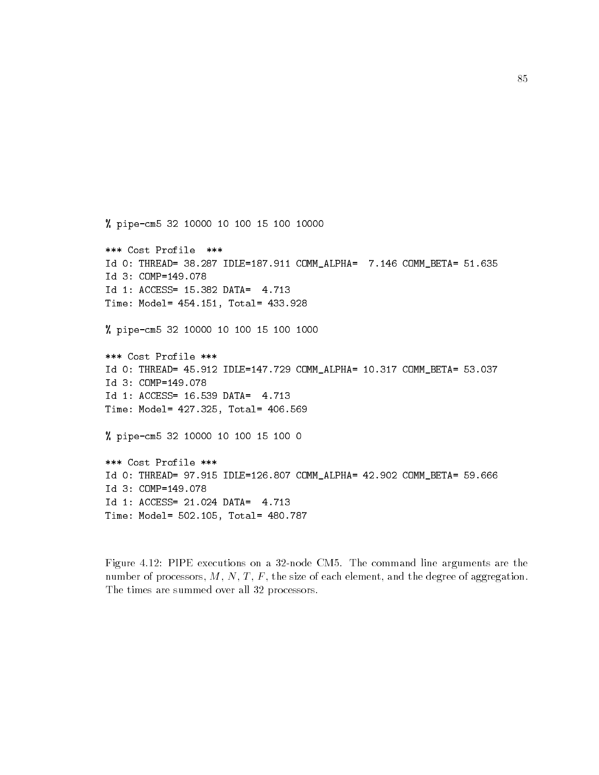```
% pipe-cm5 32 10000 10 100 15 100 10000
*** Cost Profile ***
Id 0: THREAD= 38.287 IDLE=187.911 COMM_ALPHA= 7.146 COMM_BETA= 51.635
Id 3: COMP=149.078
Id 1: ACCESS= 15.382 DATA= 4.713
Time: Model= 454.151, Total= 433.928
% pipe-cm5 32 10000 10 100 15 100 1000
*** Cost Profile ***
Id 0: THREAD= 45.912 IDLE=147.729 COMM_ALPHA= 10.317 COMM_BETA= 53.037
Id 3: COMP=149.078
Id 1: ACCESS= 16.539 DATA= 4.713
Time: Model= 427.325, Total= 406.569
% pipe-cm5 32 10000 10 100 15 100 0
*** Cost Profile ***
Id 0: THREAD= 97.915 IDLE=126.807 COMM_ALPHA= 42.902 COMM_BETA= 59.666
Id 3: COMP=149.078
Id 1: ACCESS= 21.024 DATA= 4.713
Time: Model= 502.105, Total= 480.787
```

```
Figure 4.12: PIPE executions on a 32-node CM5. The command line arguments are the
number of processors, M, N, T, F, the size of each element, and the degree of aggregation.
The times are summed over all 32 processors.
```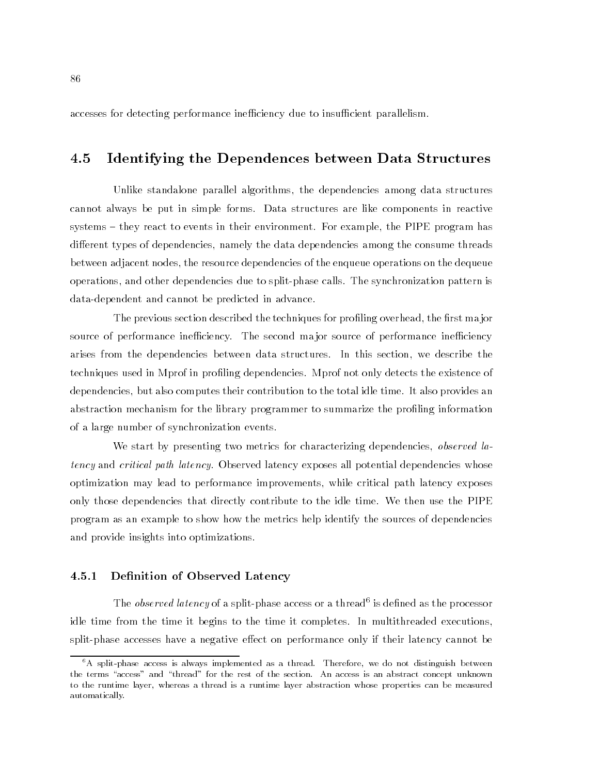accesses for detecting performance inefficiency due to insufficient parallelism.

#### Identifying the Dependences between Data Structures 4.5

Unlike standalone parallel algorithms, the dependencies among data structures cannot always be put in simple forms. Data structures are like components in reactive systems – they react to events in their environment. For example, the PIPE program has different types of dependencies, namely the data dependencies among the consume threads between adjacent nodes, the resource dependencies of the enqueue operations on the dequeue operations, and other dependencies due to split-phase calls. The synchronization pattern is data-dependent and cannot be predicted in advance.

The previous section described the techniques for profiling overhead, the first major source of performance inefficiency. The second major source of performance inefficiency arises from the dependencies between data structures. In this section, we describe the techniques used in Mprof in proling dependencies. Mprof not only detects the existence of dependencies, but also computes their contribution to the total idle time. It also provides an abstraction mechanism for the library programmer to summarize the profiling information of a large number of synchronization events.

We start by presenting two metrics for characterizing dependencies, *observed la*tency and critical path latency. Observed latency exposes all potential dependencies whose optimization may lead to performance improvements, while critical path latency exposes only those dependencies that directly contribute to the idle time. We then use the PIPE program as an example to show how the metrics help identify the sources of dependencies and provide insights into optimizations.

#### $4.5.1$ Definition of Observed Latency

The *observed latency* of a split-phase access or a thread is defined as the processor idle time from the time it begins to the time it completes. In multithreaded executions, split-phase accesses have a negative effect on performance only if their latency cannot be

 ${}^6A$  split-phase access is always implemented as a thread. Therefore, we do not distinguish between the terms "access" and "thread" for the rest of the section. An access is an abstract concept unknown to the runtime layer, whereas a thread is a runtime layer abstraction whose properties can be measured automatically.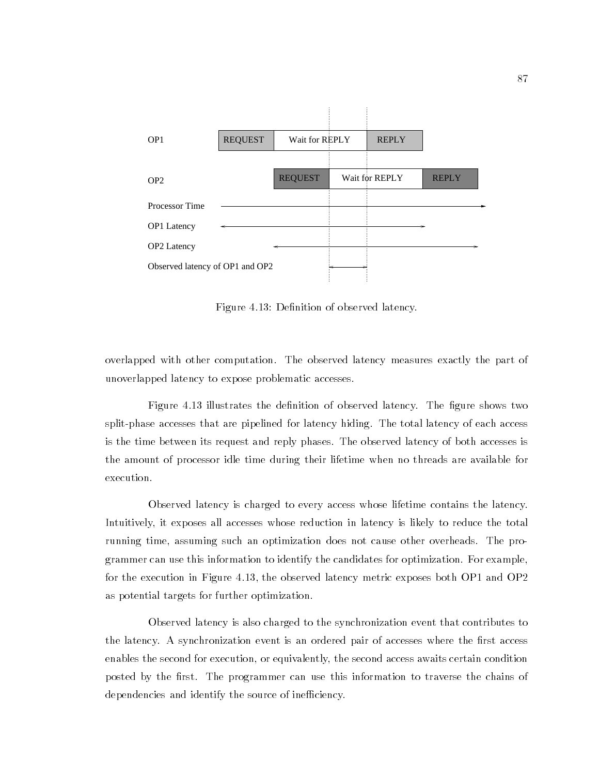

Figure 4.13: Definition of observed latency.

overlapped with other computation. The observed latency measures exactly the part of unoverlapped latency to expose problematic accesses.

Figure 4.13 illustrates the definition of observed latency. The figure shows two split-phase accesses that are pipelined for latency hiding. The total latency of each access is the time between its request and reply phases. The observed latency of both accesses is the amount of processor idle time during their lifetime when no threads are available for execution.

Observed latency is charged to every access whose lifetime contains the latency. Intuitively, it exposes all accesses whose reduction in latency is likely to reduce the total running time, assuming such an optimization does not cause other overheads. The programmer can use this information to identify the candidates for optimization. For example, for the execution in Figure 4.13, the observed latency metric exposes both OP1 and OP2 as potential targets for further optimization.

Observed latency is also charged to the synchronization event that contributes to the latency. A synchronization event is an ordered pair of accesses where the first access enables the second for execution, or equivalently, the second access awaits certain condition posted by the first. The programmer can use this information to traverse the chains of dependencies and identify the source of inefficiency.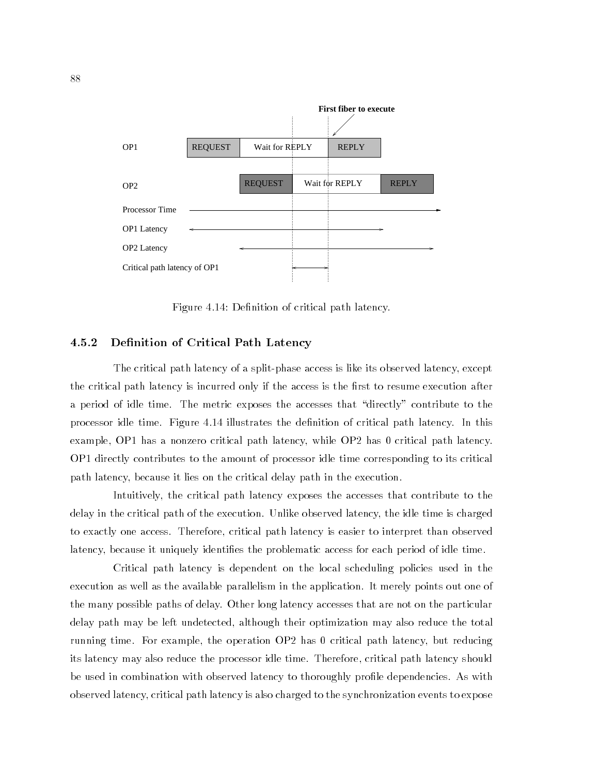

Figure 4.14: Definition of critical path latency.

#### 4.5.2 Definition of Critical Path Latency

The critical path latency of a split-phase access is like its observed latency, except the critical path latency is incurred only if the access is the first to resume execution after a period of idle time. The metric exposes the accesses that \directly" contribute to the processor idle time. Figure 4.14 illustrates the denition of critical path latency. In this example, OP1 has a nonzero critical path latency, while OP2 has 0 critical path latency. OP1 directly contributes to the amount of processor idle time corresponding to its critical path latency, because it lies on the critical delay path in the execution.

Intuitively, the critical path latency exposes the accesses that contribute to the delay in the critical path of the execution. Unlike observed latency, the idle time is charged to exactly one access. Therefore, critical path latency is easier to interpret than observed latency, because it uniquely identies the problematic access for each period of idle time.

Critical path latency is dependent on the local scheduling policies used in the execution as well as the available parallelism in the application. It merely points out one of the many possible paths of delay. Other long latency accesses that are not on the particular delay path may be left undetected, although their optimization may also reduce the total running time. For example, the operation OP2 has 0 critical path latency, but reducing its latency may also reduce the processor idle time. Therefore, critical path latency should be used in combination with observed latency to thoroughly profile dependencies. As with observed latency, critical path latency is also charged to the synchronization events to expose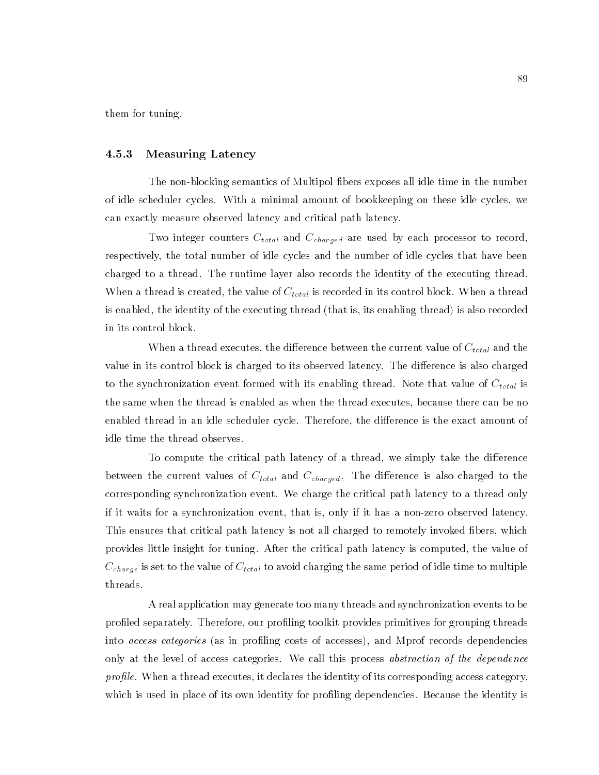them for tuning.

#### 4.5.3 Measuring Latency

The non-blocking semantics of Multipol bers exposes all idle time in the number of idle scheduler cycles. With a minimal amount of bookkeeping on these idle cycles, we can exactly measure observed latency and critical path latency.

 $T$  we integer counters  $C_{\text{full}}$  and  $C_{\text{full}}$  are used by each processor to record, respectively, the total number of idle cycles and the number of idle cycles that have been charged to a thread. The runtime layer also records the identity of the executing thread. When a thread is created, the value of  $C_{\text{total}}$  is recorded in its control block. When a thread is enabled, the identity of the executing thread (that is, its enabling thread) is also recorded in its control block.

When a thread executes, the dierence between the current value of Ctotal and the value in its control block is charged to its observed latency. The difference is also charged to the synchronization event formed with its enabling thread. Note that value of  $C_{\text{full}}$  is the same when the thread is enabled as when the thread executes, because there can be no enabled thread in an idle scheduler cycle. Therefore, the difference is the exact amount of idle time the thread observes.

To compute the critical path latency of a thread, we simply take the difference between the current values of Ctotal and Ccharged. The dierence is also charged to the corresponding synchronization event. We charge the critical path latency to a thread only if it waits for a synchronization event, that is, only if it has a non-zero observed latency. This ensures that critical path latency is not all charged to remotely invoked bers, which provides little insight for tuning. After the critical path latency is computed, the value of  $\sim$   $_{\rm{C}}$   $_{\rm{C}}$  is set to the value of  $\sim$   $_{\rm{C}}$   $_{\rm{C}}$  is avoid of idea  $\sim$  multiple to multiple threads.

A real application may generate too many threads and synchronization events to be profiled separately. Therefore, our profiling toolkit provides primitives for grouping threads into *access categories* (as in profiling costs of accesses), and Mprof records dependencies only at the level of access categories. We call this process abstraction of the dependence profile. When a thread executes, it declares the identity of its corresponding access category, which is used in place of its own identity for profiling dependencies. Because the identity is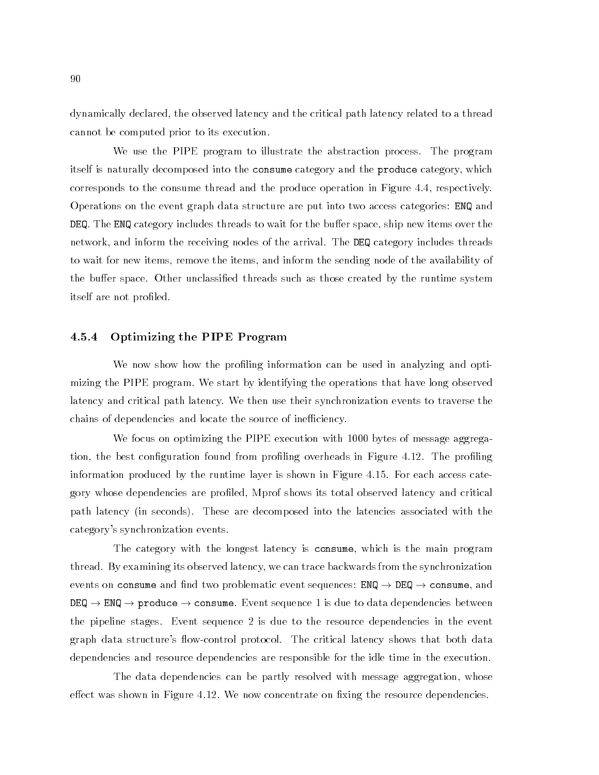dynamically declared, the observed latency and the critical path latency related to a thread cannot be computed prior to its execution.

We use the PIPE program to illustrate the abstraction process. The program itself is naturally decomposed into the consume category and the produce category, which corresponds to the consume thread and the produce operation in Figure 4.4, respectively. Operations on the event graph data structure are put into two access categories: ENQ and DEQ. The ENQ category includes threads to wait for the buffer space, ship new items over the network, and inform the receiving nodes of the arrival. The DEQ category includes threads to wait for new items, remove the items, and inform the sending node of the availability of the buffer space. Other unclassified threads such as those created by the runtime system itself are not profiled.

#### 4.5.4 Optimizing the PIPE Program

We now show how the profiling information can be used in analyzing and optimizing the PIPE program. We start by identifying the operations that have long observed latency and critical path latency. We then use their synchronization events to traverse the chains of dependencies and locate the source of inefficiency.

We focus on optimizing the PIPE execution with 1000 bytes of message aggregation, the best configuration found from profiling overheads in Figure 4.12. The profiling information produced by the runtime layer is shown in Figure 4.15. For each access category whose dependencies are proled, Mprof shows its total observed latency and critical path latency (in seconds). These are decomposed into the latencies associated with the category's synchronization events.

The category with the longest latency is consume, which is the main program thread. By examining its observed latency, we can trace backwards from the synchronization events on consume and find two problematic event sequences:  $ENQ \rightarrow DEQ \rightarrow \text{cosume}$ , and  $DEQ \rightarrow ENQ \rightarrow$  produce  $\rightarrow$  consume. Event sequence 1 is due to data dependencies between the pipeline stages. Event sequence 2 is due to the resource dependencies in the event graph data structure's flow-control protocol. The critical latency shows that both data dependencies and resource dependencies are responsible for the idle time in the execution.

The data dependencies can be partly resolved with message aggregation, whose effect was shown in Figure 4.12. We now concentrate on fixing the resource dependencies.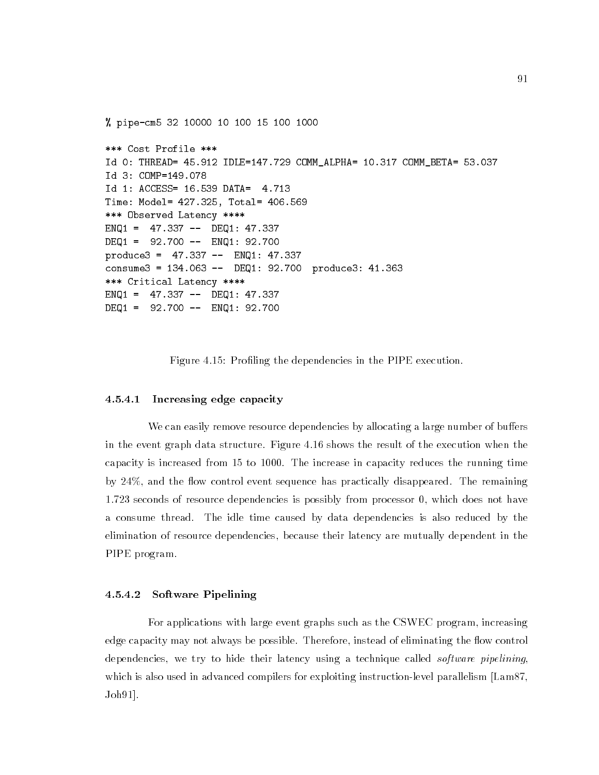```
% pipe-cm5 32 10000 10 100 15 100 1000
*** Cost Profile ***
Id 0: THREAD= 45.912 IDLE=147.729 COMM_ALPHA= 10.317 COMM_BETA= 53.037
Id 3: COMP=149.078
Id 1: ACCESS= 16.539 DATA= 4.713
Time: Model= 427.325, Total= 406.569
*** Observed Latency ****
ENQ1 = 47.337 -- DEQ1: 47.337
DEQ1 = 92.700 -- ENQ1: 92.700
produce3 = 47.337 -- ENQ1: 47.337
consume3 = 134.063 -- DEQ1: 92.700 produce3: 41.363
*** Critical Latency ****
ENQ1 = 47.337 -- DEQ1: 47.337
DEQ1 = 92.700 -- ENQ1: 92.700
```
Figure 4.15: Profiling the dependencies in the PIPE execution.

#### 4.5.4.1 Increasing edge capacity

We can easily remove resource dependencies by allocating a large number of buffers in the event graph data structure. Figure 4.16 shows the result of the execution when the capacity is increased from 15 to 1000. The increase in capacity reduces the running time by  $24\%$ , and the flow control event sequence has practically disappeared. The remaining 1.723 seconds of resource dependencies is possibly from processor 0, which does not have a consume thread. The idle time caused by data dependencies is also reduced by the elimination of resource dependencies, because their latency are mutually dependent in the PIPE program.

#### $4.5.4.2$ Software Pipelining

For applications with large event graphs such as the CSWEC program, increasing edge capacity may not always be possible. Therefore, instead of eliminating the flow control dependencies, we try to hide their latency using a technique called *software pipelining*, which is also used in advanced compilers for exploiting instruction-level parallelism [Lam87, Joh91].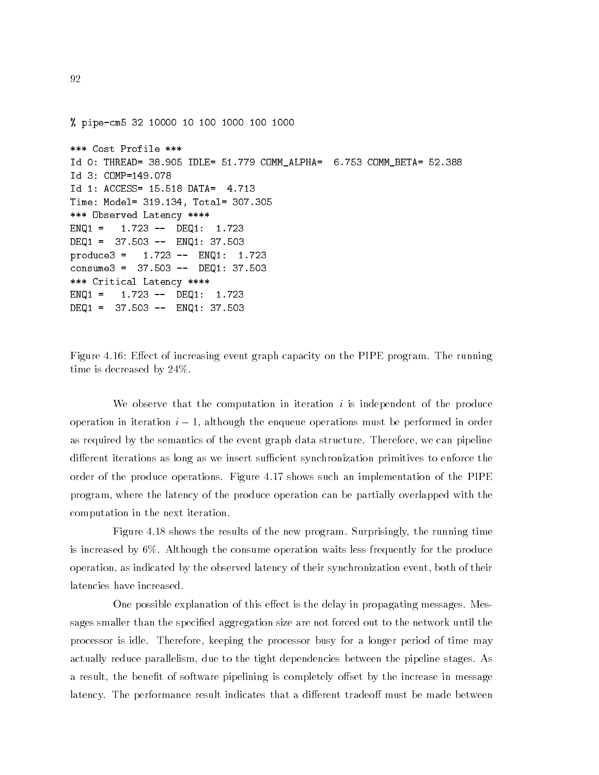% pipe-cm5 32 10000 10 100 1000 100 1000 \*\*\* Cost Profile \*\*\* Id 0: THREAD= 38.905 IDLE= 51.779 COMM\_ALPHA= 6.753 COMM\_BETA= 52.388 Id 3: COMP=149.078 Id 1: ACCESS= 15.518 DATA= 4.713 Time: Model= 319.134, Total= 307.305 \*\*\* Observed Latency \*\*\*\* ENQ1 = 1.723 -- DEQ1: 1.723 DEQ1 = 37.503 -- ENQ1: 37.503  $\text{produce3 = } 1.723 -- ENQ1:$ 1.723 consume3 = 37.503 -- DEQ1: 37.503 \*\*\* Critical Latency \*\*\*\* ENQ1 = 1.723 -- DEQ1: 1.723 DEQ1 = 37.503 -- ENQ1: 37.503

Figure 4.16: Effect of increasing event graph capacity on the PIPE program. The running time is decreased by 24%.

We observe that the computation in iteration  $i$  is independent of the produce operation in iteration  $i - 1$ , although the enqueue operations must be performed in order as required by the semantics of the event graph data structure. Therefore, we can pipeline different iterations as long as we insert sufficient synchronization primitives to enforce the order of the produce operations. Figure 4.17 shows such an implementation of the PIPE program, where the latency of the produce operation can be partially overlapped with the computation in the next iteration.

Figure 4.18 shows the results of the new program. Surprisingly, the running time is increased by 6%. Although the consume operation waits less frequently for the produce operation, as indicated by the observed latency of their synchronization event, both of their latencies have increased.

One possible explanation of this effect is the delay in propagating messages. Messages smaller than the specified aggregation size are not forced out to the network until the processor is idle. Therefore, keeping the processor busy for a longer period of time may actually reduce parallelism, due to the tight dependencies between the pipeline stages. As a result, the benefit of software pipelining is completely offset by the increase in message latency. The performance result indicates that a different tradeoff must be made between

92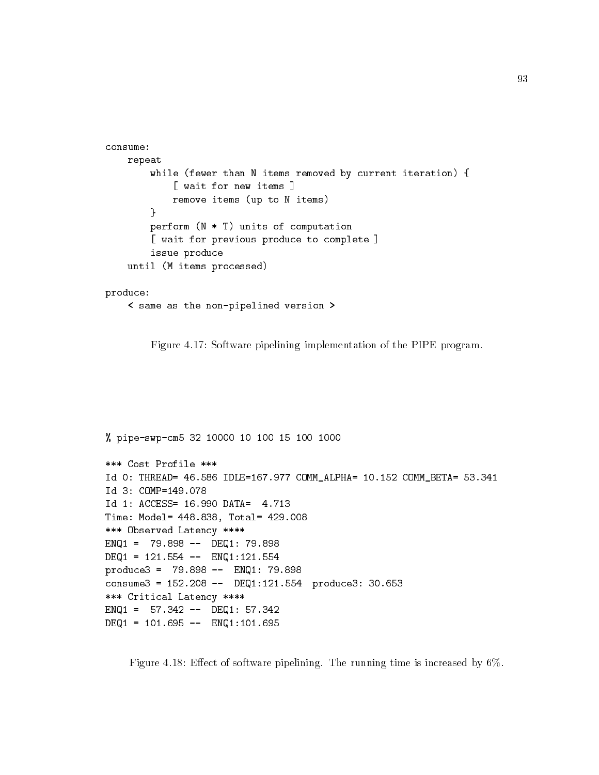```
consume:
    repeat
        while (fewer than N items removed by current iteration) {
            [ wait for new items ]
            remove items (up to N items)
        ł.
        }
        perform (N * T) units of computation
        [ wait for previous produce to complete ]
        issue produce
    until (M items processed)
```

```
produce:
```

```
< same as the non-pipelined version >
```
Figure 4.17: Software pipelining implementation of the PIPE program.

```
% pipe-swp-cm5 32 10000 10 100 15 100 1000
*** Cost Profile ***
Id 0: THREAD= 46.586 IDLE=167.977 COMM_ALPHA= 10.152 COMM_BETA= 53.341
Id 3: COMP=149.078
Id 1: ACCESS= 16.990 DATA= 4.713
Time: Model= 448.838, Total= 429.008
*** Observed Latency ****
ENQ1 = 79.898 -- DEQ1: 79.898
DEQ1 = 121.554 -- ENQ1:121.554
produce3 = 79.898 -- ENQ1: 79.898
consume3 = 152.208 -- DEQ1:121.554 produce3: 30.653
*** Critical Latency ****
ENQ1 = 57.342 -- DEQ1: 57.342DEQ1 = 101.695 -- ENQ1:101.695
```
Figure 4.18: Effect of software pipelining. The running time is increased by  $6\%$ .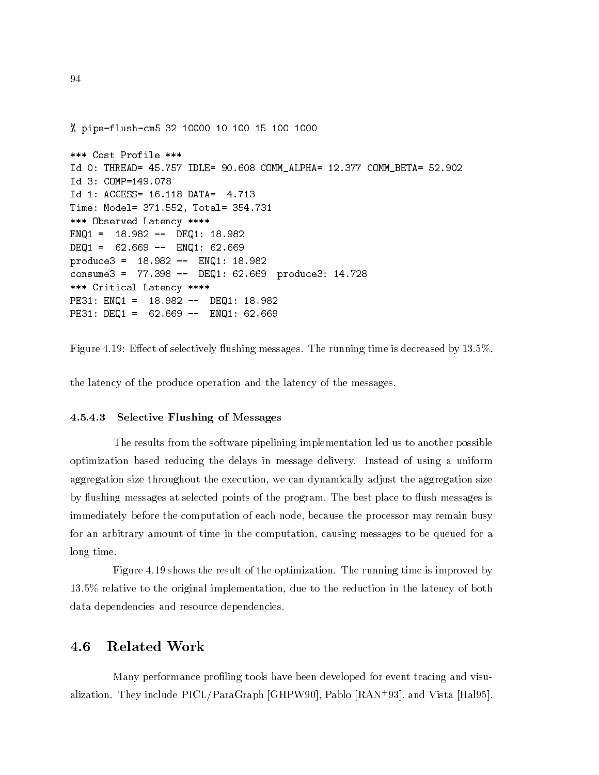% pipe-flush-cm5 32 10000 10 100 15 100 1000 \*\*\* Cost Profile \*\*\* Id 0: THREAD= 45.757 IDLE= 90.608 COMM\_ALPHA= 12.377 COMM\_BETA= 52.902 Id 3: COMP=149.078 Id 1: ACCESS= 16.118 DATA= 4.713 Time: Model= 371.552, Total= 354.731 \*\*\* Observed Latency \*\*\*\* ENQ1 = 18.982 -- DEQ1: 18.982  $DEQ1 = 62.669 -- ENQ1: 62.669$ produce3 = 18.982 -- ENQ1: 18.982 consume3 = 77.398 -- DEQ1: 62.669 produce3: 14.728 \*\*\* Critical Latency \*\*\*\* PE31: ENQ1 = 18.982 -- DEQ1: 18.982 PE31: DEQ1 = 62.669 -- ENQ1: 62.669

Figure 4.19: Effect of selectively flushing messages. The running time is decreased by 13.5%.

the latency of the produce operation and the latency of the messages.

#### 4.5.4.3 Selective Flushing of Messages

The results from the software pipelining implementation led us to another possible optimization based reducing the delays in message delivery. Instead of using a uniform aggregation size throughout the execution, we can dynamically adjust the aggregation size by flushing messages at selected points of the program. The best place to flush messages is immediately before the computation of each node, because the processor may remain busy for an arbitrary amount of time in the computation, causing messages to be queued for a long time.

Figure 4.19 shows the result of the optimization. The running time is improved by 13.5% relative to the original implementation, due to the reduction in the latency of both data dependencies and resource dependencies.

#### 4.6 **Related Work**

Many performance proling tools have been developed for event tracing and visualization. They include PICL/ParaGraph [GHPW90], Pablo [RAN+ 93], and Vista [Hal95].

94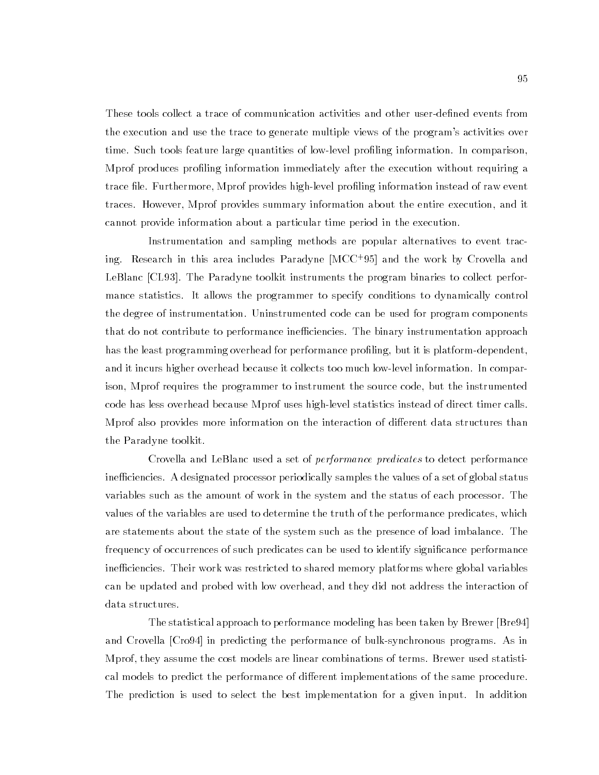These tools collect a trace of communication activities and other user-defined events from the execution and use the trace to generate multiple views of the program's activities over time. Such tools feature large quantities of low-level profiling information. In comparison, Mprof produces proling information immediately after the execution without requiring a trace file. Furthermore, Mprof provides high-level profiling information instead of raw event traces. However, Mprof provides summary information about the entire execution, and it cannot provide information about a particular time period in the execution.

Instrumentation and sampling methods are popular alternatives to event tracing. Research in this area includes Paradyne [MCC+ 95] and the work by Crovella and LeBlanc [CL93]. The Paradyne toolkit instruments the program binaries to collect performance statistics. It allows the programmer to specify conditions to dynamically control the degree of instrumentation. Uninstrumented code can be used for program components that do not contribute to performance inefficiencies. The binary instrumentation approach has the least programming overhead for performance profiling, but it is platform-dependent, and it incurs higher overhead because it collects too much low-level information. In comparison, Mprof requires the programmer to instrument the source code, but the instrumented code has less overhead because Mprof uses high-level statistics instead of direct timer calls. Mprof also provides more information on the interaction of different data structures than the Paradyne toolkit.

Crovella and LeBlanc used a set of performance predicates to detect performance inefficiencies. A designated processor periodically samples the values of a set of global status variables such as the amount of work in the system and the status of each processor. The values of the variables are used to determine the truth of the performance predicates, which are statements about the state of the system such as the presence of load imbalance. The frequency of occurrences of such predicates can be used to identify signicance performance inefficiencies. Their work was restricted to shared memory platforms where global variables can be updated and probed with low overhead, and they did not address the interaction of data structures.

The statistical approach to performance modeling has been taken by Brewer [Bre94] and Crovella [Cro94] in predicting the performance of bulk-synchronous programs. As in Mprof, they assume the cost models are linear combinations of terms. Brewer used statistical models to predict the performance of different implementations of the same procedure. The prediction is used to select the best implementation for a given input. In addition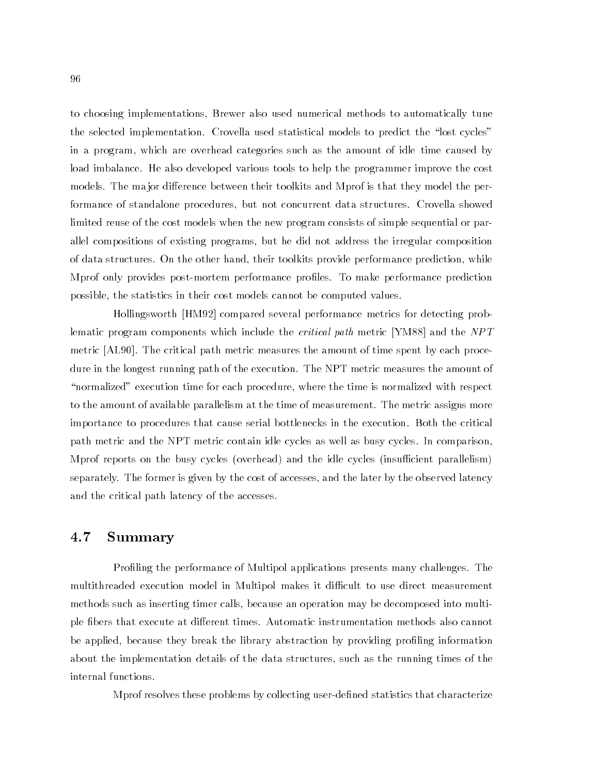to choosing implementations, Brewer also used numerical methods to automatically tune the selected implementation. Crovella used statistical models to predict the "lost cycles" in a program, which are overhead categories such as the amount of idle time caused by load imbalance. He also developed various tools to help the programmer improve the cost models. The major difference between their toolkits and Mprof is that they model the performance of standalone procedures, but not concurrent data structures. Crovella showed limited reuse of the cost models when the new program consists of simple sequential or parallel compositions of existing programs, but he did not address the irregular composition of data structures. On the other hand, their toolkits provide performance prediction, while Mprof only provides post-mortem performance proles. To make performance prediction possible, the statistics in their cost models cannot be computed values.

Hollingsworth [HM92] compared several performance metrics for detecting problematic program components which include the *critical path* metric [YM88] and the NPT metric [AL90]. The critical path metric measures the amount of time spent by each procedure in the longest running path of the execution. The NPT metric measures the amount of "normalized" execution time for each procedure, where the time is normalized with respect to the amount of available parallelism at the time of measurement. The metric assigns more importance to procedures that cause serial bottlenecks in the execution. Both the critical path metric and the NPT metric contain idle cycles as well as busy cycles. In comparison, Mprof reports on the busy cycles (overhead) and the idle cycles (insufficient parallelism) separately. The former is given by the cost of accesses, and the later by the observed latency and the critical path latency of the accesses.

#### $4.7$ Summary

Profiling the performance of Multipol applications presents many challenges. The multithreaded execution model in Multipol makes it difficult to use direct measurement methods such as inserting timer calls, because an operation may be decomposed into multiple fibers that execute at different times. Automatic instrumentation methods also cannot be applied, because they break the library abstraction by providing profiling information about the implementation details of the data structures, such as the running times of the internal functions.

Mprof resolves these problems by collecting user-dened statistics that characterize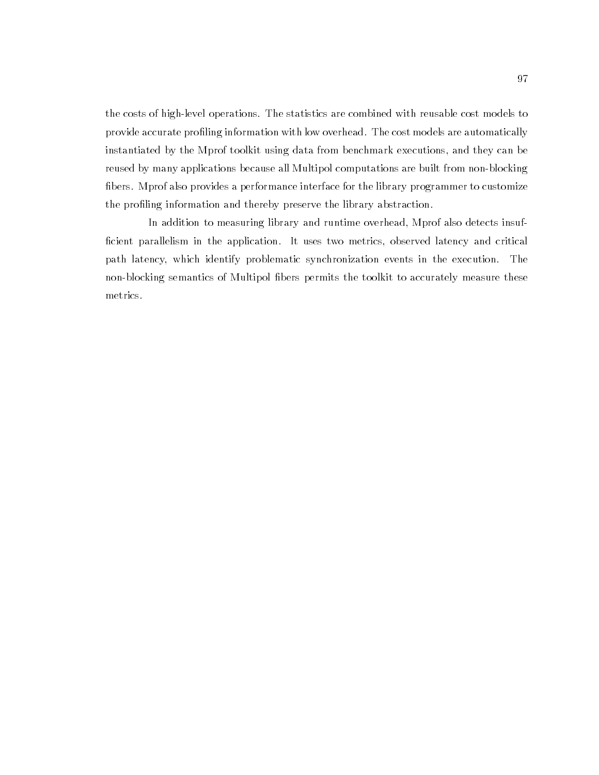the costs of high-level operations. The statistics are combined with reusable cost models to provide accurate profiling information with low overhead. The cost models are automatically instantiated by the Mprof toolkit using data from benchmark executions, and they can be reused by many applications because all Multipol computations are built from non-blocking bers. Mprof also provides a performance interface for the library programmer to customize the profiling information and thereby preserve the library abstraction.

In addition to measuring library and runtime overhead, Mprof also detects insuf ficient parallelism in the application. It uses two metrics, observed latency and critical path latency, which identify problematic synchronization events in the execution. The non-blocking semantics of Multipol bers permits the toolkit to accurately measure these metrics.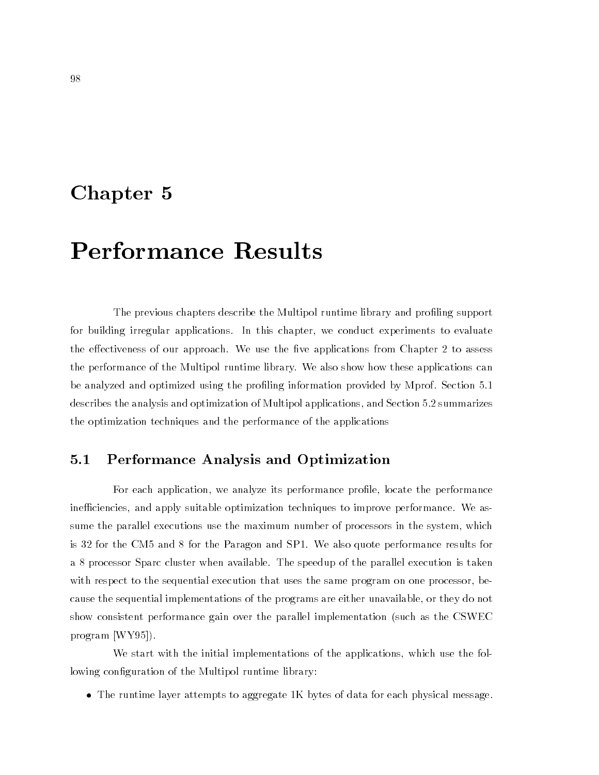## Chapter <sup>5</sup>

## Performance Results

The previous chapters describe the Multipol runtime library and profiling support for building irregular applications. In this chapter, we conduct experiments to evaluate the effectiveness of our approach. We use the five applications from Chapter 2 to assess the performance of the Multipol runtime library. We also show how these applications can be analyzed and optimized using the profiling information provided by Mprof. Section 5.1 describes the analysis and optimization of Multipol applications, and Section 5.2 summarizes the optimization techniques and the performance of the applications

### 5.1 Performance Analysis and Optimization

For each application, we analyze its performance profile, locate the performance inefficiencies, and apply suitable optimization techniques to improve performance. We assume the parallel executions use the maximum number of processors in the system, which is 32 for the CM5 and 8 for the Paragon and SP1. We also quote performance results for a 8 processor Sparc cluster when available. The speedup of the parallel execution is taken with respect to the sequential execution that uses the same program on one processor, because the sequential implementations of the programs are either unavailable, or they do not show consistent performance gain over the parallel implementation (such as the CSWEC program [WY95]).

We start with the initial implementations of the applications, which use the following configuration of the Multipol runtime library:

The runtime layer attempts to aggregate 1K bytes of data for each physical message.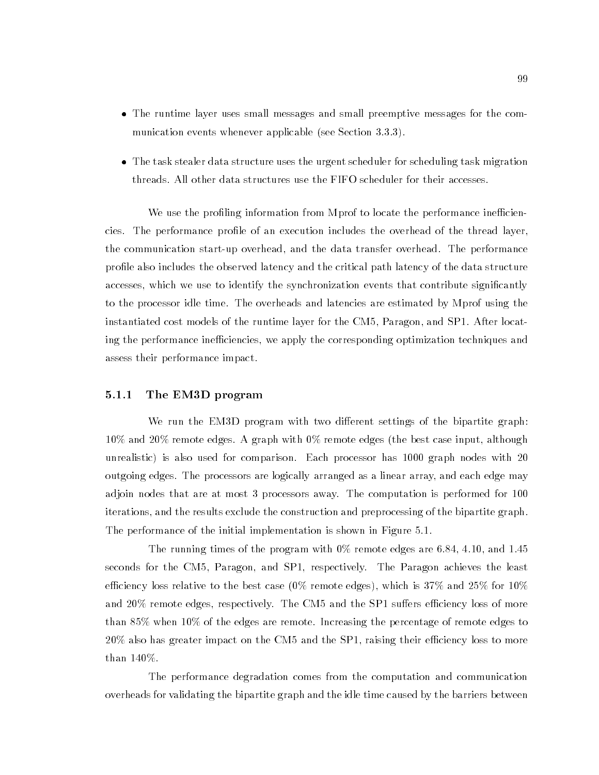- The runtime layer uses small messages and small preemptive messages for the communication events whenever applicable (see Section 3.3.3).
- The task stealer data structure uses the urgent scheduler for scheduling task migration threads. All other data structures use the FIFO scheduler for their accesses.

We use the profiling information from Mprof to locate the performance inefficiencies. The performance prole of an execution includes the overhead of the thread layer, the communication start-up overhead, and the data transfer overhead. The performance profile also includes the observed latency and the critical path latency of the data structure accesses, which we use to identify the synchronization events that contribute significantly to the processor idle time. The overheads and latencies are estimated by Mprof using the instantiated cost models of the runtime layer for the CM5, Paragon, and SP1. After locating the performance inefficiencies, we apply the corresponding optimization techniques and assess their performance impact.

#### 5.1.1 The EM3D program

We run the EM3D program with two different settings of the bipartite graph: 10% and 20% remote edges. A graph with 0% remote edges (the best case input, although unrealistic) is also used for comparison. Each processor has 1000 graph nodes with 20 outgoing edges. The processors are logically arranged as a linear array, and each edge may adjoin nodes that are at most 3 processors away. The computation is performed for 100 iterations, and the results exclude the construction and preprocessing of the bipartite graph. The performance of the initial implementation is shown in Figure 5.1.

The running times of the program with 0% remote edges are 6.84, 4.10, and 1.45 seconds for the CM5, Paragon, and SP1, respectively. The Paragon achieves the least efficiency loss relative to the best case (0% remote edges), which is 37% and 25% for 10% and  $20\%$  remote edges, respectively. The CM5 and the SP1 suffers efficiency loss of more than 85% when 10% of the edges are remote. Increasing the percentage of remote edges to  $20\%$  also has greater impact on the CM5 and the SP1, raising their efficiency loss to more than 140%.

The performance degradation comes from the computation and communication overheads for validating the bipartite graph and the idle time caused by the barriers between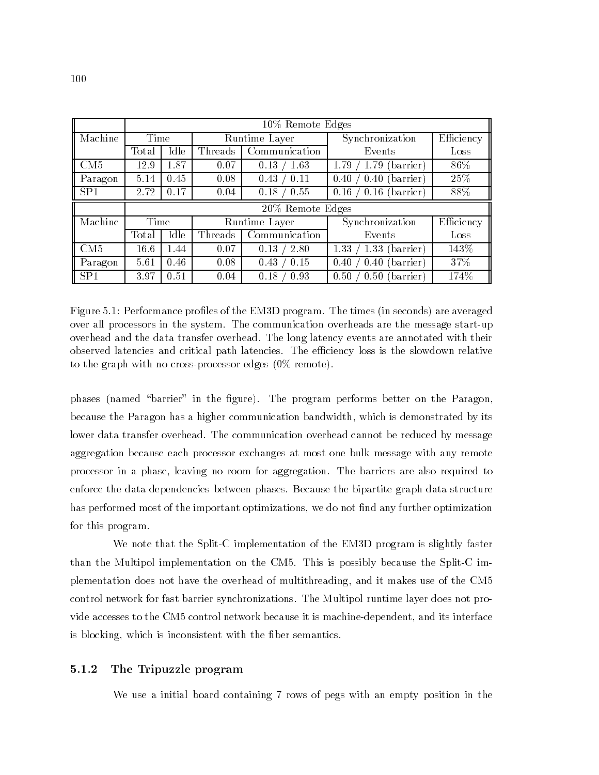|         | $10\%$ Remote Edges |      |               |                        |                           |            |
|---------|---------------------|------|---------------|------------------------|---------------------------|------------|
| Machine | Time                |      | Runtime Layer |                        | Synchronization           | Efficiency |
|         | Total               | Idle | Threads       | Communication          | Events                    | Loss       |
| CM5     | 12.9                | 1.87 | 0.07          | 0.13<br>1.63           | barrier)<br>1.79<br>1.79  | 86%        |
| Paragon | 5.14                | 0.45 | 0.08          | $\langle 0.11$<br>0.43 | barrier)<br>0.40<br>0.40  | 25\%       |
| SP1     | 2.72                | 0.17 | 0.04          | 0.55<br>0.18           | 0.16<br>(barrier)<br>0.16 | 88%        |
|         |                     |      |               | 20% Remote Edges       |                           |            |
| Machine | Time                |      |               | Runtime Layer          | Synchronization           | Efficiency |
|         | Total               | Idle | Threads       | Communication          | Events                    | Loss       |
| CM5     | 16.6                | 1.44 | 0.07          | 0.13<br>2.80           | 1.33<br>1.33<br>barrier)  | 143\%      |
| Paragon | 5.61                | 0.46 | 0.08          | 0.43<br>0.15           | 0.40<br>0.40<br>barrier)  | 37%        |
| SP1     | 3.97                | 0.51 | 0.04          | 0.93<br>0.18           | 0.50<br>0.50<br>barrier)  | 174\%      |

Figure 5.1: Performance profiles of the EM3D program. The times (in seconds) are averaged over all processors in the system. The communication overheads are the message start-up overhead and the data transfer overhead. The long latency events are annotated with their observed latencies and critical path latencies. The efficiency loss is the slowdown relative to the graph with no cross-processor edges (0% remote).

phases (named "barrier" in the figure). The program performs better on the Paragon, because the Paragon has a higher communication bandwidth, which is demonstrated by its lower data transfer overhead. The communication overhead cannot be reduced by message aggregation because each processor exchanges at most one bulk message with any remote processor in a phase, leaving no room for aggregation. The barriers are also required to enforce the data dependencies between phases. Because the bipartite graph data structure has performed most of the important optimizations, we do not find any further optimization for this program.

We note that the Split-C implementation of the EM3D program is slightly faster than the Multipol implementation on the CM5. This is possibly because the Split-C implementation does not have the overhead of multithreading, and it makes use of the CM5 control network for fast barrier synchronizations. The Multipol runtime layer does not provide accesses to the CM5 control network because it is machine-dependent, and its interface is blocking, which is inconsistent with the fiber semantics.

#### 5.1.2 The Tripuzzle program

We use a initial board containing 7 rows of pegs with an empty position in the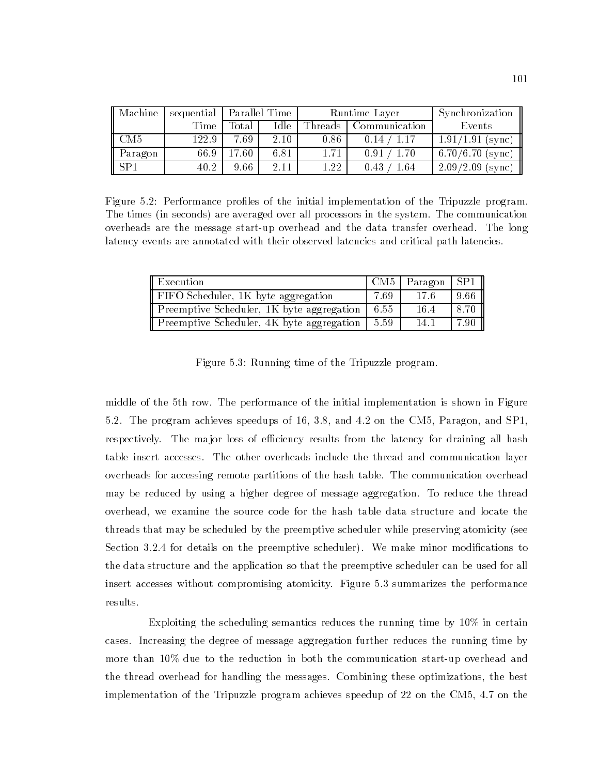| Machine                      |       | sequential   Parallel Time |      |         | Runtime Layer | Synchronization    |
|------------------------------|-------|----------------------------|------|---------|---------------|--------------------|
|                              | Time  | Total                      | Idle | Threads | Communication | Events             |
| $\overline{\phantom{1}}$ CM5 | 122.9 | 7.69                       | 2.10 | 0.86    | 0.14          | $1.91/1.91$ (sync) |
| Paragon                      | 66.9  | $17.60\,$                  | 6.81 | 1.71    | 0.91<br>1.70  | $6.70/6.70$ (sync) |
| SP1                          | 40.2  | 9.66                       | 2.11 | 1.22    | 0.43<br>1.64  | $2.09/2.09$ (sync) |

Figure 5.2: Performance profiles of the initial implementation of the Tripuzzle program. The times (in seconds) are averaged over all processors in the system. The communication overheads are the message start-up overhead and the data transfer overhead. The long latency events are annotated with their observed latencies and critical path latencies.

| Execution                                 |      | CM5   Paragon   SP1 |      |
|-------------------------------------------|------|---------------------|------|
| FIFO Scheduler, 1K byte aggregation       | 7.69 | -17.6               | 9.66 |
| Preemptive Scheduler, 1K byte aggregation | 6.55 | 16.4                |      |
| Preemptive Scheduler, 4K byte aggregation | 5.59 | 14.1                | 7.90 |

Figure 5.3: Running time of the Tripuzzle program.

middle of the 5th row. The performance of the initial implementation is shown in Figure 5.2. The program achieves speedups of 16, 3.8, and 4.2 on the CM5, Paragon, and SP1, respectively. The major loss of efficiency results from the latency for draining all hash table insert accesses. The other overheads include the thread and communication layer overheads for accessing remote partitions of the hash table. The communication overhead may be reduced by using a higher degree of message aggregation. To reduce the thread overhead, we examine the source code for the hash table data structure and locate the threads that may be scheduled by the preemptive scheduler while preserving atomicity (see Section 3.2.4 for details on the preemptive scheduler). We make minor modifications to the data structure and the application so that the preemptive scheduler can be used for all insert accesses without compromising atomicity. Figure 5.3 summarizes the performance results.

Exploiting the scheduling semantics reduces the running time by 10% in certain cases. Increasing the degree of message aggregation further reduces the running time by more than 10% due to the reduction in both the communication start-up overhead and the thread overhead for handling the messages. Combining these optimizations, the best implementation of the Tripuzzle program achieves speedup of 22 on the CM5, 4.7 on the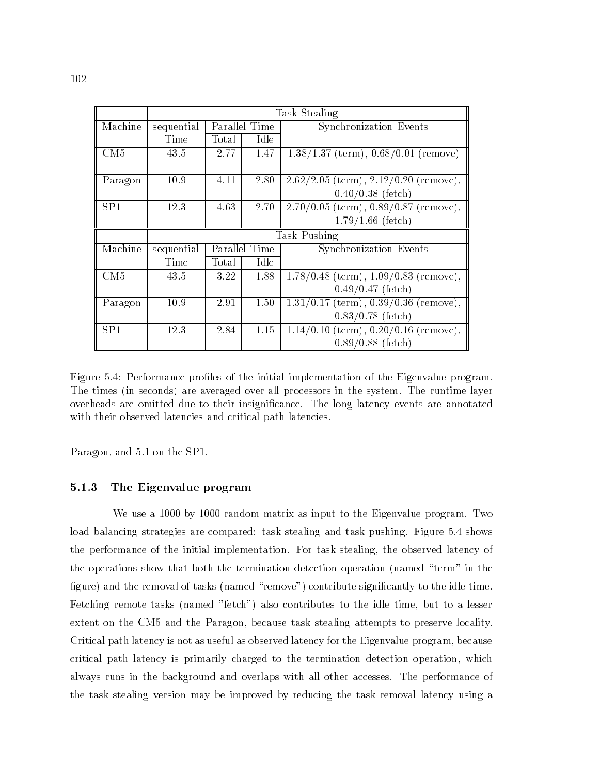|         | Task Stealing |       |               |                                           |  |
|---------|---------------|-------|---------------|-------------------------------------------|--|
| Machine | sequential    |       | Parallel Time | Synchronization Events                    |  |
|         | Time          | Total | Idle          |                                           |  |
| CM5     | 43.5          | 2.77  | 1.47          | $1.38/1.37$ (term), $0.68/0.01$ (remove)  |  |
|         |               |       |               |                                           |  |
| Paragon | 10.9          | 4.11  | 2.80          | $2.62/2.05$ (term), $2.12/0.20$ (remove), |  |
|         |               |       |               | $0.40/0.38$ (fetch)                       |  |
| SP1     | 12.3          | 4.63  | 2.70          | $2.70/0.05$ (term), $0.89/0.87$ (remove)  |  |
|         |               |       |               | $1.79/1.66$ (fetch)                       |  |
|         | Task Pushing  |       |               |                                           |  |
|         |               |       |               |                                           |  |
| Machine | sequential    |       | Parallel Time | Synchronization Events                    |  |
|         | Time          | Total | Idle          |                                           |  |
| CM5     | 43.5          | 3.22  | 1.88          | $1.78/0.48$ (term), $1.09/0.83$ (remove), |  |
|         |               |       |               | $0.49/0.47$ (fetch)                       |  |
| Paragon | 10.9          | 2.91  | 1.50          | $1.31/0.17$ (term), $0.39/0.36$ (remove), |  |
|         |               |       |               | $0.83/0.78$ (fetch)                       |  |
| SP1     | 12.3          | 2.84  | 1.15          | $1.14/0.10$ (term), $0.20/0.16$ (remove), |  |

Figure 5.4: Performance profiles of the initial implementation of the Eigenvalue program. The times (in seconds) are averaged over all processors in the system. The runtime layer overheads are omitted due to their insignicance. The long latency events are annotated with their observed latencies and critical path latencies.

Paragon, and 5.1 on the SP1.

### 5.1.3 The Eigenvalue program

We use a 1000 by 1000 random matrix as input to the Eigenvalue program. Two load balancing strategies are compared: task stealing and task pushing. Figure 5.4 shows the performance of the initial implementation. For task stealing, the observed latency of the operations show that both the termination detection operation (named \term" in the figure) and the removal of tasks (named "remove") contribute significantly to the idle time. Fetching remote tasks (named "fetch") also contributes to the idle time, but to a lesser extent on the CM5 and the Paragon, because task stealing attempts to preserve locality. Critical path latency is not as useful as observed latency for the Eigenvalue program, because critical path latency is primarily charged to the termination detection operation, which always runs in the background and overlaps with all other accesses. The performance of the task stealing version may be improved by reducing the task removal latency using a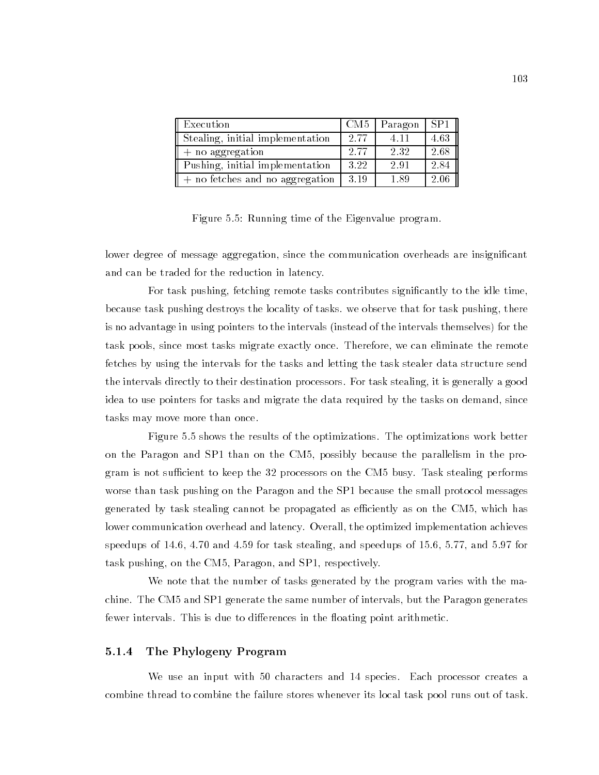| Execution                         | CM <sub>5</sub> | Paragon | SP <sub>1</sub> |
|-----------------------------------|-----------------|---------|-----------------|
| Stealing, initial implementation  | 2.77            | 4 1 1   | 4.63            |
| $+$ no aggregation                | 2.77            | 2.32    | 2.68            |
| Pushing, initial implementation   | 3.22            | 2.91    | 2.84            |
| $+$ no fetches and no aggregation | 3.19            | 1.89    | 2.06            |

Figure 5.5: Running time of the Eigenvalue program.

lower degree of message aggregation, since the communication overheads are insignificant and can be traded for the reduction in latency.

For task pushing, fetching remote tasks contributes significantly to the idle time. because task pushing destroys the locality of tasks. we observe that for task pushing, there is no advantage in using pointers to the intervals (instead of the intervals themselves) for the task pools, since most tasks migrate exactly once. Therefore, we can eliminate the remote fetches by using the intervals for the tasks and letting the task stealer data structure send the intervals directly to their destination processors. For task stealing, it is generally a good idea to use pointers for tasks and migrate the data required by the tasks on demand, since tasks may move more than once.

Figure 5.5 shows the results of the optimizations. The optimizations work better on the Paragon and SP1 than on the CM5, possibly because the parallelism in the program is not sufficient to keep the 32 processors on the CM5 busy. Task stealing performs worse than task pushing on the Paragon and the SP1 because the small protocol messages generated by task stealing cannot be propagated as efficiently as on the CM5, which has lower communication overhead and latency. Overall, the optimized implementation achieves speedups of 14.6, 4.70 and 4.59 for task stealing, and speedups of 15.6, 5.77, and 5.97 for task pushing, on the CM5, Paragon, and SP1, respectively.

We note that the number of tasks generated by the program varies with the machine. The CM5 and SP1 generate the same number of intervals, but the Paragon generates fewer intervals. This is due to differences in the floating point arithmetic.

### 5.1.4 The Phylogeny Program

We use an input with 50 characters and 14 species. Each processor creates a combine thread to combine the failure stores whenever its local task pool runs out of task.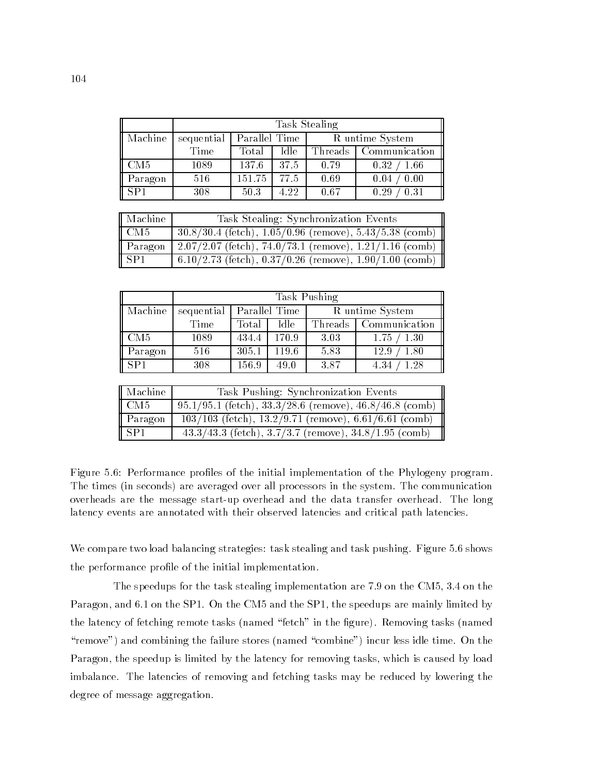|         | Task Stealing |               |      |                 |                         |
|---------|---------------|---------------|------|-----------------|-------------------------|
| Machine | sequential    | Parallel Time |      | R untime System |                         |
|         | Time          | Total         | Idle |                 | Threads   Communication |
| CM5     | 1089          | 137.6         | 37.5 | 0.79            | 0.32<br>1.66            |
| Paragon | 516           | 151.75        | 77.5 | 0.69            | 0.00<br>0.04            |
| SP1     | 308           | 50.3          | 4.22 | 0.67            | 0.31<br>0.29            |

| Machine         | Task Stealing: Synchronization Events                         |
|-----------------|---------------------------------------------------------------|
| CM5             | $30.8/30.4$ (fetch), $1.05/0.96$ (remove), $5.43/5.38$ (comb) |
| Paragon         | $2.07/2.07$ (fetch), $74.0/73.1$ (remove), $1.21/1.16$ (comb) |
| SP <sub>1</sub> | 6.10/2.73 (fetch), $0.37/0.26$ (remove), $1.90/1.00$ (comb)   |

|                     | Task Pushing |               |       |                 |               |
|---------------------|--------------|---------------|-------|-----------------|---------------|
| Machine             | sequential   | Parallel Time |       | R untime System |               |
|                     | Time         | Total         | Idle  | Threads         | Communication |
| $\sqrt{\text{CM5}}$ | 1089         | 434.4         | 170.9 | 3.03            | 1.30<br>1.75  |
| Paragon             | 516          | 305.1         | 119.6 | 5.83            | 1.80<br>12.9  |
| $\sqrt{\text{SP1}}$ | 308          | 156.9         | 49.0  | 3.87            | 1.28<br>4.34  |

| Machine                      | Task Pushing: Synchronization Events                          |
|------------------------------|---------------------------------------------------------------|
| $\overline{\phantom{a}}$ CM5 | $95.1/95.1$ (fetch), $33.3/28.6$ (remove), $46.8/46.8$ (comb) |
| $\parallel$ Paragon          | $103/103$ (fetch), $13.2/9.71$ (remove), 6.61/6.61 (comb)     |
| $\overline{\vert$ SP1        | $43.3/43.3$ (fetch), $3.7/3.7$ (remove), $34.8/1.95$ (comb)   |

Figure 5.6: Performance profiles of the initial implementation of the Phylogeny program. The times (in seconds) are averaged over all processors in the system. The communication overheads are the message start-up overhead and the data transfer overhead. The long latency events are annotated with their observed latencies and critical path latencies.

We compare two load balancing strategies: task stealing and task pushing. Figure 5.6 shows the performance profile of the initial implementation.

The speedups for the task stealing implementation are 7.9 on the CM5, 3.4 on the Paragon, and 6.1 on the SP1. On the CM5 and the SP1, the speedups are mainly limited by the latency of fetching remote tasks (named "fetch" in the figure). Removing tasks (named "remove") and combining the failure stores (named "combine") incur less idle time. On the Paragon, the speedup is limited by the latency for removing tasks, which is caused by load imbalance. The latencies of removing and fetching tasks may be reduced by lowering the degree of message aggregation.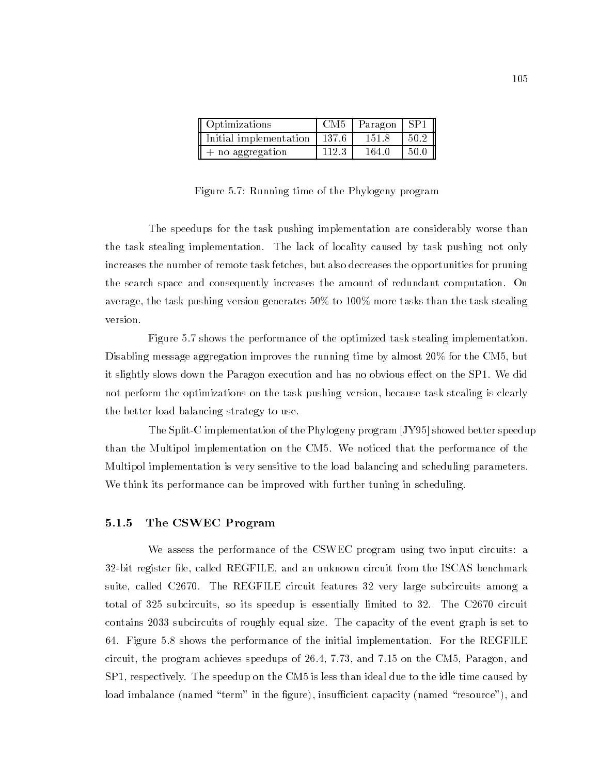| Optimizations          |         | $CM5$   Paragon   SP1 |      |
|------------------------|---------|-----------------------|------|
| Initial implementation | - 137.6 | 151.8                 | 50.2 |
| $+$ no aggregation     | 112.3   | 164.0                 | 50.0 |

Figure 5.7: Running time of the Phylogeny program

The speedups for the task pushing implementation are considerably worse than the task stealing implementation. The lack of locality caused by task pushing not only increases the number of remote task fetches, but also decreases the opportunities for pruning the search space and consequently increases the amount of redundant computation. On average, the task pushing version generates 50% to 100% more tasks than the task stealing version.

Figure 5.7 shows the performance of the optimized task stealing implementation. Disabling message aggregation improves the running time by almost 20% for the CM5, but it slightly slows down the Paragon execution and has no obvious effect on the SP1. We did not perform the optimizations on the task pushing version, because task stealing is clearly the better load balancing strategy to use.

The Split-C implementation of the Phylogeny program [JY95] showed better speedup than the Multipol implementation on the CM5. We noticed that the performance of the Multipol implementation is very sensitive to the load balancing and scheduling parameters. We think its performance can be improved with further tuning in scheduling.

### 5.1.5 The CSWEC Program

We assess the performance of the CSWEC program using two input circuits: a 32-bit register file, called REGFILE, and an unknown circuit from the ISCAS benchmark suite, called C2670. The REGFILE circuit features 32 very large subcircuits among a total of 325 subcircuits, so its speedup is essentially limited to 32. The C2670 circuit contains 2033 subcircuits of roughly equal size. The capacity of the event graph is set to 64. Figure 5.8 shows the performance of the initial implementation. For the REGFILE circuit, the program achieves speedups of 26.4, 7.73, and 7.15 on the CM5, Paragon, and SP1, respectively. The speedup on the CM5 is less than ideal due to the idle time caused by load imbalance (named "term" in the figure), insufficient capacity (named "resource"), and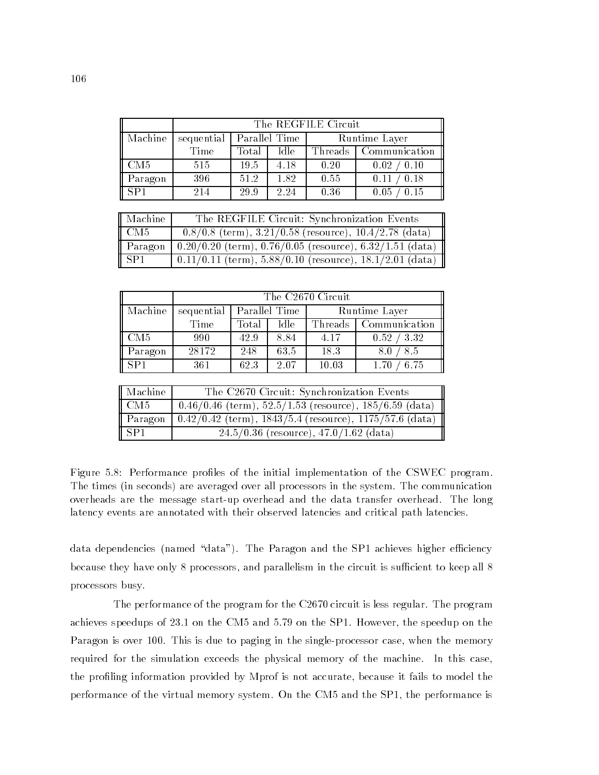|                              | The REGFILE Circuit |               |      |               |                            |
|------------------------------|---------------------|---------------|------|---------------|----------------------------|
| Machine                      | sequential          | Parallel Time |      | Runtime Layer |                            |
|                              | Time                | Total         | Idle | Threads       | Communication              |
| $\overline{\phantom{1}}$ CM5 | 515                 | 19.5          | 4.18 | 0.20          | 0.02 / 0.10                |
| Paragon                      | 396                 | 51.2          | 1.82 | 0.55          | $^{\prime}~0.18$<br>0.11 / |
| $I$ SP1                      | 214                 | 29.9          | 2.24 | 0.36          | 0.05<br>0.15               |

| Machine | The REGFILE Circuit: Synchronization Events                    |
|---------|----------------------------------------------------------------|
| l CM5-  | $0.8/0.8$ (term), $3.21/0.58$ (resource), $10.4/2.78$ (data)   |
| Paragon | $0.20/0.20$ (term), $0.76/0.05$ (resource), $6.32/1.51$ (data) |
| . SP1   | $0.11/0.11$ (term), $5.88/0.10$ (resource), $18.1/2.01$ (data) |

|                     | The C2670 Circuit |               |      |               |               |  |  |  |
|---------------------|-------------------|---------------|------|---------------|---------------|--|--|--|
| Machine             | sequential        | Parallel Time |      | Runtime Layer |               |  |  |  |
|                     | Time              | Total         | Idle | Threads       | Communication |  |  |  |
| $\sqrt{\text{CM5}}$ | 990               | 42.9          | 8.84 | 4.17          | 0.52 / 3.32   |  |  |  |
| Paragon             | 28172             | 248           | 63.5 | 18.3          | 8.5<br>8.0    |  |  |  |
| $\vert$ SP1         | 361               | 62.3          | 2.07 | 10.03         | 6.75<br>1.70  |  |  |  |

| Machine                 | The C2670 Circuit: Synchronization Events                     |
|-------------------------|---------------------------------------------------------------|
| $\overline{\text{CM5}}$ | $0.46/0.46$ (term), $52.5/1.53$ (resource), $185/6.59$ (data) |
| $\parallel$ Paragon     | $0.42/0.42$ (term), $1843/5.4$ (resource), $1175/57.6$ (data) |
| $\overline{\vert$ SP1   | $24.5/0.36$ (resource), $47.0/1.62$ (data)                    |

Figure 5.8: Performance profiles of the initial implementation of the CSWEC program. The times (in seconds) are averaged over all processors in the system. The communication overheads are the message start-up overhead and the data transfer overhead. The long latency events are annotated with their observed latencies and critical path latencies.

data dependencies (named "data"). The Paragon and the SP1 achieves higher efficiency because they have only 8 processors, and parallelism in the circuit is sufficient to keep all 8 processors busy.

The performance of the program for the C2670 circuit is less regular. The program achieves speedups of 23.1 on the CM5 and 5.79 on the SP1. However, the speedup on the Paragon is over 100. This is due to paging in the single-processor case, when the memory required for the simulation exceeds the physical memory of the machine. In this case, the profiling information provided by Mprof is not accurate, because it fails to model the performance of the virtual memory system. On the CM5 and the SP1, the performance is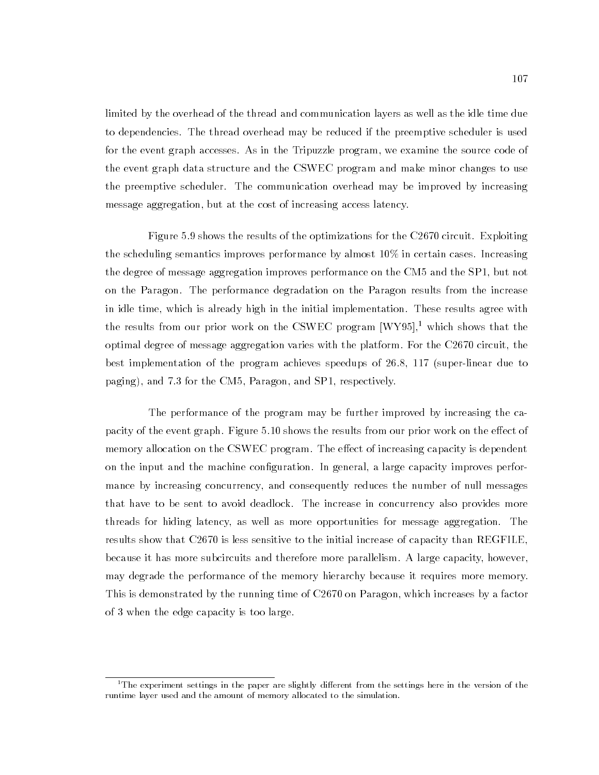limited by the overhead of the thread and communication layers as well as the idle time due to dependencies. The thread overhead may be reduced if the preemptive scheduler is used for the event graph accesses. As in the Tripuzzle program, we examine the source code of the event graph data structure and the CSWEC program and make minor changes to use the preemptive scheduler. The communication overhead may be improved by increasing message aggregation, but at the cost of increasing access latency.

Figure 5.9 shows the results of the optimizations for the C2670 circuit. Exploiting the scheduling semantics improves performance by almost 10% in certain cases. Increasing the degree of message aggregation improves performance on the CM5 and the SP1, but not on the Paragon. The performance degradation on the Paragon results from the increase in idle time, which is already high in the initial implementation. These results agree with the results from our prior work on the CSWEC program  $[WY95]$ <sup>1</sup>, which shows that the optimal degree of message aggregation varies with the platform. For the C2670 circuit, the best implementation of the program achieves speedups of 26.8, 117 (super-linear due to paging), and 7.3 for the CM5, Paragon, and SP1, respectively.

The performance of the program may be further improved by increasing the capacity of the event graph. Figure 5.10 shows the results from our prior work on the effect of memory allocation on the CSWEC program. The effect of increasing capacity is dependent on the input and the machine configuration. In general, a large capacity improves performance by increasing concurrency, and consequently reduces the number of null messages that have to be sent to avoid deadlock. The increase in concurrency also provides more threads for hiding latency, as well as more opportunities for message aggregation. The results show that C2670 is less sensitive to the initial increase of capacity than REGFILE, because it has more subcircuits and therefore more parallelism. A large capacity, however, may degrade the performance of the memory hierarchy because it requires more memory. This is demonstrated by the running time of C2670 on Paragon, which increases by a factor of 3 when the edge capacity is too large.

 $1$ The experiment settings in the paper are slightly different from the settings here in the version of the runtime layer used and the amount of memory allocated to the simulation.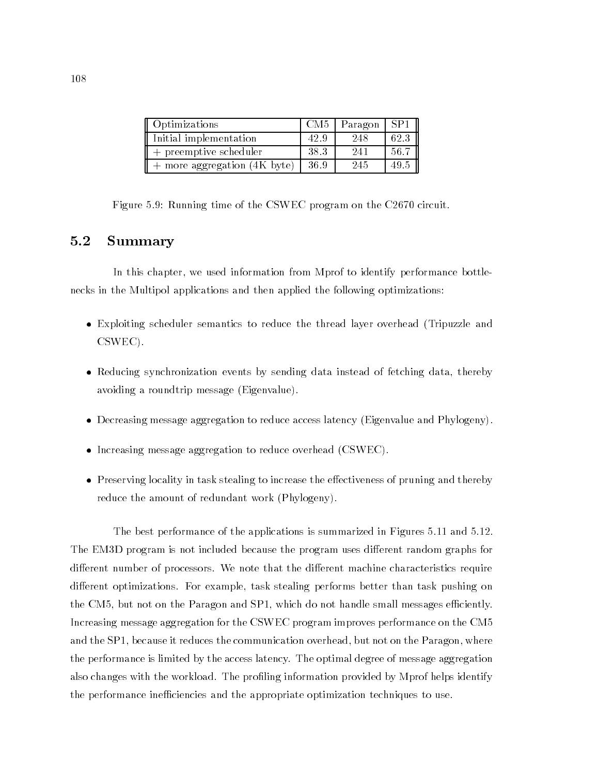| Optimizations                | CM <sub>5</sub> | <sub>1</sub> Paragon | $^{\circ}$ SP1 |
|------------------------------|-----------------|----------------------|----------------|
| Initial implementation       | 42.9            | 248                  | 62.3           |
| $+$ preemptive scheduler     | 38.3            | 241                  | 56.7           |
| + more aggregation (4K byte) | 36.9            | 245                  | -49.5          |

Figure 5.9: Running time of the CSWEC program on the C2670 circuit.

#### **Summary**  $5.2$

In this chapter, we used information from Mprof to identify performance bottlenecks in the Multipol applications and then applied the following optimizations:

- Exploiting scheduler semantics to reduce the thread layer overhead (Tripuzzle and CSWEC).
- Reducing synchronization events by sending data instead of fetching data, thereby avoiding a roundtrip message (Eigenvalue).
- Decreasing message aggregation to reduce access latency (Eigenvalue and Phylogeny).
- Increasing message aggregation to reduce overhead (CSWEC).
- $\bullet$  Preserving locality in task stealing to increase the effectiveness of pruning and thereby reduce the amount of redundant work (Phylogeny).

The best performance of the applications is summarized in Figures 5.11 and 5.12. The EM3D program is not included because the program uses different random graphs for different number of processors. We note that the different machine characteristics require different optimizations. For example, task stealing performs better than task pushing on the CM5, but not on the Paragon and SP1, which do not handle small messages efficiently. Increasing message aggregation for the CSWEC program improves performance on the CM5 and the SP1, because it reduces the communication overhead, but not on the Paragon, where the performance is limited by the access latency. The optimal degree of message aggregation also changes with the workload. The profiling information provided by Mprof helps identify the performance inefficiencies and the appropriate optimization techniques to use.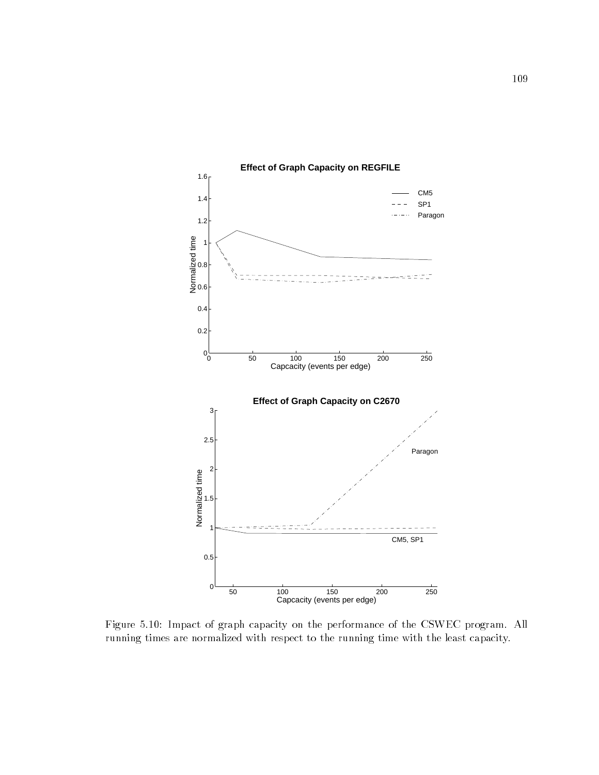

**Effect of Graph Capacity on REGFILE**

Figure 5.10: Impact of graph capacity on the performance of the CSWEC program. All running times are normalized with respect to the running time with the least capacity.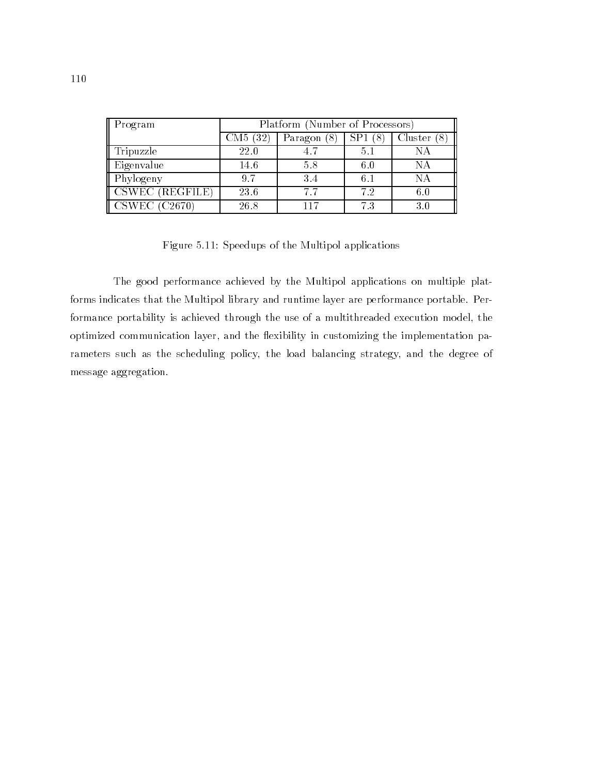| Program                     | Platform (Number of Processors) |               |     |         |
|-----------------------------|---------------------------------|---------------|-----|---------|
|                             | $\rm CM5$<br>(32                | Paragon<br>81 |     | Cluster |
| Tripuzzle                   | 22.0                            |               | 5.1 | NА      |
| Eigenvalue                  | 14.6                            | 5.8           | 6.0 | NА      |
| Phylogeny                   | 9.7                             | 34            | 6.1 | NA      |
| $\parallel$ CSWEC (REGFILE) | 23.6                            | 7.7           | 72  | 6.0     |
| $\parallel$ CSWEC (C2670)   | 26.8                            |               | 7.3 | 3.0     |

Figure 5.11: Speedups of the Multipol applications

The good performance achieved by the Multipol applications on multiple platforms indicates that the Multipol library and runtime layer are performance portable. Performance portability is achieved through the use of a multithreaded execution model, the optimized communication layer, and the flexibility in customizing the implementation parameters such as the scheduling policy, the load balancing strategy, and the degree of message aggregation.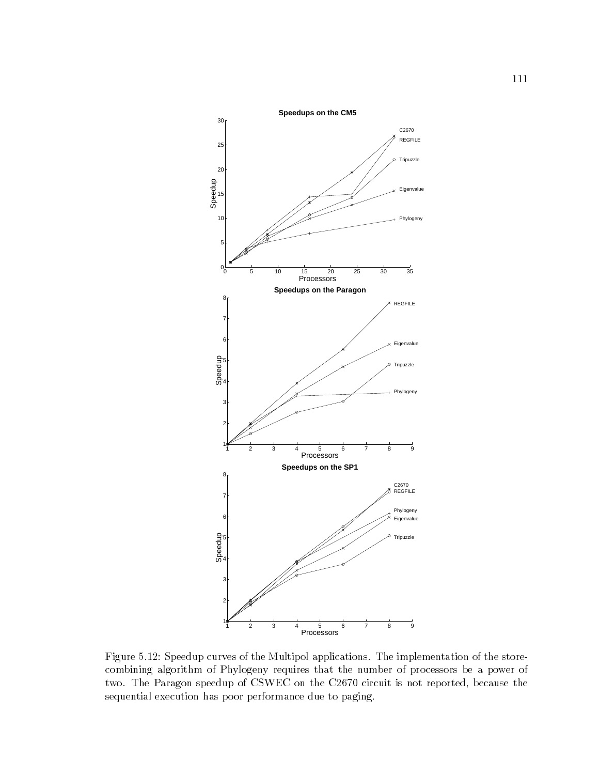

Figure 5.12: Speedup curves of the Multipol applications. The implementation of the storecombining algorithm of Phylogeny requires that the number of processors be a power of two. The Paragon speedup of CSWEC on the C2670 circuit is not reported, because the sequential execution has poor performance due to paging.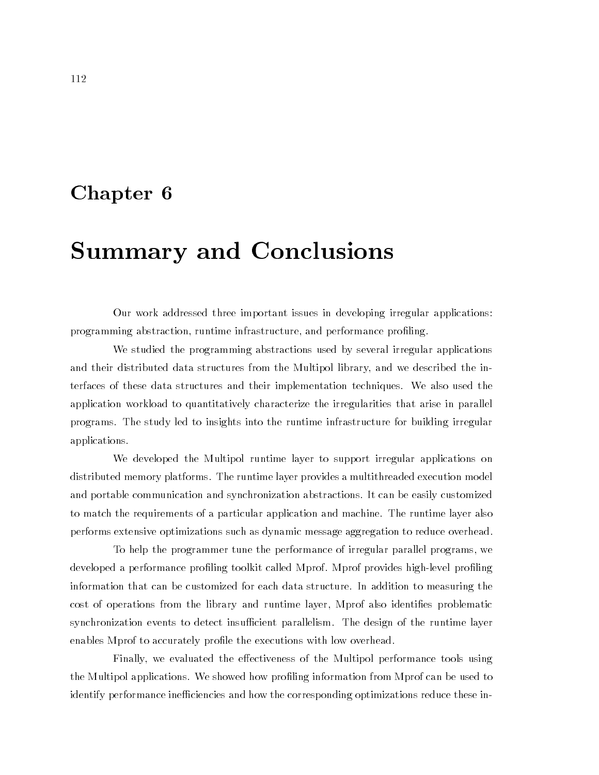### Chapter <sup>6</sup>

## Summary and Conclusions

Our work addressed three important issues in developing irregular applications: programming abstraction, runtime infrastructure, and performance profiling.

We studied the programming abstractions used by several irregular applications and their distributed data structures from the Multipol library, and we described the interfaces of these data structures and their implementation techniques. We also used the application workload to quantitatively characterize the irregularities that arise in parallel programs. The study led to insights into the runtime infrastructure for building irregular applications.

We developed the Multipol runtime layer to support irregular applications on distributed memory platforms. The runtime layer provides a multithreaded execution model and portable communication and synchronization abstractions. It can be easily customized to match the requirements of a particular application and machine. The runtime layer also performs extensive optimizations such as dynamic message aggregation to reduce overhead.

To help the programmer tune the performance of irregular parallel programs, we developed a performance profiling toolkit called Mprof. Mprof provides high-level profiling information that can be customized for each data structure. In addition to measuring the cost of operations from the library and runtime layer, Mprof also identifies problematic synchronization events to detect insufficient parallelism. The design of the runtime layer enables Mprof to accurately profile the executions with low overhead.

Finally, we evaluated the effectiveness of the Multipol performance tools using the Multipol applications. We showed how proling information from Mprof can be used to identify performance inefficiencies and how the corresponding optimizations reduce these in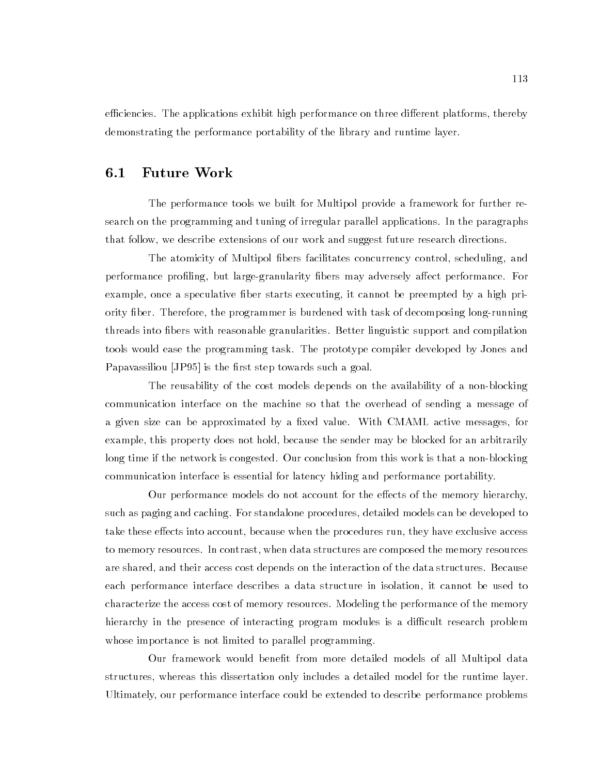efficiencies. The applications exhibit high performance on three different platforms, thereby demonstrating the performance portability of the library and runtime layer.

### 6.1 Future Work

The performance tools we built for Multipol provide a framework for further research on the programming and tuning of irregular parallel applications. In the paragraphs that follow, we describe extensions of our work and suggest future research directions.

The atomicity of Multipol bers facilitates concurrency control, scheduling, and performance profiling, but large-granularity fibers may adversely affect performance. For example, once a speculative fiber starts executing, it cannot be preempted by a high priority ber. Therefore, the programmer is burdened with task of decomposing long-running threads into bers with reasonable granularities. Better linguistic support and compilation tools would ease the programming task. The prototype compiler developed by Jones and Papavassiliou [JP95] is the first step towards such a goal.

The reusability of the cost models depends on the availability of a non-blocking communication interface on the machine so that the overhead of sending a message of a given size can be approximated by a fixed value. With CMAML active messages, for example, this property does not hold, because the sender may be blocked for an arbitrarily long time if the network is congested. Our conclusion from this work is that a non-blocking communication interface is essential for latency hiding and performance portability.

Our performance models do not account for the effects of the memory hierarchy, such as paging and caching. For standalone procedures, detailed models can be developed to take these effects into account, because when the procedures run, they have exclusive access to memory resources. In contrast, when data structures are composed the memory resources are shared, and their access cost depends on the interaction of the data structures. Because each performance interface describes a data structure in isolation, it cannot be used to characterize the access cost of memory resources. Modeling the performance of the memory hierarchy in the presence of interacting program modules is a difficult research problem whose importance is not limited to parallel programming.

Our framework would benet from more detailed models of all Multipol data structures, whereas this dissertation only includes a detailed model for the runtime layer. Ultimately, our performance interface could be extended to describe performance problems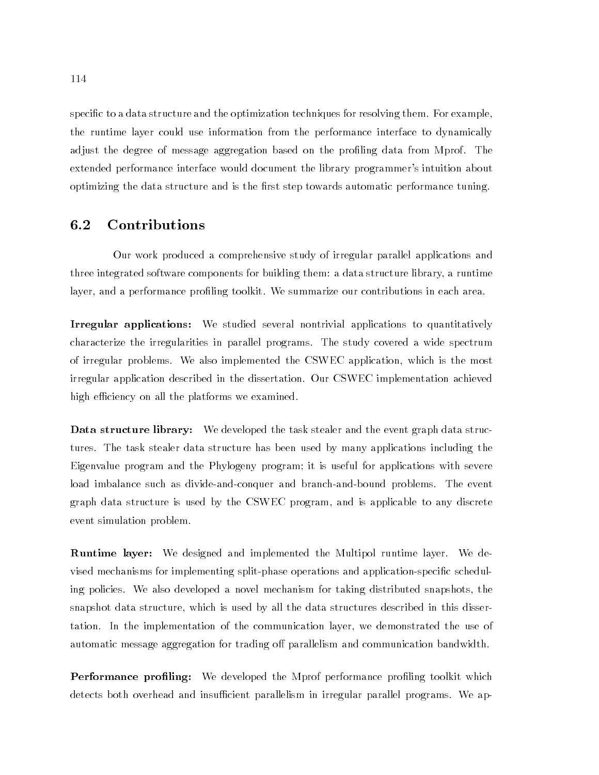specific to a data structure and the optimization techniques for resolving them. For example, the runtime layer could use information from the performance interface to dynamically adjust the degree of message aggregation based on the profiling data from Mprof. The extended performance interface would document the library programmer's intuition about optimizing the data structure and is the first step towards automatic performance tuning.

#### $6.2$ **Contributions**

Our work produced a comprehensive study of irregular parallel applications and three integrated software components for building them: a data structure library, a runtime layer, and a performance profiling toolkit. We summarize our contributions in each area.

Irregular applications: We studied several nontrivial applications to quantitatively characterize the irregularities in parallel programs. The study covered a wide spectrum of irregular problems. We also implemented the CSWEC application, which is the most irregular application described in the dissertation. Our CSWEC implementation achieved high efficiency on all the platforms we examined.

**Data structure library:** We developed the task stealer and the event graph data structures. The task stealer data structure has been used by many applications including the Eigenvalue program and the Phylogeny program; it is useful for applications with severe load imbalance such as divide-and-conquer and branch-and-bound problems. The event graph data structure is used by the CSWEC program, and is applicable to any discrete event simulation problem.

Runtime layer: We designed and implemented the Multipol runtime layer. We devised mechanisms for implementing split-phase operations and application-specific scheduling policies. We also developed a novel mechanism for taking distributed snapshots, the snapshot data structure, which is used by all the data structures described in this dissertation. In the implementation of the communication layer, we demonstrated the use of automatic message aggregation for trading off parallelism and communication bandwidth.

**Performance profiling:** We developed the Mprof performance profiling toolkit which detects both overhead and insufficient parallelism in irregular parallel programs. We ap-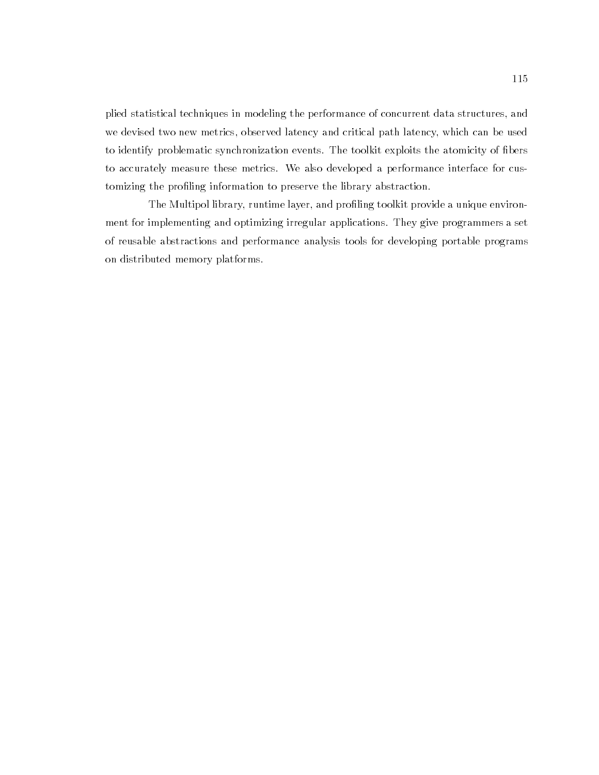plied statistical techniques in modeling the performance of concurrent data structures, and we devised two new metrics, observed latency and critical path latency, which can be used to identify problematic synchronization events. The toolkit exploits the atomicity of bers to accurately measure these metrics. We also developed a performance interface for customizing the profiling information to preserve the library abstraction.

The Multipol library, runtime layer, and profiling toolkit provide a unique environment for implementing and optimizing irregular applications. They give programmers a set of reusable abstractions and performance analysis tools for developing portable programs on distributed memory platforms.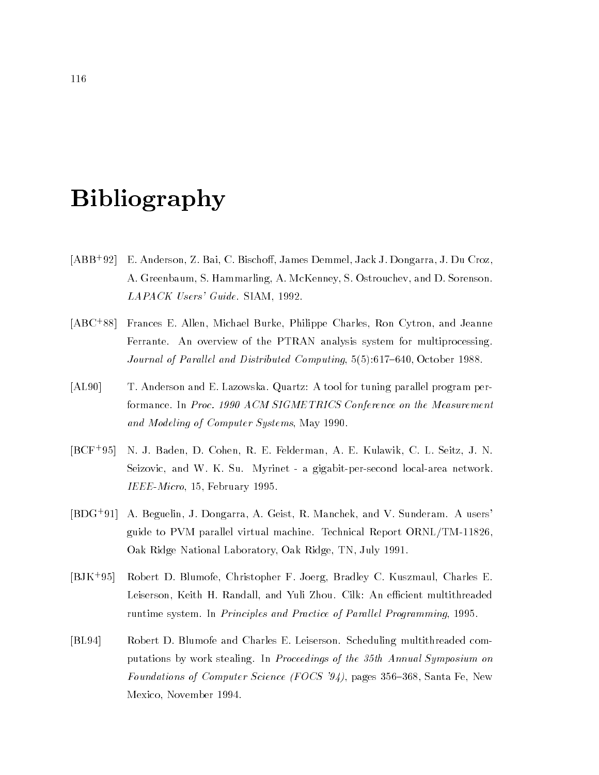# Bibliography

- $[ABB+92]$ E. Anderson, Z. Bai, C. Bischoff, James Demmel, Jack J. Dongarra, J. Du Croz, A. Greenbaum, S. Hammarling, A. McKenney, S. Ostrouchev, and D. Sorenson. LAPACK Users' Guide. SIAM, 1992.
- [ABC<sup>+</sup> 88] Frances E. Allen, Michael Burke, Philippe Charles, Ron Cytron, and Jeanne Ferrante. An overview of the PTRAN analysis system for multiprocessing. Journal of Parallel and Distributed Computing, 5(5):617-640, October 1988.
- [AL90] T. Anderson and E. Lazowska. Quartz: A tool for tuning parallel program performance. In Proc. 1990 ACM SIGMETRICS Conference on the Measurement and Modeling of Computer Systems, May 1990.
- $[BCF+95]$ 95] N. J. Baden, D. Cohen, R. E. Felderman, A. E. Kulawik, C. L. Seitz, J. N. Seizovic, and W. K. Su. Myrinet - a gigabit-per-second local-area network. IEEE-Micro, 15, February 1995.
- [BDG+ 91] A. Beguelin, J. Dongarra, A. Geist, R. Manchek, and V. Sunderam. A users' guide to PVM parallel virtual machine. Technical Report ORNL/TM-11826, Oak Ridge National Laboratory, Oak Ridge, TN, July 1991.
- $[BJK+95]$ 95] Robert D. Blumofe, Christopher F. Joerg, Bradley C. Kuszmaul, Charles E. Leiserson, Keith H. Randall, and Yuli Zhou. Cilk: An efficient multithreaded runtime system. In Principles and Practice of Parallel Programming, 1995.
- [BL94] Robert D. Blumofe and Charles E. Leiserson. Scheduling multithreaded computations by work stealing. In Proceedings of the 35th Annual Symposium on Foundations of Computer Science (FOCS '94), pages 356-368, Santa Fe, New Mexico, November 1994.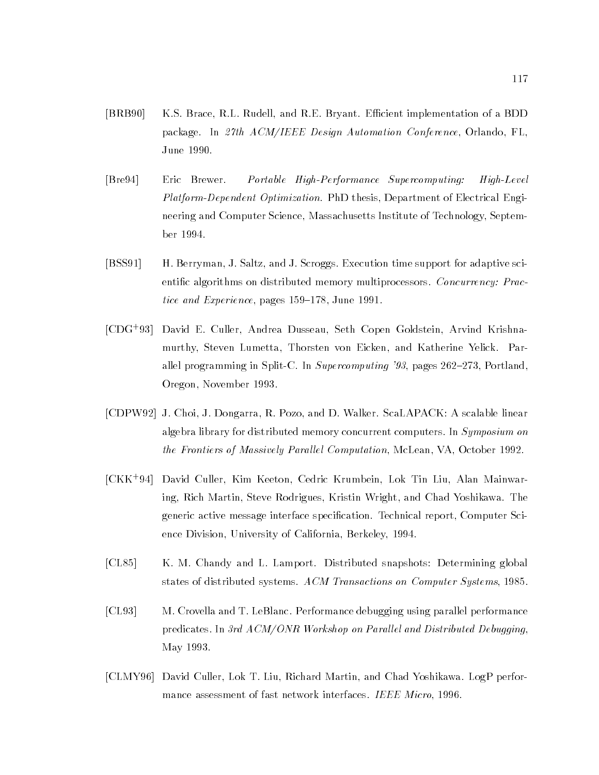- [BRB90] K.S. Brace, R.L. Rudell, and R.E. Bryant. Efficient implementation of a BDD package. In 27th ACM/IEEE Design Automation Conference, Orlando, FL, June 1990.
- [Bre94] Eric Brewer. Portable High-Performance Supercomputing: High-Level Platform-Dependent Optimization. PhD thesis, Department of Electrical Engineering and Computer Science, Massachusetts Institute of Technology, September 1994.
- [BSS91] H. Berryman, J. Saltz, and J. Scroggs. Execution time support for adaptive scientific algorithms on distributed memory multiprocessors. Concurrency: Practice and Experience, pages  $159-178$ , June 1991.
- [CDG<sup>+</sup> 93] David E. Culler, Andrea Dusseau, Seth Copen Goldstein, Arvind Krishnamurthy, Steven Lumetta, Thorsten von Eicken, and Katherine Yelick. Parallel programming in Split-C. In Supercomputing '93, pages  $262-273$ , Portland, Oregon, November 1993.
- [CDPW92] J. Choi, J. Dongarra, R. Pozo, and D. Walker. ScaLAPACK: A scalable linear algebra library for distributed memory concurrent computers. In Symposium on the Frontiers of Massively Parallel Computation, McLean, VA, October 1992.
- [CKK+ 94] David Culler, Kim Keeton, Cedric Krumbein, Lok Tin Liu, Alan Mainwaring, Rich Martin, Steve Rodrigues, Kristin Wright, and Chad Yoshikawa. The generic active message interface specication. Technical report, Computer Science Division, University of California, Berkeley, 1994.
- [CL85] K. M. Chandy and L. Lamport. Distributed snapshots: Determining global states of distributed systems. ACM Transactions on Computer Systems, 1985.
- [CL93] M. Crovella and T. LeBlanc. Performance debugging using parallel performance predicates. In 3rd ACM/ONR Workshop on Parallel and Distributed Debugging, May 1993.
- [CLMY96] David Culler, Lok T. Liu, Richard Martin, and Chad Yoshikawa. LogP performance assessment of fast network interfaces. IEEE Micro, 1996.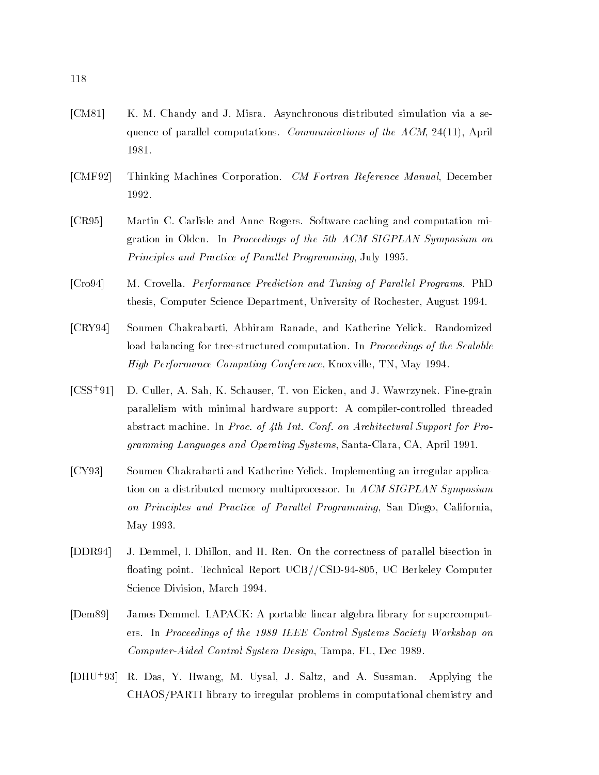- [CM81] K. M. Chandy and J. Misra. Asynchronous distributed simulation via a sequence of parallel computations. Communications of the ACM, 24(11), April 1981.
- [CMF92] Thinking Machines Corporation. CM Fortran Reference Manual, December 1992.
- [CR95] Martin C. Carlisle and Anne Rogers. Software caching and computation migration in Olden. In Proceedings of the 5th ACM SIGPLAN Symposium on Principles and Practice of Parallel Programming, July 1995.
- [Cro94] M. Crovella. *Performance Prediction and Tuning of Parallel Programs.* PhD thesis, Computer Science Department, University of Rochester, August 1994.
- [CRY94] Soumen Chakrabarti, Abhiram Ranade, and Katherine Yelick. Randomized load balancing for tree-structured computation. In *Proceedings of the Scalable* High Performance Computing Conference, Knoxville, TN, May 1994.
- $[CSS+91]$ 91] D. Culler, A. Sah, K. Schauser, T. von Eicken, and J. Wawrzynek. Fine-grain parallelism with minimal hardware support: A compiler-controlled threaded abstract machine. In Proc. of 4th Int. Conf. on Architectural Support for Programming Languages and Operating Systems, Santa-Clara, CA, April 1991.
- [CY93] Soumen Chakrabarti and Katherine Yelick. Implementing an irregular application on a distributed memory multiprocessor. In ACM SIGPLAN Symposium on Principles and Practice of Parallel Programming, San Diego, California, May 1993.
- [DDR94] J. Demmel, I. Dhillon, and H. Ren. On the correctness of parallel bisection in floating point. Technical Report UCB//CSD-94-805, UC Berkeley Computer Science Division, March 1994.
- [Dem89] James Demmel. LAPACK: A portable linear algebra library for supercomputers. In Proceedings of the 1989 IEEE Control Systems Society Workshop on Computer-Aided Control System Design, Tampa, FL, Dec 1989.
- $[DHU+93]$ R. Das, Y. Hwang, M. Uysal, J. Saltz, and A. Sussman. Applying the CHAOS/PARTI library to irregular problems in computational chemistry and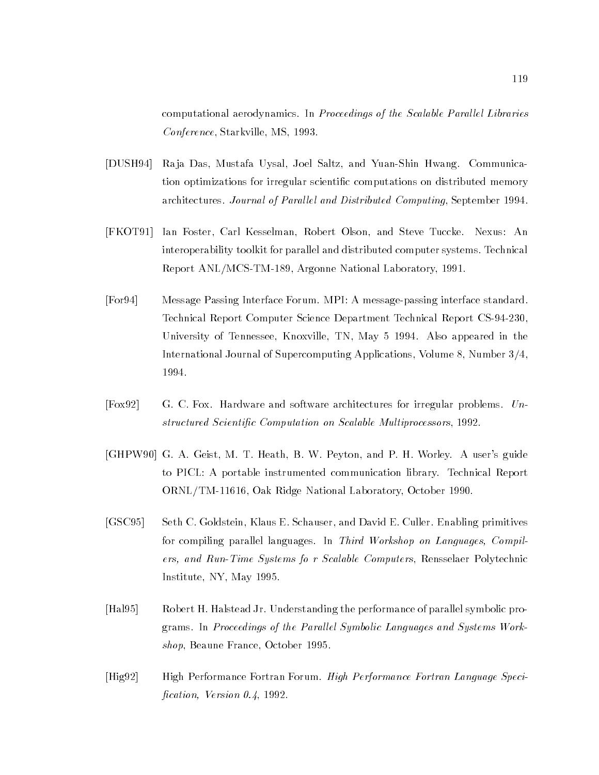computational aerodynamics. In Proceedings of the Scalable Parallel Libraries Conference, Starkville, MS, 1993.

- [DUSH94] Ra ja Das, Mustafa Uysal, Joel Saltz, and Yuan-Shin Hwang. Communication optimizations for irregular scientific computations on distributed memory architectures. Journal of Parallel and Distributed Computing, September 1994.
- [FKOT91] Ian Foster, Carl Kesselman, Robert Olson, and Steve Tuccke. Nexus: An interoperability toolkit for parallel and distributed computer systems. Technical Report ANL/MCS-TM-189, Argonne National Laboratory, 1991.
- [For94] Message Passing Interface Forum. MPI: A message-passing interface standard. Technical Report Computer Science Department Technical Report CS-94-230, University of Tennessee, Knoxville, TN, May 5 1994. Also appeared in the International Journal of Supercomputing Applications, Volume 8, Number 3/4, 1994.
- [Fox92] G. C. Fox. Hardware and software architectures for irregular problems. Unstructured Scientific Computation on Scalable Multiprocessors, 1992.
- [GHPW90] G. A. Geist, M. T. Heath, B. W. Peyton, and P. H. Worley. A user's guide to PICL: A portable instrumented communication library. Technical Report ORNL/TM-11616, Oak Ridge National Laboratory, October 1990.
- [GSC95] Seth C. Goldstein, Klaus E. Schauser, and David E. Culler. Enabling primitives for compiling parallel languages. In Third Workshop on Languages, Compilers, and Run-Time Systems fo r Scalable Computers, Rensselaer Polytechnic Institute, NY, May 1995.
- [Hal95] Robert H. Halstead Jr. Understanding the performance of parallel symbolic programs. In Proceedings of the Parallel Symbolic Languages and Systems Workshop, Beaune France, October 1995.
- [Hig92] High Performance Fortran Forum. High Performance Fortran Language Specification, Version  $0.4$ , 1992.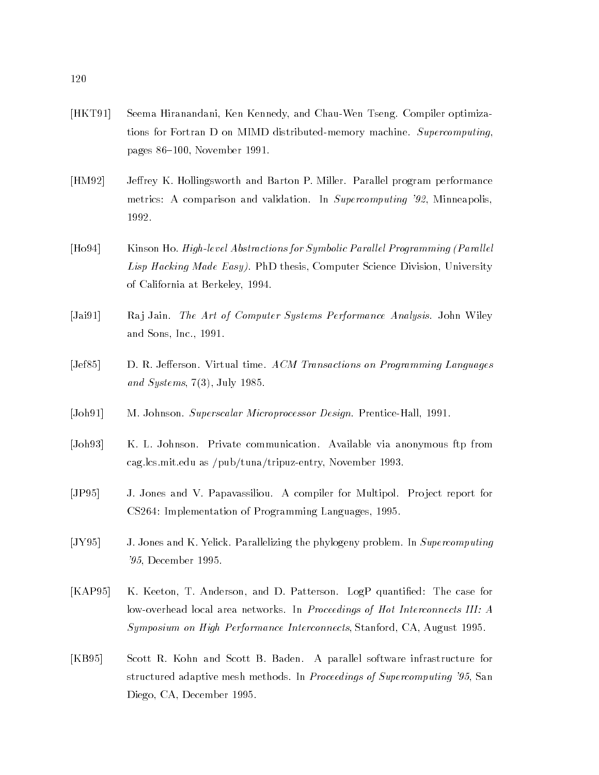- [HKT91] Seema Hiranandani, Ken Kennedy, and Chau-Wen Tseng. Compiler optimizations for Fortran D on MIMD distributed-memory machine. Supercomputing, pages 86-100, November 1991.
- [HM92] Jeffrey K. Hollingsworth and Barton P. Miller. Parallel program performance metrics: A comparison and validation. In Supercomputing '92, Minneapolis, 1992.
- [Ho94] Kinson Ho. *High-level Abstractions for Symbolic Parallel Programming (Parallel* Lisp Hacking Made Easy). PhD thesis, Computer Science Division, University of California at Berkeley, 1994.
- [Jai91] Raj Jain. The Art of Computer Systems Performance Analysis. John Wiley and Sons, Inc., 1991.
- [Jef85] D. R. Jefferson. Virtual time. ACM Transactions on Programming Languages and Systems,  $7(3)$ , July 1985.
- [Joh91] M. Johnson. Superscalar Microprocessor Design. Prentice-Hall, 1991.
- [Joh93] K. L. Johnson. Private communication. Available via anonymous ftp from cag.lcs.mit.edu as /pub/tuna/tripuz-entry, November 1993.
- [JP95] J. Jones and V. Papavassiliou. A compiler for Multipol. Pro ject report for CS264: Implementation of Programming Languages, 1995.
- [JY95] J. Jones and K. Yelick. Parallelizing the phylogeny problem. In Supercomputing '95, December 1995.
- [KAP95] K. Keeton, T. Anderson, and D. Patterson. LogP quantied: The case for low-overhead local area networks. In Proceedings of Hot Interconnects III: A Symposium on High Performance Interconnects, Stanford, CA, August 1995.
- [KB95] Scott R. Kohn and Scott B. Baden. A parallel software infrastructure for structured adaptive mesh methods. In Proceedings of Supercomputing '95, San Diego, CA, December 1995.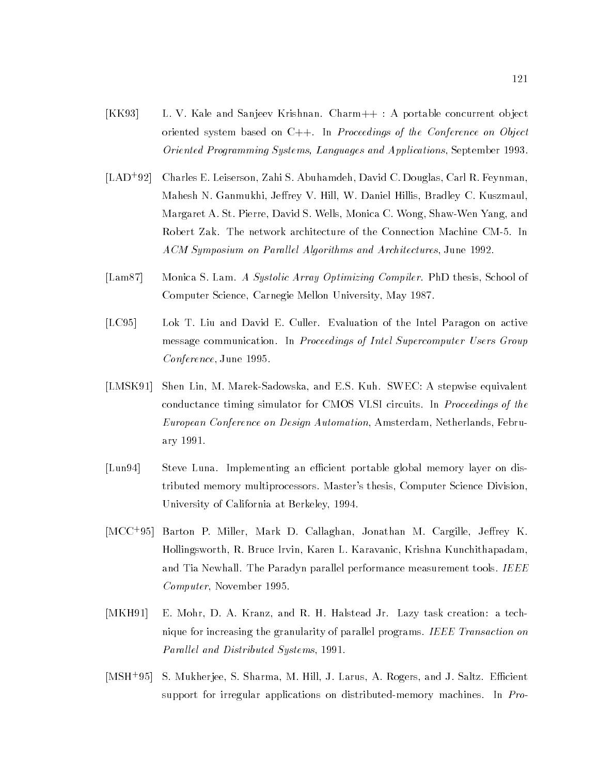- [KK93] L. V. Kale and Sanjeev Krishnan. Charm++ : A portable concurrent ob ject oriented system based on C++. In Proceedings of the Conference on Object Oriented Programming Systems, Languages and Applications, September 1993.
- $[LAD+92]$ 92] Charles E. Leiserson, Zahi S. Abuhamdeh, David C. Douglas, Carl R. Feynman, Mahesh N. Ganmukhi, Jeffrey V. Hill, W. Daniel Hillis, Bradley C. Kuszmaul, Margaret A. St. Pierre, David S. Wells, Monica C. Wong, Shaw-Wen Yang, and Robert Zak. The network architecture of the Connection Machine CM-5. In ACM Symposium on Parallel Algorithms and Architectures, June 1992.
- [Lam87] Monica S. Lam. A Systolic Array Optimizing Compiler. PhD thesis, School of Computer Science, Carnegie Mellon University, May 1987.
- [LC95] Lok T. Liu and David E. Culler. Evaluation of the Intel Paragon on active message communication. In Proceedings of Intel Supercomputer Users Group Conference, June 1995.
- [LMSK91] Shen Lin, M. Marek-Sadowska, and E.S. Kuh. SWEC: A stepwise equivalent conductance timing simulator for CMOS VLSI circuits. In Proceedings of the European Conference on Design Automation, Amsterdam, Netherlands, February 1991.
- [Lun94] Steve Luna. Implementing an efficient portable global memory layer on distributed memory multiprocessors. Master's thesis, Computer Science Division, University of California at Berkeley, 1994.
- [MCC<sup>+</sup> 95] Barton P. Miller, Mark D. Callaghan, Jonathan M. Cargille, Jerey K. Hollingsworth, R. Bruce Irvin, Karen L. Karavanic, Krishna Kunchithapadam, and Tia Newhall. The Paradyn parallel performance measurement tools. IEEE Computer, November 1995.
- [MKH91] E. Mohr, D. A. Kranz, and R. H. Halstead Jr. Lazy task creation: a technique for increasing the granularity of parallel programs. IEEE Transaction on Parallel and Distributed Systems, 1991.
- $[MSH<sup>+</sup>95]$ S. Mukherjee, S. Sharma, M. Hill, J. Larus, A. Rogers, and J. Saltz. Efficient support for irregular applications on distributed-memory machines. In Pro-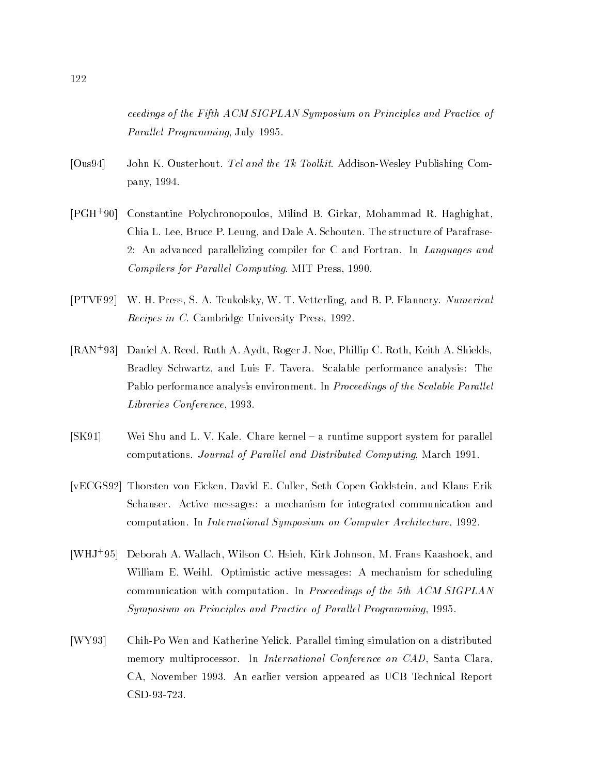ceedings of the Fifth ACM SIGPLAN Symposium on Principles and Practice of Parallel Programming, July 1995.

- [Ous94] John K. Ousterhout. Tcl and the Tk Toolkit. Addison-Wesley Publishing Company, 1994.
- $[PGH+90]$ Constantine Polychronopoulos, Milind B. Girkar, Mohammad R. Haghighat, Chia L. Lee, Bruce P. Leung, and Dale A. Schouten. The structure of Parafrase-2: An advanced parallelizing compiler for C and Fortran. In Languages and Compilers for Parallel Computing. MIT Press, 1990.
- [PTVF92] W. H. Press, S. A. Teukolsky, W. T. Vetterling, and B. P. Flannery. Numerical Recipes in C. Cambridge University Press, 1992.
- [RAN+ 93] Daniel A. Reed, Ruth A. Aydt, Roger J. Noe, Phillip C. Roth, Keith A. Shields, Bradley Schwartz, and Luis F. Tavera. Scalable performance analysis: The Pablo performance analysis environment. In Proceedings of the Scalable Parallel Libraries Conference, 1993.
- [SK91] Wei Shu and L. V. Kale. Chare kernel a runtime support system for parallel computations. Journal of Parallel and Distributed Computing, March 1991.
- [vECGS92] Thorsten von Eicken, David E. Culler, Seth Copen Goldstein, and Klaus Erik Schauser. Active messages: a mechanism for integrated communication and computation. In International Symposium on Computer Architecture, 1992.
- [WHJ+ 95] Deborah A. Wallach, Wilson C. Hsieh, Kirk Johnson, M. Frans Kaashoek, and William E. Weihl. Optimistic active messages: A mechanism for scheduling communication with computation. In Proceedings of the 5th ACM SIGPLAN Symposium on Principles and Practice of Parallel Programming, 1995.
- [WY93] Chih-Po Wen and Katherine Yelick. Parallel timing simulation on a distributed memory multiprocessor. In *International Conference on CAD*, Santa Clara, CA, November 1993. An earlier version appeared as UCB Technical Report CSD-93-723.